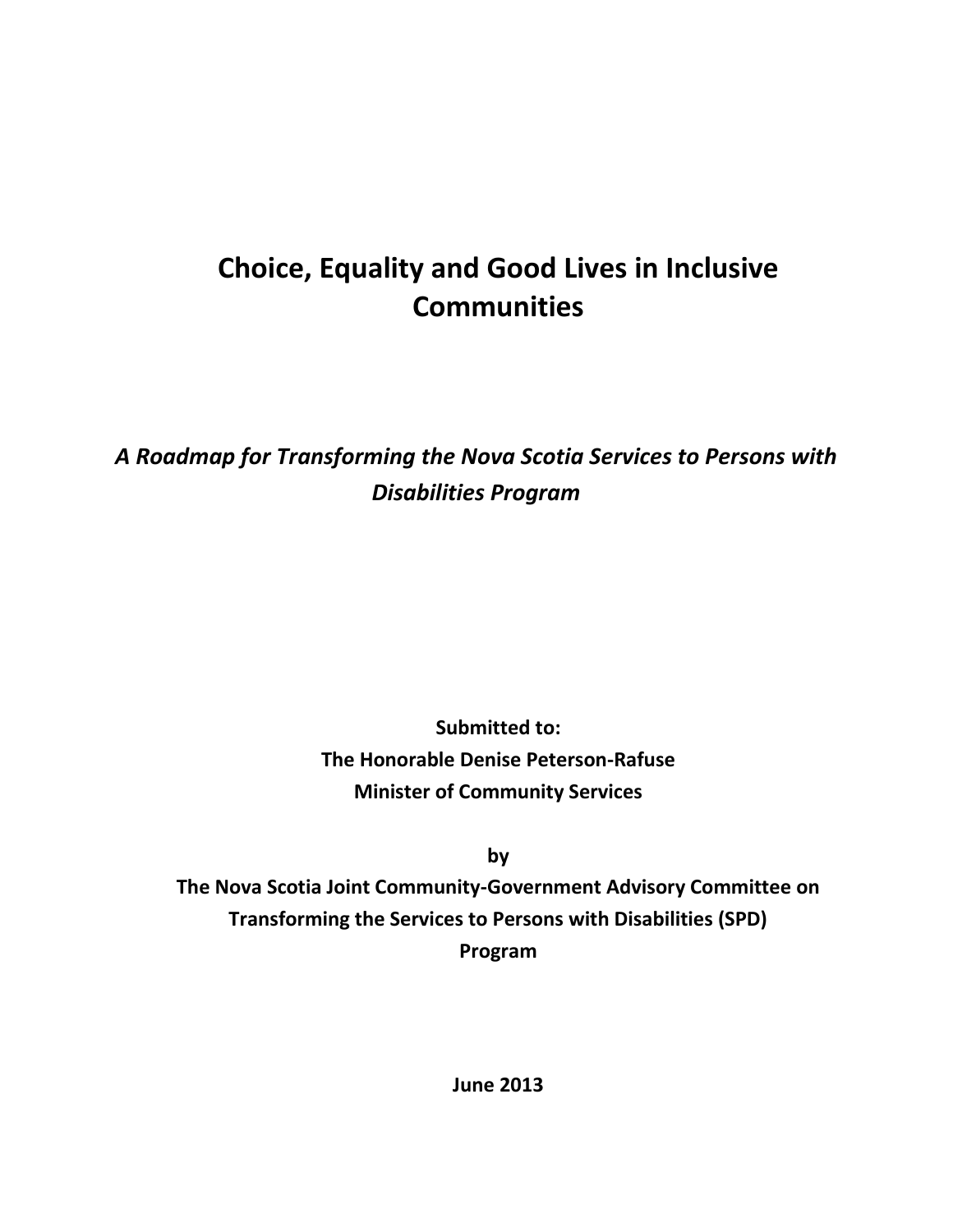# **Choice, Equality and Good Lives in Inclusive Communities**

## *A Roadmap for Transforming the Nova Scotia Services to Persons with Disabilities Program*

**Submitted to: The Honorable Denise Peterson-Rafuse Minister of Community Services**

**by** 

**The Nova Scotia Joint Community-Government Advisory Committee on Transforming the Services to Persons with Disabilities (SPD) Program**

**June 2013**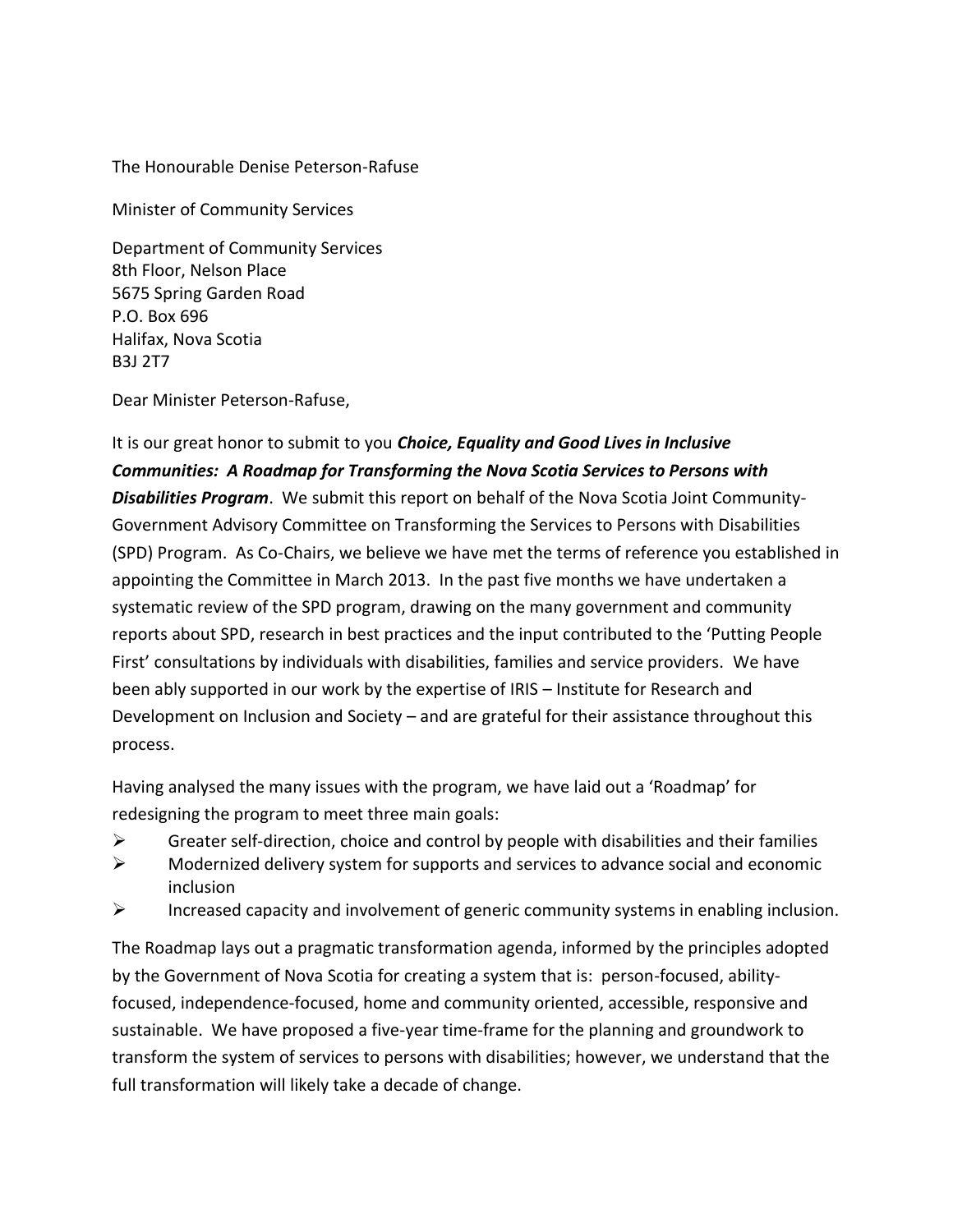The Honourable Denise Peterson-Rafuse

Minister of Community Services

Department of Community Services 8th Floor, Nelson Place 5675 Spring Garden Road P.O. Box 696 Halifax, Nova Scotia B3J 2T7

Dear Minister Peterson-Rafuse,

It is our great honor to submit to you *Choice, Equality and Good Lives in Inclusive Communities: A Roadmap for Transforming the Nova Scotia Services to Persons with Disabilities Program*. We submit this report on behalf of the Nova Scotia Joint Community-Government Advisory Committee on Transforming the Services to Persons with Disabilities (SPD) Program. As Co-Chairs, we believe we have met the terms of reference you established in appointing the Committee in March 2013. In the past five months we have undertaken a systematic review of the SPD program, drawing on the many government and community reports about SPD, research in best practices and the input contributed to the 'Putting People First' consultations by individuals with disabilities, families and service providers. We have been ably supported in our work by the expertise of IRIS – Institute for Research and Development on Inclusion and Society – and are grateful for their assistance throughout this process.

Having analysed the many issues with the program, we have laid out a 'Roadmap' for redesigning the program to meet three main goals:

- $\triangleright$  Greater self-direction, choice and control by people with disabilities and their families
- $\triangleright$  Modernized delivery system for supports and services to advance social and economic inclusion
- $\triangleright$  Increased capacity and involvement of generic community systems in enabling inclusion.

The Roadmap lays out a pragmatic transformation agenda, informed by the principles adopted by the Government of Nova Scotia for creating a system that is: person-focused, abilityfocused, independence-focused, home and community oriented, accessible, responsive and sustainable. We have proposed a five-year time-frame for the planning and groundwork to transform the system of services to persons with disabilities; however, we understand that the full transformation will likely take a decade of change.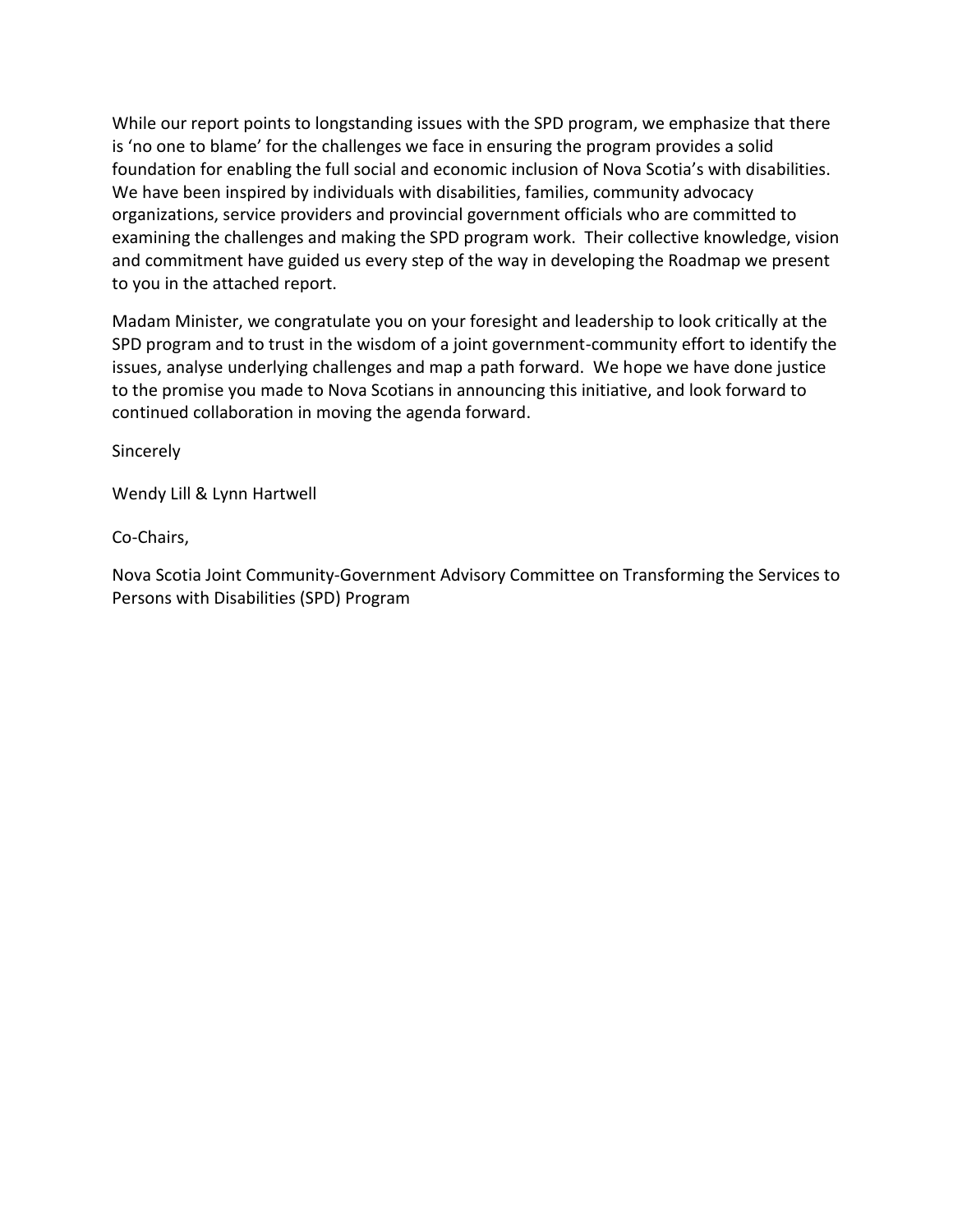While our report points to longstanding issues with the SPD program, we emphasize that there is 'no one to blame' for the challenges we face in ensuring the program provides a solid foundation for enabling the full social and economic inclusion of Nova Scotia's with disabilities. We have been inspired by individuals with disabilities, families, community advocacy organizations, service providers and provincial government officials who are committed to examining the challenges and making the SPD program work. Their collective knowledge, vision and commitment have guided us every step of the way in developing the Roadmap we present to you in the attached report.

Madam Minister, we congratulate you on your foresight and leadership to look critically at the SPD program and to trust in the wisdom of a joint government-community effort to identify the issues, analyse underlying challenges and map a path forward. We hope we have done justice to the promise you made to Nova Scotians in announcing this initiative, and look forward to continued collaboration in moving the agenda forward.

Sincerely

Wendy Lill & Lynn Hartwell

Co-Chairs,

Nova Scotia Joint Community-Government Advisory Committee on Transforming the Services to Persons with Disabilities (SPD) Program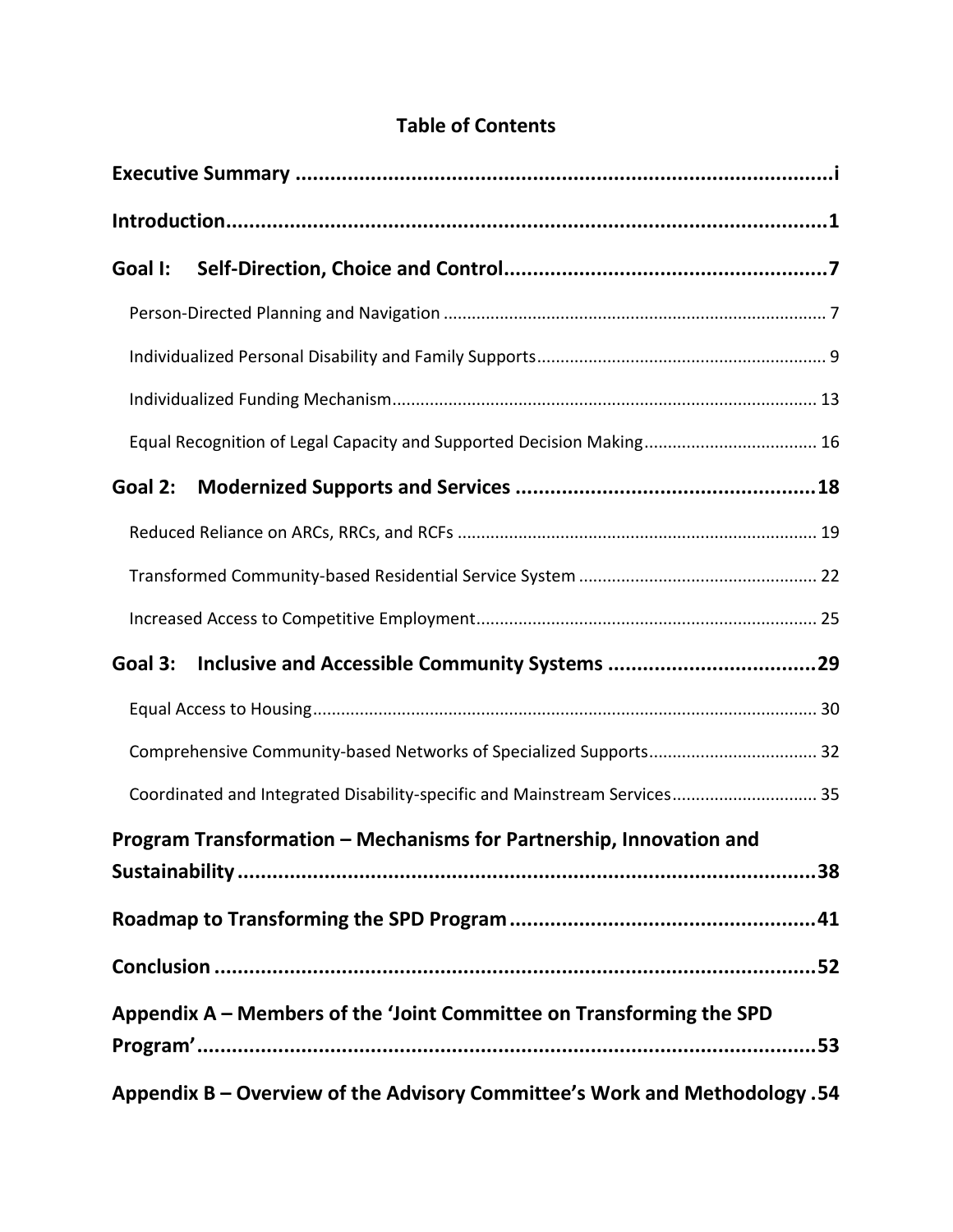|--|

| Goal I:                                                                    |  |
|----------------------------------------------------------------------------|--|
|                                                                            |  |
|                                                                            |  |
|                                                                            |  |
| Equal Recognition of Legal Capacity and Supported Decision Making 16       |  |
| Goal 2:                                                                    |  |
|                                                                            |  |
|                                                                            |  |
|                                                                            |  |
| Goal 3:                                                                    |  |
|                                                                            |  |
|                                                                            |  |
| Coordinated and Integrated Disability-specific and Mainstream Services 35  |  |
| Program Transformation - Mechanisms for Partnership, Innovation and        |  |
|                                                                            |  |
|                                                                            |  |
|                                                                            |  |
| Appendix A – Members of the 'Joint Committee on Transforming the SPD       |  |
| Appendix B - Overview of the Advisory Committee's Work and Methodology .54 |  |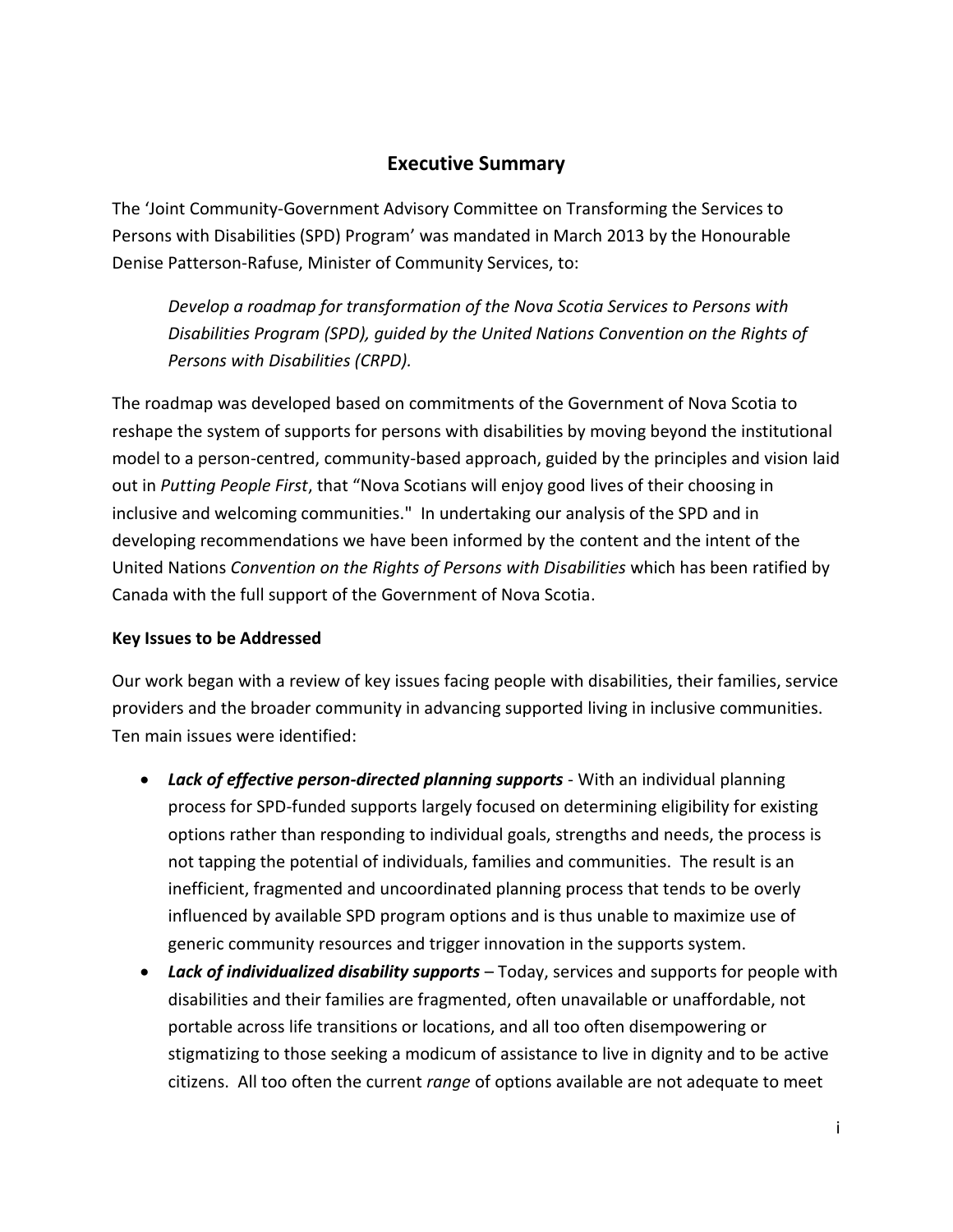## **Executive Summary**

<span id="page-4-0"></span>The 'Joint Community-Government Advisory Committee on Transforming the Services to Persons with Disabilities (SPD) Program' was mandated in March 2013 by the Honourable Denise Patterson-Rafuse, Minister of Community Services, to:

*Develop a roadmap for transformation of the Nova Scotia Services to Persons with Disabilities Program (SPD), guided by the United Nations Convention on the Rights of Persons with Disabilities (CRPD).*

The roadmap was developed based on commitments of the Government of Nova Scotia to reshape the system of supports for persons with disabilities by moving beyond the institutional model to a person-centred, community-based approach, guided by the principles and vision laid out in *Putting People First*, that "Nova Scotians will enjoy good lives of their choosing in inclusive and welcoming communities." In undertaking our analysis of the SPD and in developing recommendations we have been informed by the content and the intent of the United Nations *Convention on the Rights of Persons with Disabilities* which has been ratified by Canada with the full support of the Government of Nova Scotia.

#### **Key Issues to be Addressed**

Our work began with a review of key issues facing people with disabilities, their families, service providers and the broader community in advancing supported living in inclusive communities. Ten main issues were identified:

- Lack of effective person-directed planning supports With an individual planning process for SPD-funded supports largely focused on determining eligibility for existing options rather than responding to individual goals, strengths and needs, the process is not tapping the potential of individuals, families and communities. The result is an inefficient, fragmented and uncoordinated planning process that tends to be overly influenced by available SPD program options and is thus unable to maximize use of generic community resources and trigger innovation in the supports system.
- *Lack of individualized disability supports*  Today, services and supports for people with disabilities and their families are fragmented, often unavailable or unaffordable, not portable across life transitions or locations, and all too often disempowering or stigmatizing to those seeking a modicum of assistance to live in dignity and to be active citizens. All too often the current *range* of options available are not adequate to meet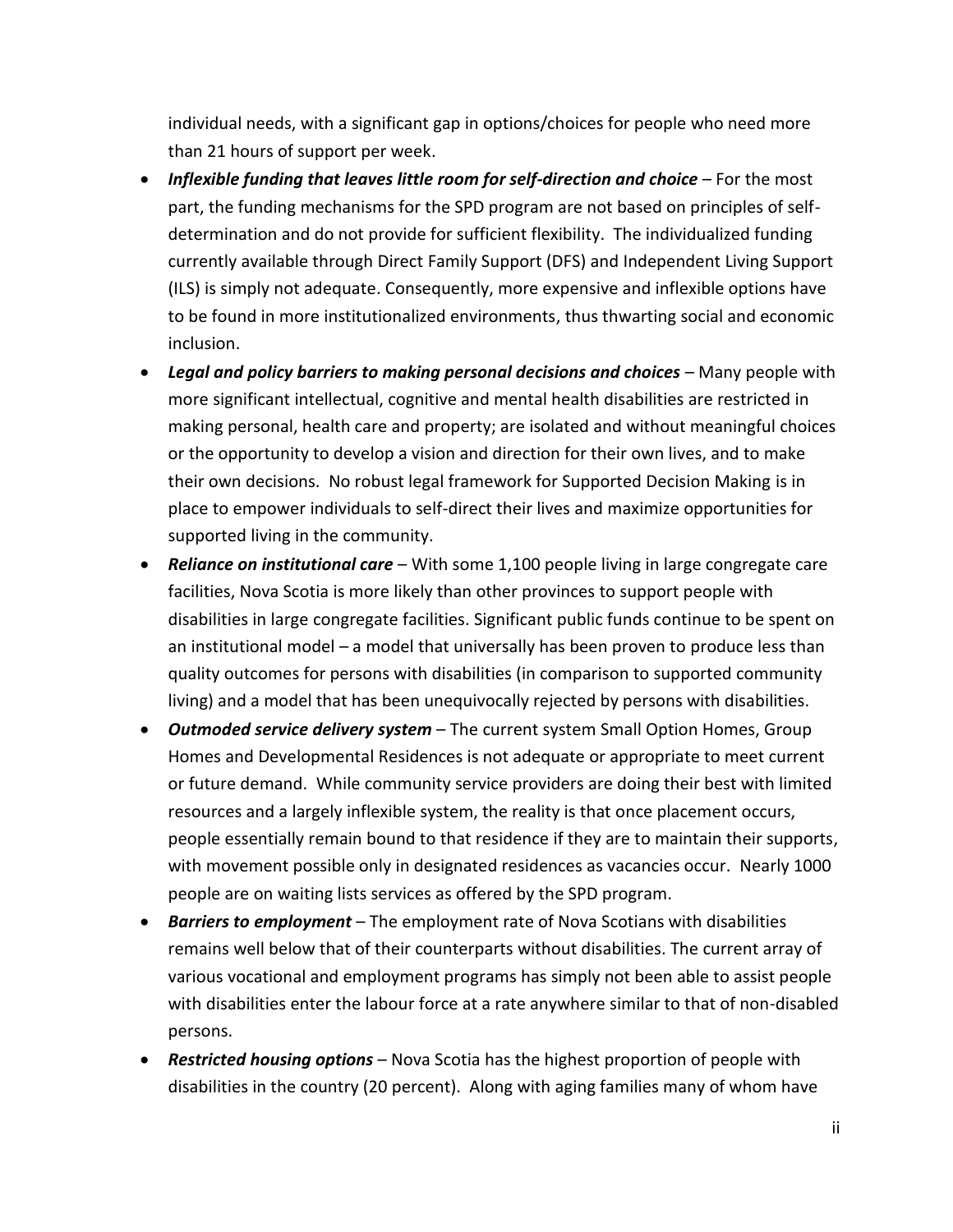individual needs, with a significant gap in options/choices for people who need more than 21 hours of support per week.

- Inflexible funding that leaves little room for self-direction and choice For the most part, the funding mechanisms for the SPD program are not based on principles of selfdetermination and do not provide for sufficient flexibility. The individualized funding currently available through Direct Family Support (DFS) and Independent Living Support (ILS) is simply not adequate. Consequently, more expensive and inflexible options have to be found in more institutionalized environments, thus thwarting social and economic inclusion.
- Legal and policy barriers to making personal decisions and choices Many people with more significant intellectual, cognitive and mental health disabilities are restricted in making personal, health care and property; are isolated and without meaningful choices or the opportunity to develop a vision and direction for their own lives, and to make their own decisions. No robust legal framework for Supported Decision Making is in place to empower individuals to self-direct their lives and maximize opportunities for supported living in the community.
- *Reliance on institutional care*  With some 1,100 people living in large congregate care facilities, Nova Scotia is more likely than other provinces to support people with disabilities in large congregate facilities. Significant public funds continue to be spent on an institutional model – a model that universally has been proven to produce less than quality outcomes for persons with disabilities (in comparison to supported community living) and a model that has been unequivocally rejected by persons with disabilities.
- *Outmoded service delivery system*  The current system Small Option Homes, Group Homes and Developmental Residences is not adequate or appropriate to meet current or future demand. While community service providers are doing their best with limited resources and a largely inflexible system, the reality is that once placement occurs, people essentially remain bound to that residence if they are to maintain their supports, with movement possible only in designated residences as vacancies occur. Nearly 1000 people are on waiting lists services as offered by the SPD program.
- *Barriers to employment*  The employment rate of Nova Scotians with disabilities remains well below that of their counterparts without disabilities. The current array of various vocational and employment programs has simply not been able to assist people with disabilities enter the labour force at a rate anywhere similar to that of non-disabled persons.
- *Restricted housing options*  Nova Scotia has the highest proportion of people with disabilities in the country (20 percent). Along with aging families many of whom have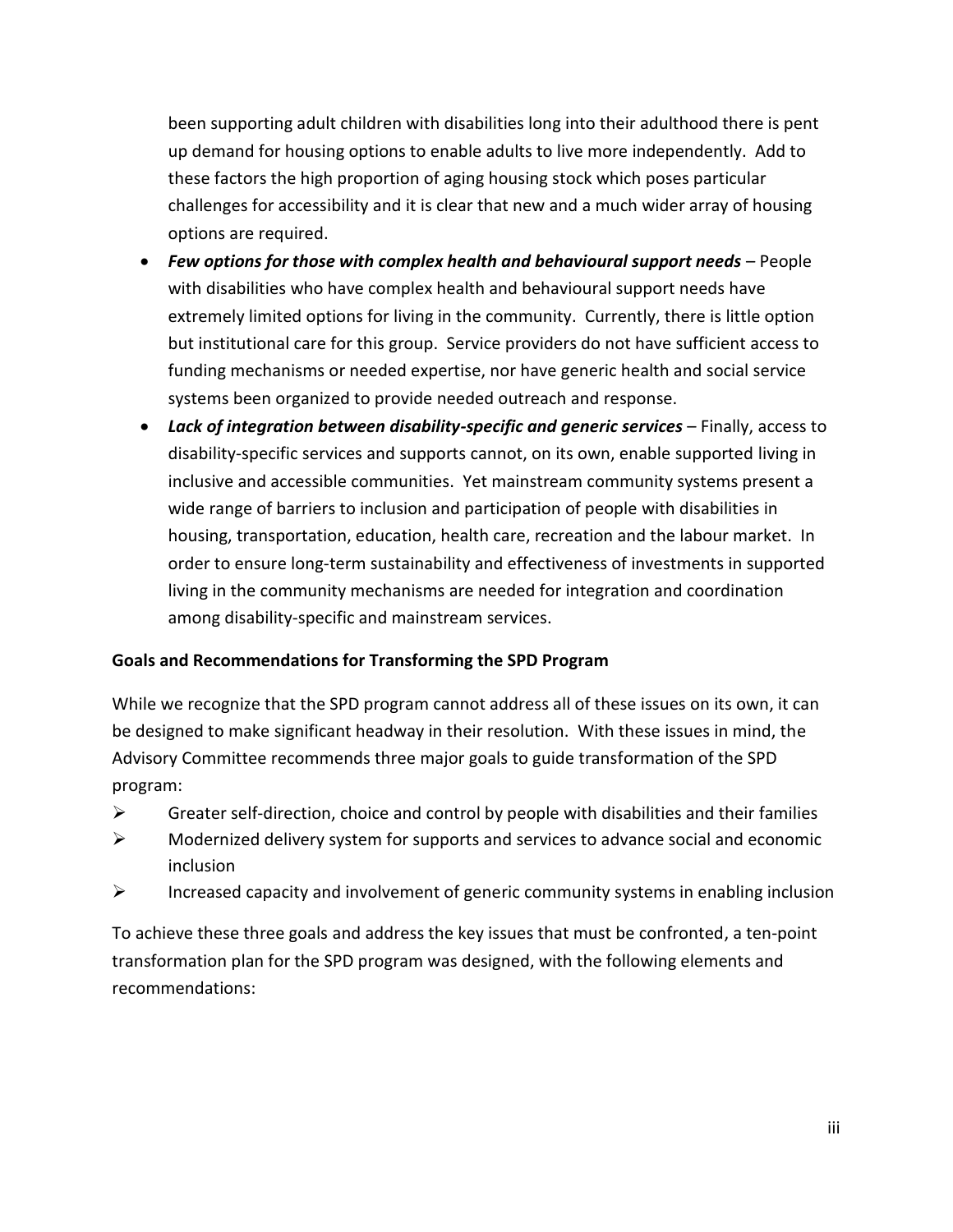been supporting adult children with disabilities long into their adulthood there is pent up demand for housing options to enable adults to live more independently. Add to these factors the high proportion of aging housing stock which poses particular challenges for accessibility and it is clear that new and a much wider array of housing options are required.

- **•** Few options for those with complex health and behavioural support needs People with disabilities who have complex health and behavioural support needs have extremely limited options for living in the community. Currently, there is little option but institutional care for this group. Service providers do not have sufficient access to funding mechanisms or needed expertise, nor have generic health and social service systems been organized to provide needed outreach and response.
- **Lack of integration between disability-specific and generic services Finally, access to** disability-specific services and supports cannot, on its own, enable supported living in inclusive and accessible communities. Yet mainstream community systems present a wide range of barriers to inclusion and participation of people with disabilities in housing, transportation, education, health care, recreation and the labour market. In order to ensure long-term sustainability and effectiveness of investments in supported living in the community mechanisms are needed for integration and coordination among disability-specific and mainstream services.

#### **Goals and Recommendations for Transforming the SPD Program**

While we recognize that the SPD program cannot address all of these issues on its own, it can be designed to make significant headway in their resolution. With these issues in mind, the Advisory Committee recommends three major goals to guide transformation of the SPD program:

- $\triangleright$  Greater self-direction, choice and control by people with disabilities and their families
- $\triangleright$  Modernized delivery system for supports and services to advance social and economic inclusion
- $\triangleright$  Increased capacity and involvement of generic community systems in enabling inclusion

To achieve these three goals and address the key issues that must be confronted, a ten-point transformation plan for the SPD program was designed, with the following elements and recommendations: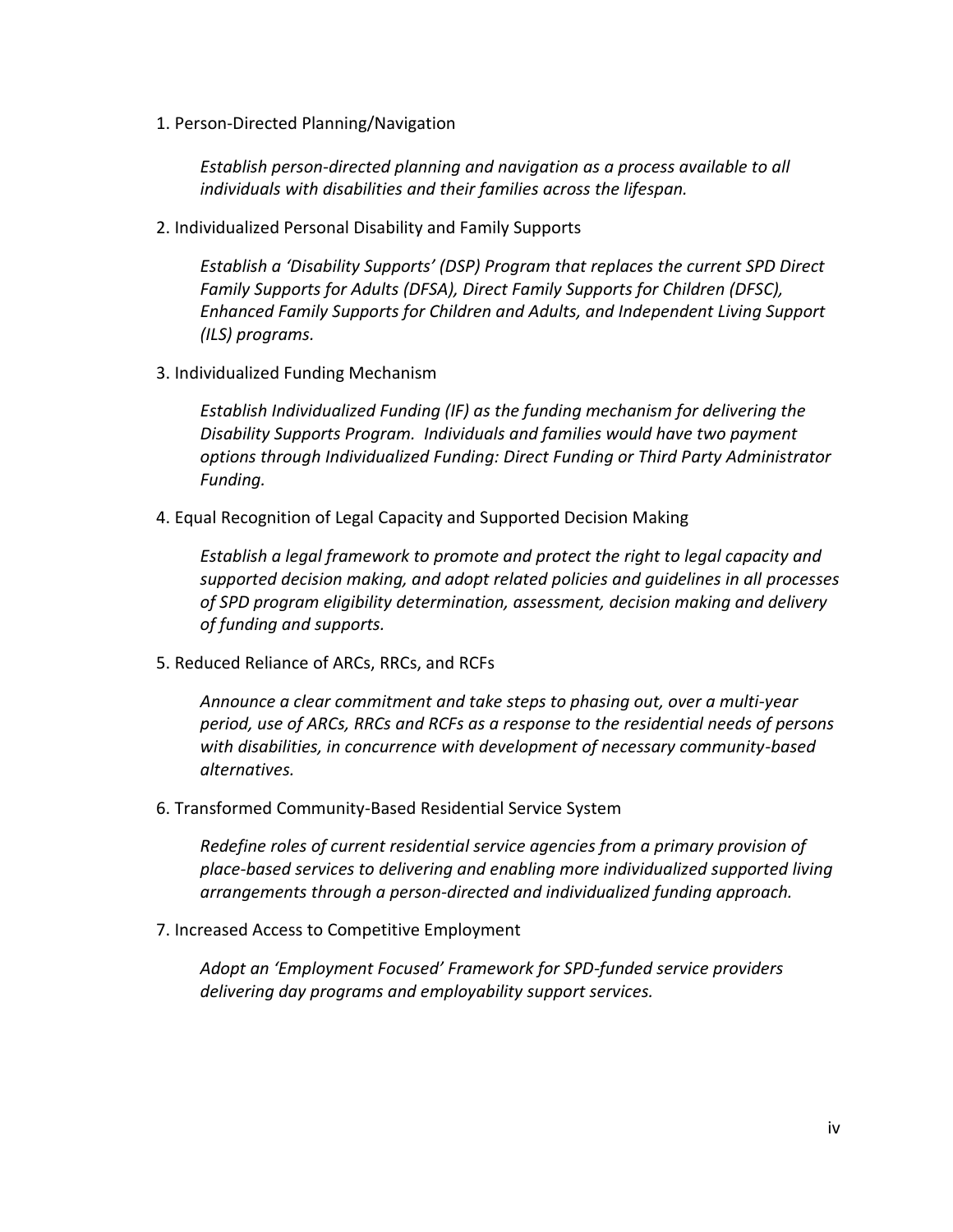1. Person-Directed Planning/Navigation

*Establish person-directed planning and navigation as a process available to all individuals with disabilities and their families across the lifespan.*

2. Individualized Personal Disability and Family Supports

*Establish a 'Disability Supports' (DSP) Program that replaces the current SPD Direct Family Supports for Adults (DFSA), Direct Family Supports for Children (DFSC), Enhanced Family Supports for Children and Adults, and Independent Living Support (ILS) programs.* 

3. Individualized Funding Mechanism

*Establish Individualized Funding (IF) as the funding mechanism for delivering the Disability Supports Program. Individuals and families would have two payment options through Individualized Funding: Direct Funding or Third Party Administrator Funding.*

4. Equal Recognition of Legal Capacity and Supported Decision Making

*Establish a legal framework to promote and protect the right to legal capacity and supported decision making, and adopt related policies and guidelines in all processes of SPD program eligibility determination, assessment, decision making and delivery of funding and supports.*

5. Reduced Reliance of ARCs, RRCs, and RCFs

*Announce a clear commitment and take steps to phasing out, over a multi-year period, use of ARCs, RRCs and RCFs as a response to the residential needs of persons with disabilities, in concurrence with development of necessary community-based alternatives.*

6. Transformed Community-Based Residential Service System

*Redefine roles of current residential service agencies from a primary provision of place-based services to delivering and enabling more individualized supported living arrangements through a person-directed and individualized funding approach.*

7. Increased Access to Competitive Employment

*Adopt an 'Employment Focused' Framework for SPD-funded service providers delivering day programs and employability support services.*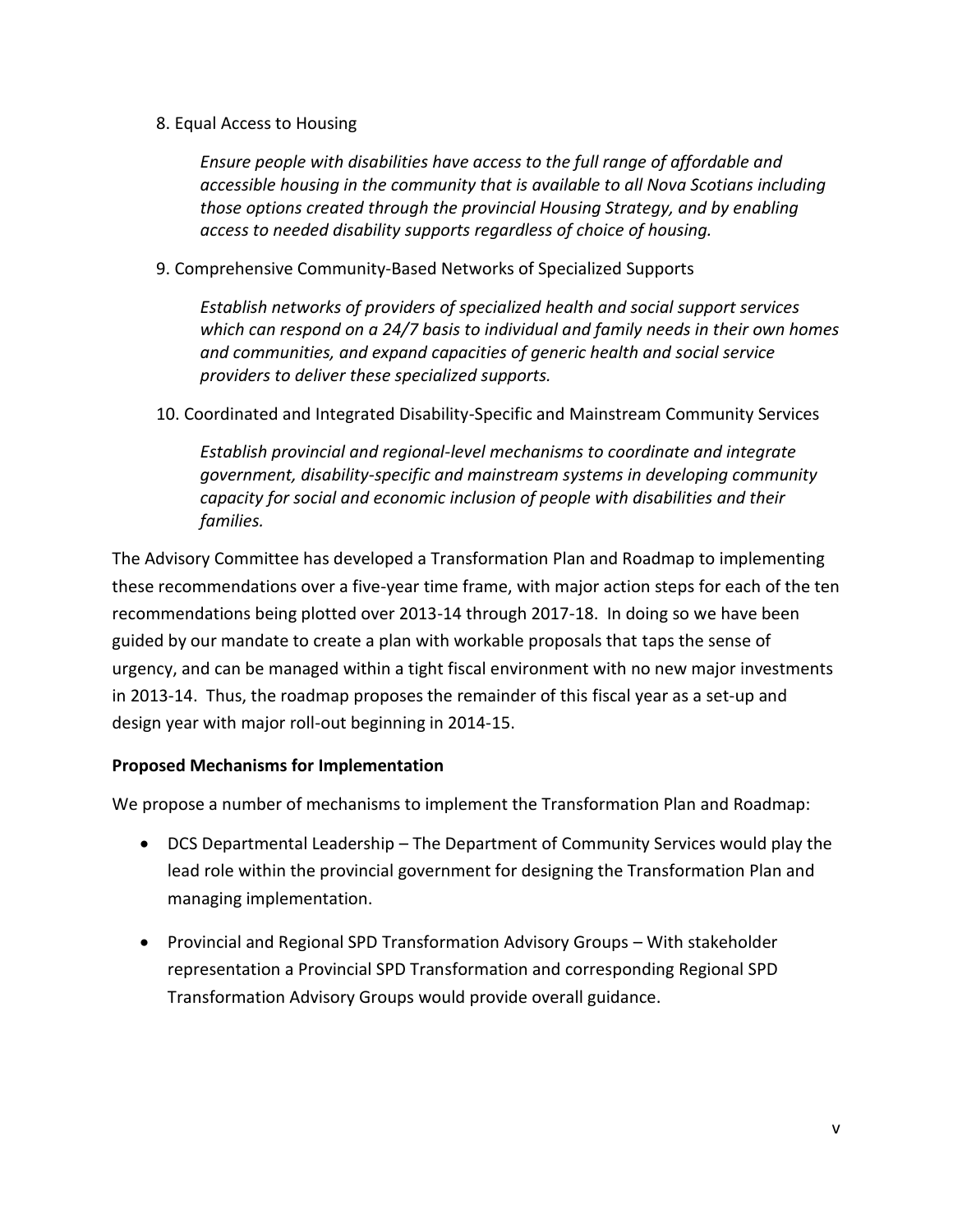8. Equal Access to Housing

*Ensure people with disabilities have access to the full range of affordable and accessible housing in the community that is available to all Nova Scotians including those options created through the provincial Housing Strategy, and by enabling access to needed disability supports regardless of choice of housing.*

9. Comprehensive Community-Based Networks of Specialized Supports

*Establish networks of providers of specialized health and social support services which can respond on a 24/7 basis to individual and family needs in their own homes and communities, and expand capacities of generic health and social service providers to deliver these specialized supports.* 

10. Coordinated and Integrated Disability-Specific and Mainstream Community Services

*Establish provincial and regional-level mechanisms to coordinate and integrate government, disability-specific and mainstream systems in developing community capacity for social and economic inclusion of people with disabilities and their families.*

The Advisory Committee has developed a Transformation Plan and Roadmap to implementing these recommendations over a five-year time frame, with major action steps for each of the ten recommendations being plotted over 2013-14 through 2017-18. In doing so we have been guided by our mandate to create a plan with workable proposals that taps the sense of urgency, and can be managed within a tight fiscal environment with no new major investments in 2013-14. Thus, the roadmap proposes the remainder of this fiscal year as a set-up and design year with major roll-out beginning in 2014-15.

#### **Proposed Mechanisms for Implementation**

We propose a number of mechanisms to implement the Transformation Plan and Roadmap:

- DCS Departmental Leadership The Department of Community Services would play the lead role within the provincial government for designing the Transformation Plan and managing implementation.
- Provincial and Regional SPD Transformation Advisory Groups With stakeholder representation a Provincial SPD Transformation and corresponding Regional SPD Transformation Advisory Groups would provide overall guidance.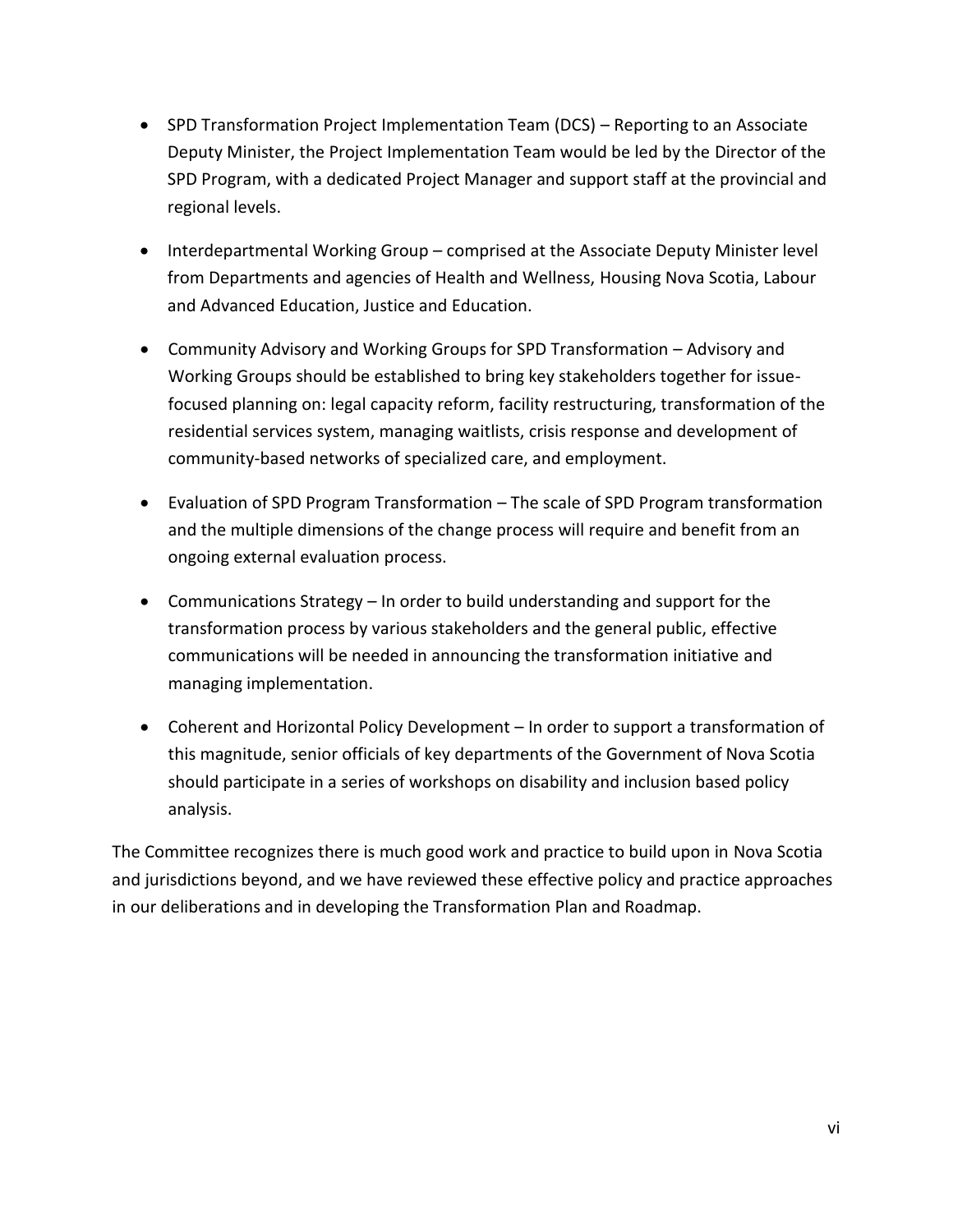- SPD Transformation Project Implementation Team (DCS) Reporting to an Associate Deputy Minister, the Project Implementation Team would be led by the Director of the SPD Program, with a dedicated Project Manager and support staff at the provincial and regional levels.
- Interdepartmental Working Group comprised at the Associate Deputy Minister level from Departments and agencies of Health and Wellness, Housing Nova Scotia, Labour and Advanced Education, Justice and Education.
- Community Advisory and Working Groups for SPD Transformation Advisory and Working Groups should be established to bring key stakeholders together for issuefocused planning on: legal capacity reform, facility restructuring, transformation of the residential services system, managing waitlists, crisis response and development of community-based networks of specialized care, and employment.
- Evaluation of SPD Program Transformation The scale of SPD Program transformation and the multiple dimensions of the change process will require and benefit from an ongoing external evaluation process.
- Communications Strategy In order to build understanding and support for the transformation process by various stakeholders and the general public, effective communications will be needed in announcing the transformation initiative and managing implementation.
- Coherent and Horizontal Policy Development In order to support a transformation of this magnitude, senior officials of key departments of the Government of Nova Scotia should participate in a series of workshops on disability and inclusion based policy analysis.

The Committee recognizes there is much good work and practice to build upon in Nova Scotia and jurisdictions beyond, and we have reviewed these effective policy and practice approaches in our deliberations and in developing the Transformation Plan and Roadmap.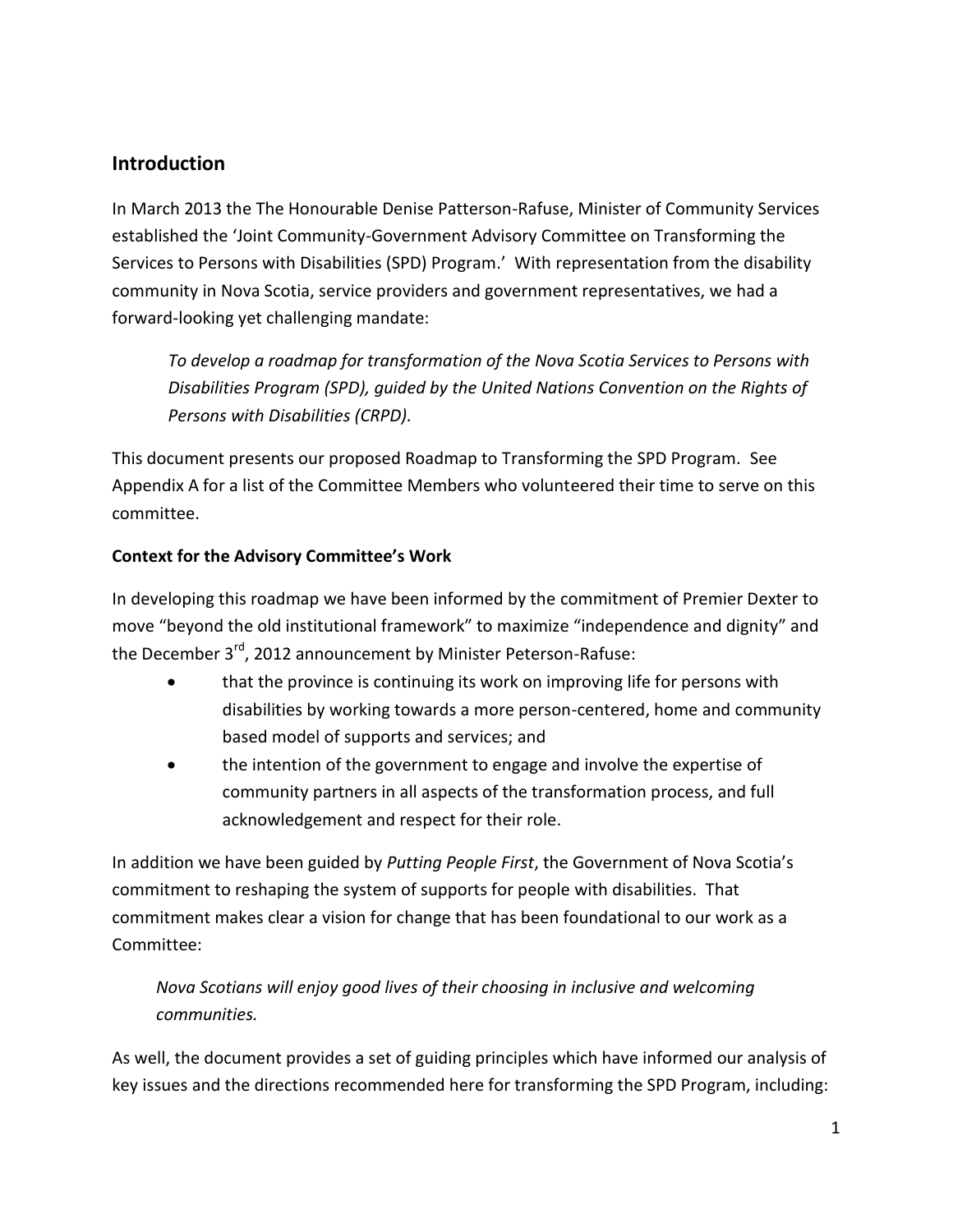## <span id="page-10-0"></span>**Introduction**

In March 2013 the The Honourable Denise Patterson-Rafuse, Minister of Community Services established the 'Joint Community-Government Advisory Committee on Transforming the Services to Persons with Disabilities (SPD) Program.' With representation from the disability community in Nova Scotia, service providers and government representatives, we had a forward-looking yet challenging mandate:

*To develop a roadmap for transformation of the Nova Scotia Services to Persons with Disabilities Program (SPD), guided by the United Nations Convention on the Rights of Persons with Disabilities (CRPD).*

This document presents our proposed Roadmap to Transforming the SPD Program. See Appendix A for a list of the Committee Members who volunteered their time to serve on this committee.

#### **Context for the Advisory Committee's Work**

In developing this roadmap we have been informed by the commitment of Premier Dexter to move "beyond the old institutional framework" to maximize "independence and dignity" and the December 3<sup>rd</sup>, 2012 announcement by Minister Peterson-Rafuse:

- that the province is continuing its work on improving life for persons with disabilities by working towards a more person-centered, home and community based model of supports and services; and
- the intention of the government to engage and involve the expertise of community partners in all aspects of the transformation process, and full acknowledgement and respect for their role.

In addition we have been guided by *Putting People First*, the Government of Nova Scotia's commitment to reshaping the system of supports for people with disabilities. That commitment makes clear a vision for change that has been foundational to our work as a Committee:

*Nova Scotians will enjoy good lives of their choosing in inclusive and welcoming communities.*

As well, the document provides a set of guiding principles which have informed our analysis of key issues and the directions recommended here for transforming the SPD Program, including: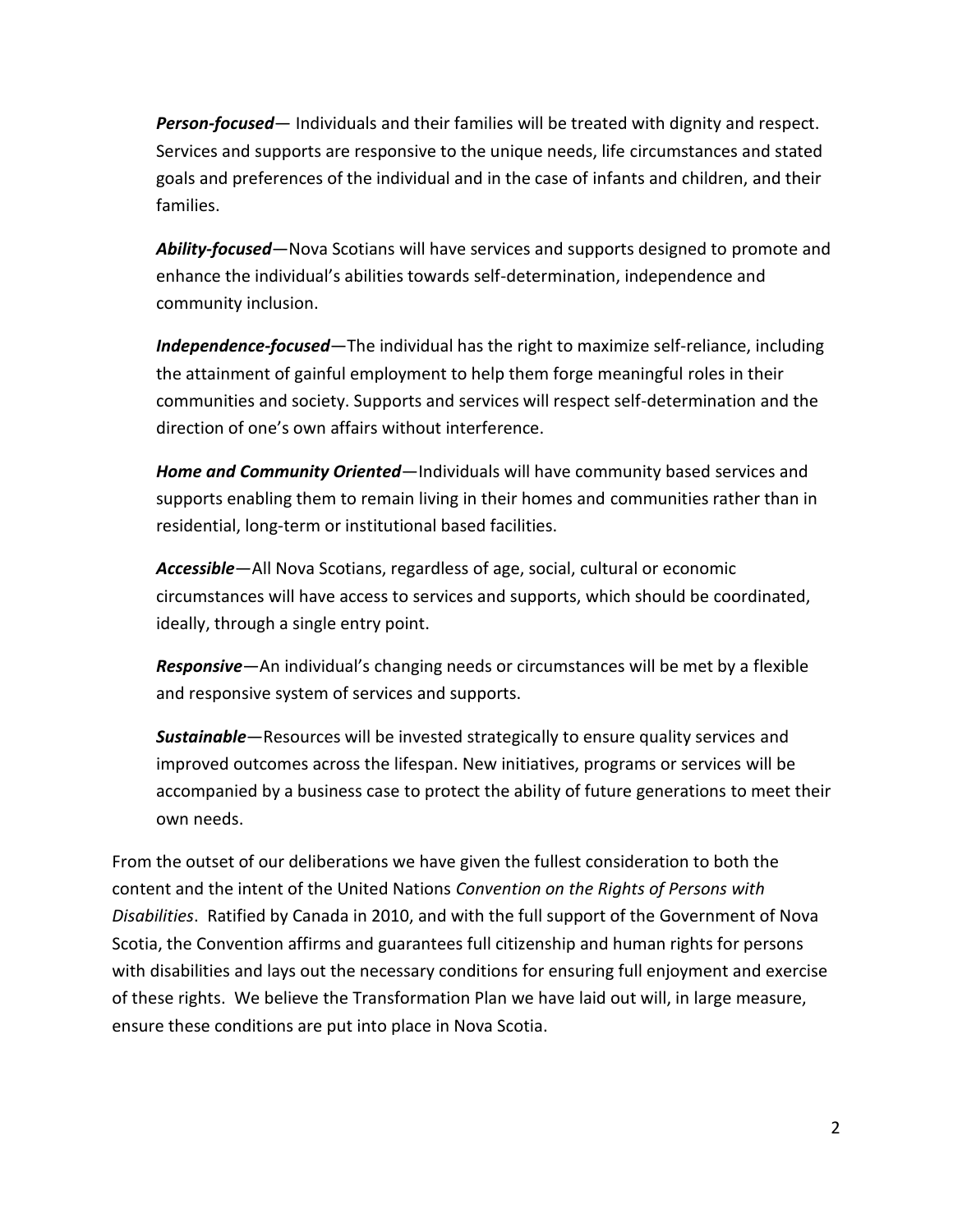*Person-focused*— Individuals and their families will be treated with dignity and respect. Services and supports are responsive to the unique needs, life circumstances and stated goals and preferences of the individual and in the case of infants and children, and their families.

*Ability-focused*—Nova Scotians will have services and supports designed to promote and enhance the individual's abilities towards self-determination, independence and community inclusion.

*Independence-focused*—The individual has the right to maximize self-reliance, including the attainment of gainful employment to help them forge meaningful roles in their communities and society. Supports and services will respect self-determination and the direction of one's own affairs without interference.

*Home and Community Oriented*—Individuals will have community based services and supports enabling them to remain living in their homes and communities rather than in residential, long-term or institutional based facilities.

*Accessible*—All Nova Scotians, regardless of age, social, cultural or economic circumstances will have access to services and supports, which should be coordinated, ideally, through a single entry point.

*Responsive*—An individual's changing needs or circumstances will be met by a flexible and responsive system of services and supports.

*Sustainable*—Resources will be invested strategically to ensure quality services and improved outcomes across the lifespan. New initiatives, programs or services will be accompanied by a business case to protect the ability of future generations to meet their own needs.

From the outset of our deliberations we have given the fullest consideration to both the content and the intent of the United Nations *Convention on the Rights of Persons with Disabilities*. Ratified by Canada in 2010, and with the full support of the Government of Nova Scotia, the Convention affirms and guarantees full citizenship and human rights for persons with disabilities and lays out the necessary conditions for ensuring full enjoyment and exercise of these rights. We believe the Transformation Plan we have laid out will, in large measure, ensure these conditions are put into place in Nova Scotia.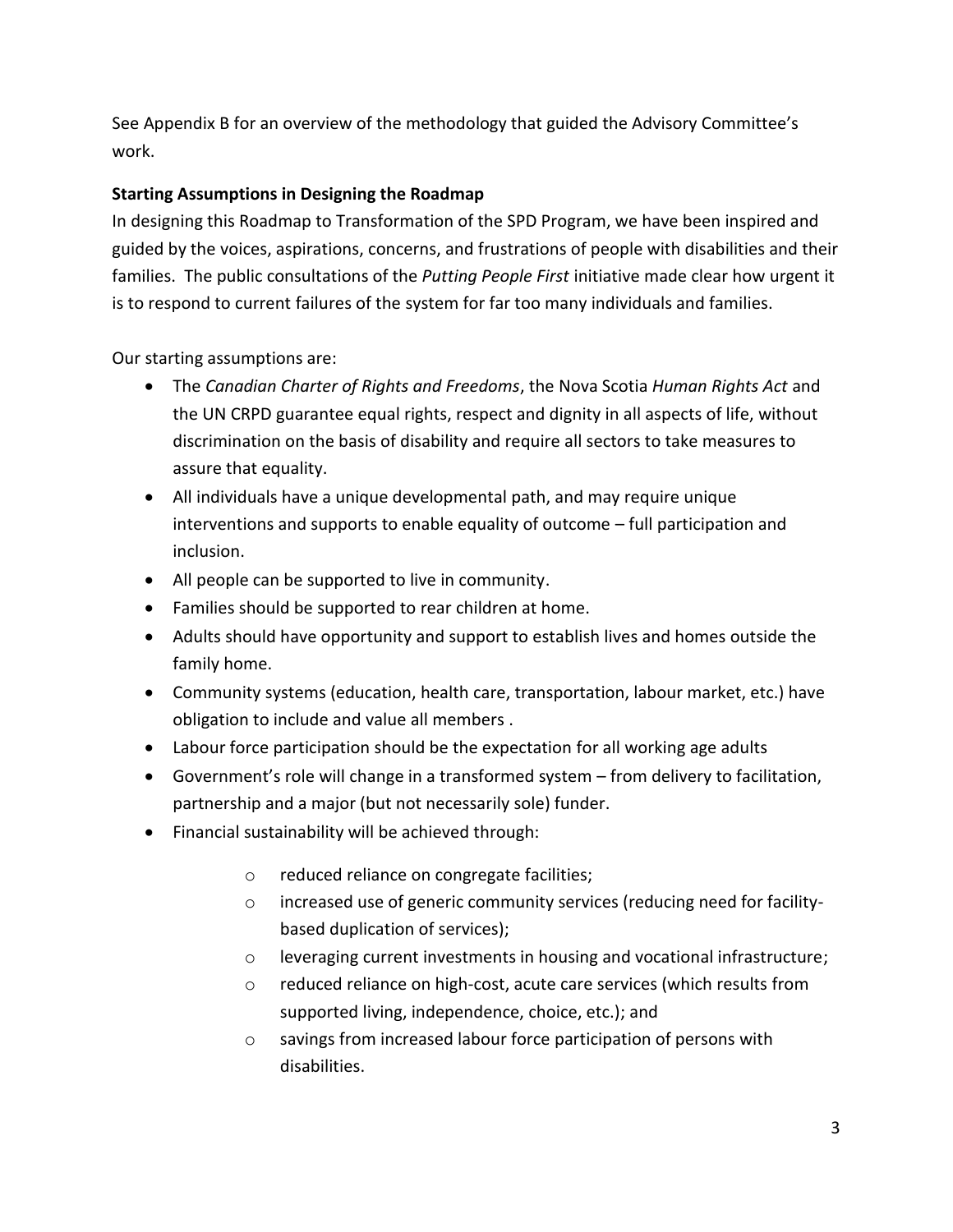See Appendix B for an overview of the methodology that guided the Advisory Committee's work.

#### **Starting Assumptions in Designing the Roadmap**

In designing this Roadmap to Transformation of the SPD Program, we have been inspired and guided by the voices, aspirations, concerns, and frustrations of people with disabilities and their families. The public consultations of the *Putting People First* initiative made clear how urgent it is to respond to current failures of the system for far too many individuals and families.

Our starting assumptions are:

- The *Canadian Charter of Rights and Freedoms*, the Nova Scotia *Human Rights Act* and the UN CRPD guarantee equal rights, respect and dignity in all aspects of life, without discrimination on the basis of disability and require all sectors to take measures to assure that equality.
- All individuals have a unique developmental path, and may require unique interventions and supports to enable equality of outcome – full participation and inclusion.
- All people can be supported to live in community.
- Families should be supported to rear children at home.
- Adults should have opportunity and support to establish lives and homes outside the family home.
- Community systems (education, health care, transportation, labour market, etc.) have obligation to include and value all members .
- Labour force participation should be the expectation for all working age adults
- Government's role will change in a transformed system from delivery to facilitation, partnership and a major (but not necessarily sole) funder.
- Financial sustainability will be achieved through:
	- o reduced reliance on congregate facilities;
	- o increased use of generic community services (reducing need for facilitybased duplication of services);
	- o leveraging current investments in housing and vocational infrastructure;
	- o reduced reliance on high-cost, acute care services (which results from supported living, independence, choice, etc.); and
	- o savings from increased labour force participation of persons with disabilities.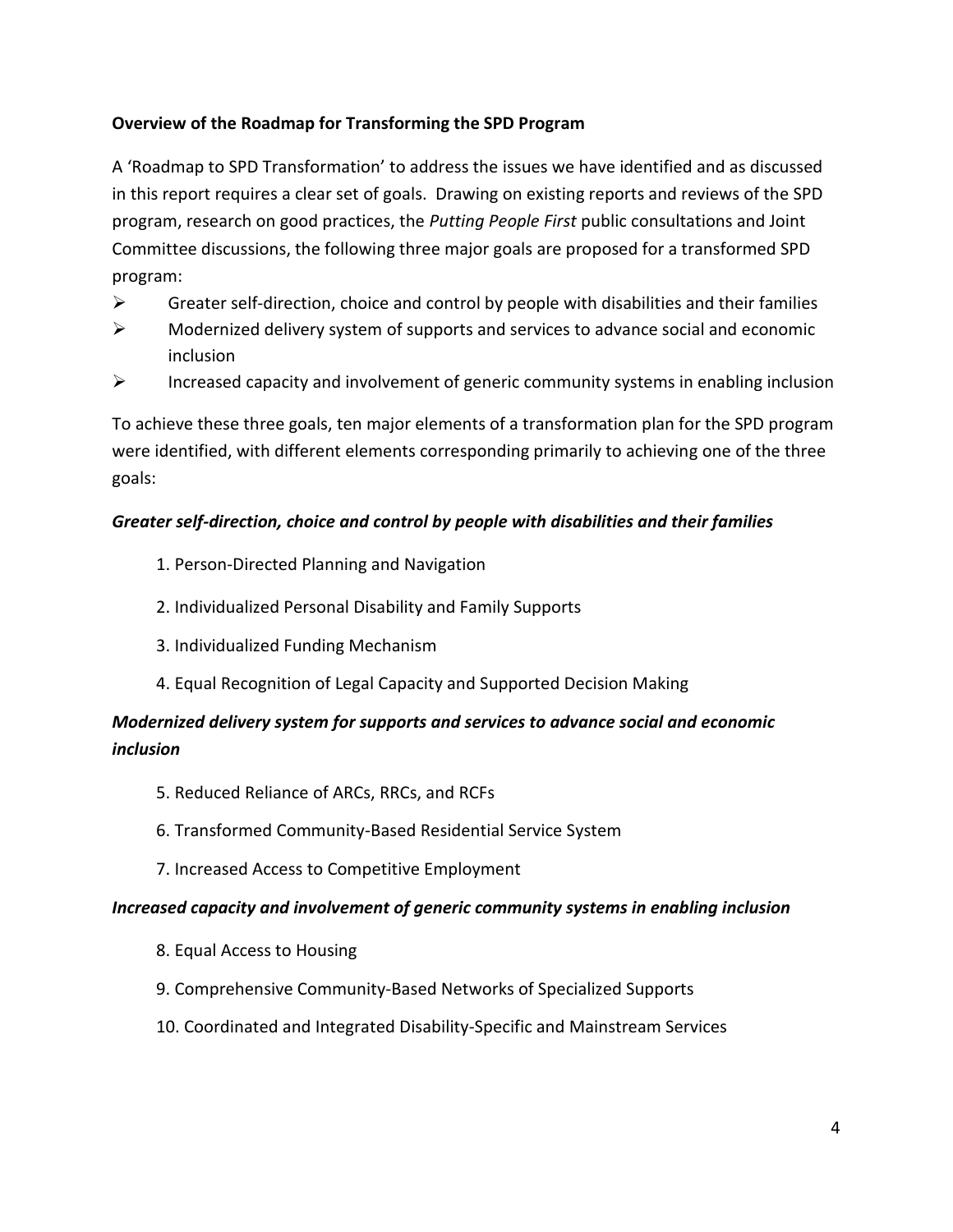#### **Overview of the Roadmap for Transforming the SPD Program**

A 'Roadmap to SPD Transformation' to address the issues we have identified and as discussed in this report requires a clear set of goals. Drawing on existing reports and reviews of the SPD program, research on good practices, the *Putting People First* public consultations and Joint Committee discussions, the following three major goals are proposed for a transformed SPD program:

- $\triangleright$  Greater self-direction, choice and control by people with disabilities and their families
- $\triangleright$  Modernized delivery system of supports and services to advance social and economic inclusion
- $\triangleright$  Increased capacity and involvement of generic community systems in enabling inclusion

To achieve these three goals, ten major elements of a transformation plan for the SPD program were identified, with different elements corresponding primarily to achieving one of the three goals:

#### *Greater self-direction, choice and control by people with disabilities and their families*

- 1. Person-Directed Planning and Navigation
- 2. Individualized Personal Disability and Family Supports
- 3. Individualized Funding Mechanism
- 4. Equal Recognition of Legal Capacity and Supported Decision Making

## *Modernized delivery system for supports and services to advance social and economic inclusion*

- 5. Reduced Reliance of ARCs, RRCs, and RCFs
- 6. Transformed Community-Based Residential Service System
- 7. Increased Access to Competitive Employment

#### *Increased capacity and involvement of generic community systems in enabling inclusion*

- 8. Equal Access to Housing
- 9. Comprehensive Community-Based Networks of Specialized Supports
- 10. Coordinated and Integrated Disability-Specific and Mainstream Services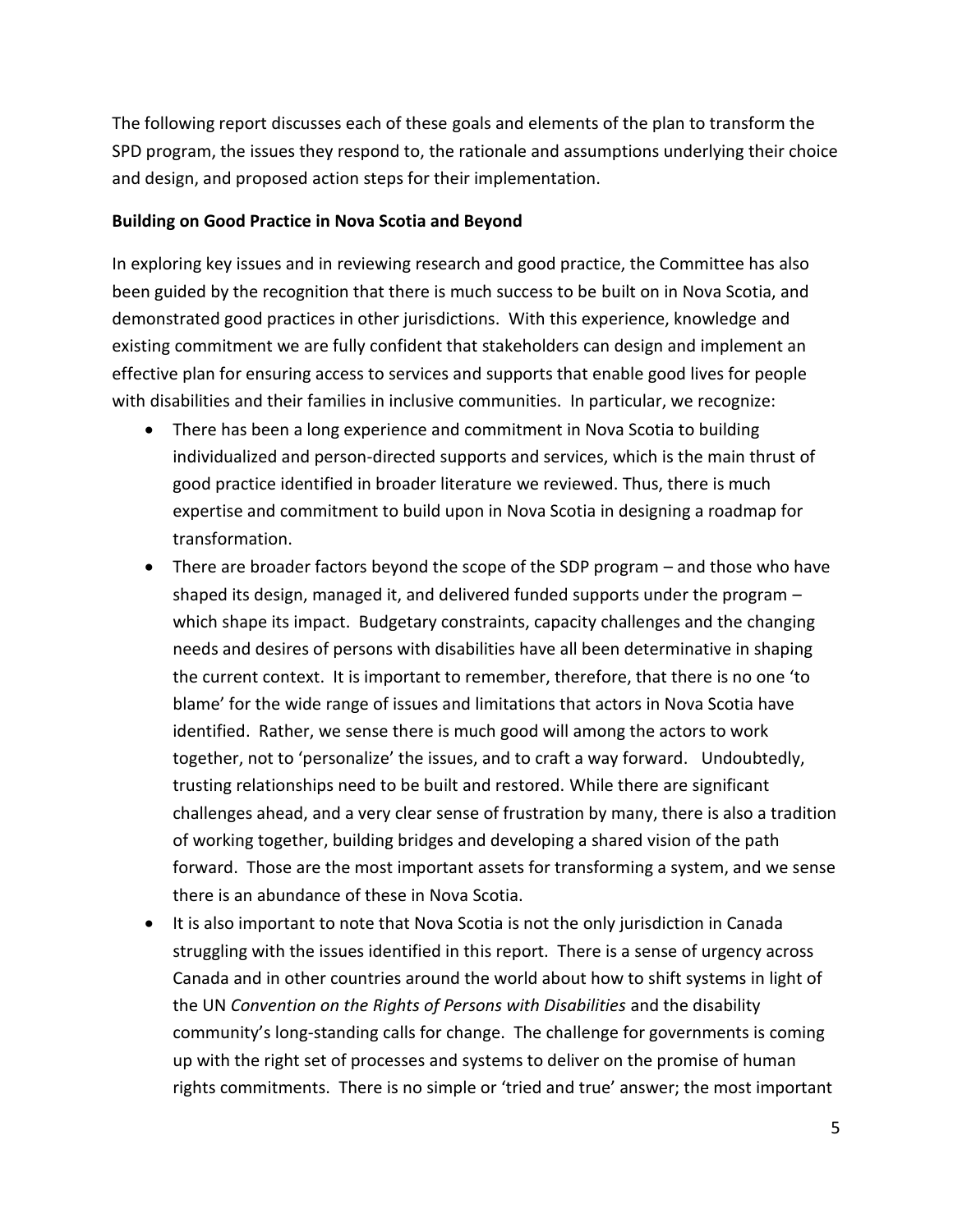The following report discusses each of these goals and elements of the plan to transform the SPD program, the issues they respond to, the rationale and assumptions underlying their choice and design, and proposed action steps for their implementation.

#### **Building on Good Practice in Nova Scotia and Beyond**

In exploring key issues and in reviewing research and good practice, the Committee has also been guided by the recognition that there is much success to be built on in Nova Scotia, and demonstrated good practices in other jurisdictions. With this experience, knowledge and existing commitment we are fully confident that stakeholders can design and implement an effective plan for ensuring access to services and supports that enable good lives for people with disabilities and their families in inclusive communities. In particular, we recognize:

- There has been a long experience and commitment in Nova Scotia to building individualized and person-directed supports and services, which is the main thrust of good practice identified in broader literature we reviewed. Thus, there is much expertise and commitment to build upon in Nova Scotia in designing a roadmap for transformation.
- There are broader factors beyond the scope of the SDP program and those who have shaped its design, managed it, and delivered funded supports under the program – which shape its impact. Budgetary constraints, capacity challenges and the changing needs and desires of persons with disabilities have all been determinative in shaping the current context. It is important to remember, therefore, that there is no one 'to blame' for the wide range of issues and limitations that actors in Nova Scotia have identified. Rather, we sense there is much good will among the actors to work together, not to 'personalize' the issues, and to craft a way forward. Undoubtedly, trusting relationships need to be built and restored. While there are significant challenges ahead, and a very clear sense of frustration by many, there is also a tradition of working together, building bridges and developing a shared vision of the path forward. Those are the most important assets for transforming a system, and we sense there is an abundance of these in Nova Scotia.
- It is also important to note that Nova Scotia is not the only jurisdiction in Canada struggling with the issues identified in this report. There is a sense of urgency across Canada and in other countries around the world about how to shift systems in light of the UN *Convention on the Rights of Persons with Disabilities* and the disability community's long-standing calls for change. The challenge for governments is coming up with the right set of processes and systems to deliver on the promise of human rights commitments. There is no simple or 'tried and true' answer; the most important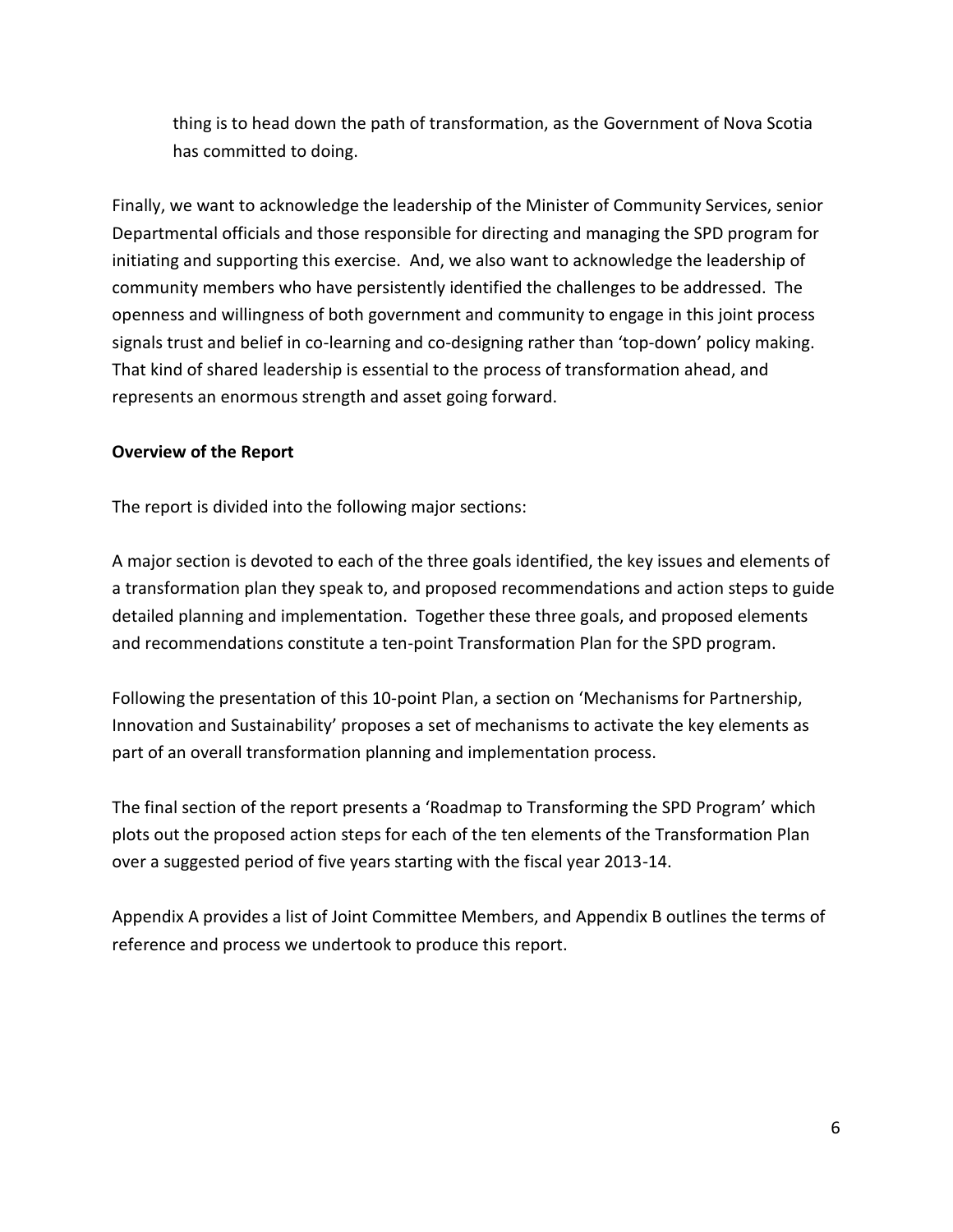thing is to head down the path of transformation, as the Government of Nova Scotia has committed to doing.

Finally, we want to acknowledge the leadership of the Minister of Community Services, senior Departmental officials and those responsible for directing and managing the SPD program for initiating and supporting this exercise. And, we also want to acknowledge the leadership of community members who have persistently identified the challenges to be addressed. The openness and willingness of both government and community to engage in this joint process signals trust and belief in co-learning and co-designing rather than 'top-down' policy making. That kind of shared leadership is essential to the process of transformation ahead, and represents an enormous strength and asset going forward.

#### **Overview of the Report**

The report is divided into the following major sections:

A major section is devoted to each of the three goals identified, the key issues and elements of a transformation plan they speak to, and proposed recommendations and action steps to guide detailed planning and implementation. Together these three goals, and proposed elements and recommendations constitute a ten-point Transformation Plan for the SPD program.

Following the presentation of this 10-point Plan, a section on 'Mechanisms for Partnership, Innovation and Sustainability' proposes a set of mechanisms to activate the key elements as part of an overall transformation planning and implementation process.

The final section of the report presents a 'Roadmap to Transforming the SPD Program' which plots out the proposed action steps for each of the ten elements of the Transformation Plan over a suggested period of five years starting with the fiscal year 2013-14.

Appendix A provides a list of Joint Committee Members, and Appendix B outlines the terms of reference and process we undertook to produce this report.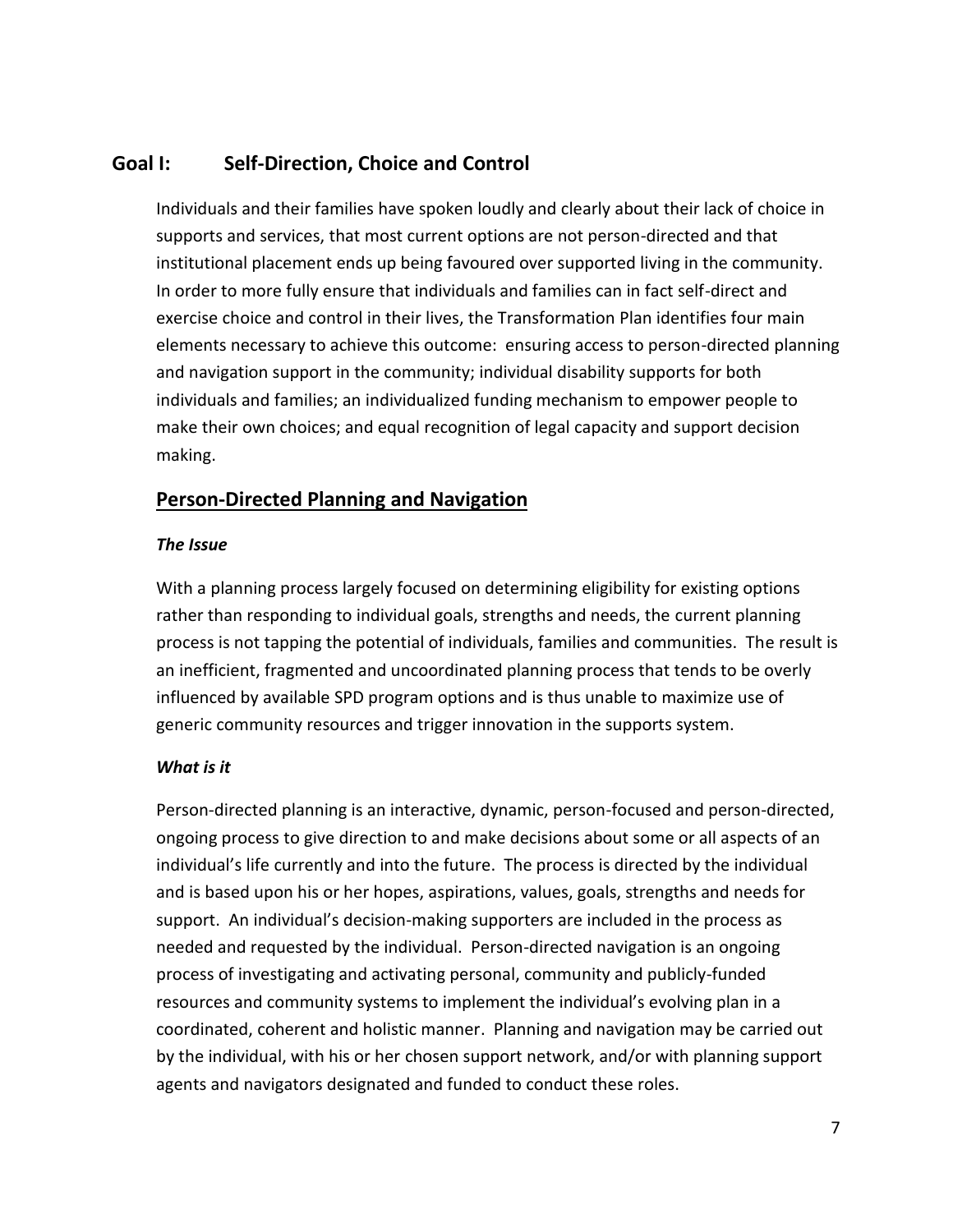## <span id="page-16-0"></span>**Goal I: Self-Direction, Choice and Control**

Individuals and their families have spoken loudly and clearly about their lack of choice in supports and services, that most current options are not person-directed and that institutional placement ends up being favoured over supported living in the community. In order to more fully ensure that individuals and families can in fact self-direct and exercise choice and control in their lives, the Transformation Plan identifies four main elements necessary to achieve this outcome: ensuring access to person-directed planning and navigation support in the community; individual disability supports for both individuals and families; an individualized funding mechanism to empower people to make their own choices; and equal recognition of legal capacity and support decision making.

## <span id="page-16-1"></span>**Person-Directed Planning and Navigation**

#### *The Issue*

With a planning process largely focused on determining eligibility for existing options rather than responding to individual goals, strengths and needs, the current planning process is not tapping the potential of individuals, families and communities. The result is an inefficient, fragmented and uncoordinated planning process that tends to be overly influenced by available SPD program options and is thus unable to maximize use of generic community resources and trigger innovation in the supports system.

#### *What is it*

Person-directed planning is an interactive, dynamic, person-focused and person-directed, ongoing process to give direction to and make decisions about some or all aspects of an individual's life currently and into the future. The process is directed by the individual and is based upon his or her hopes, aspirations, values, goals, strengths and needs for support. An individual's decision-making supporters are included in the process as needed and requested by the individual. Person-directed navigation is an ongoing process of investigating and activating personal, community and publicly-funded resources and community systems to implement the individual's evolving plan in a coordinated, coherent and holistic manner. Planning and navigation may be carried out by the individual, with his or her chosen support network, and/or with planning support agents and navigators designated and funded to conduct these roles.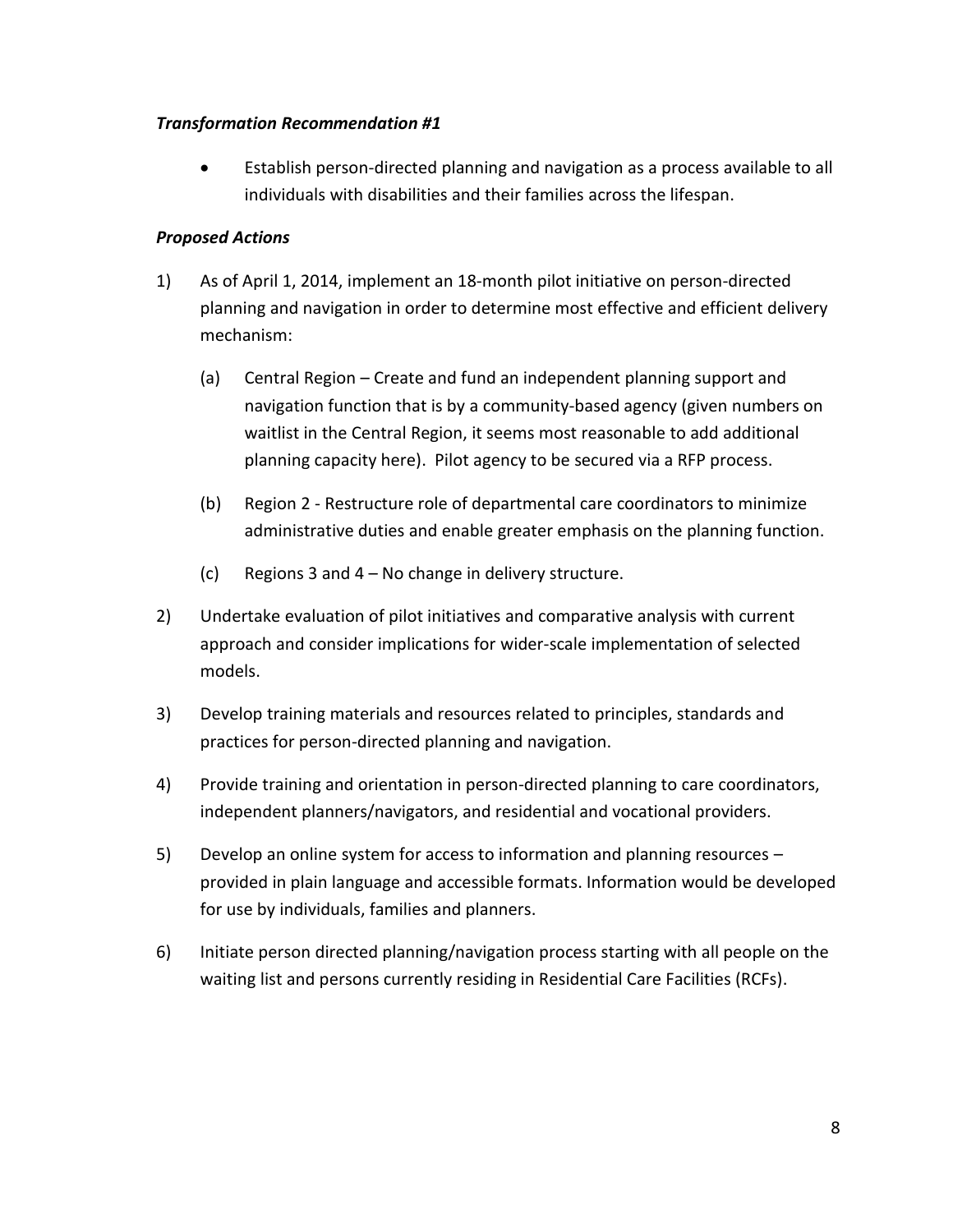#### *Transformation Recommendation #1*

 Establish person-directed planning and navigation as a process available to all individuals with disabilities and their families across the lifespan.

#### *Proposed Actions*

- 1) As of April 1, 2014, implement an 18-month pilot initiative on person-directed planning and navigation in order to determine most effective and efficient delivery mechanism:
	- (a) Central Region Create and fund an independent planning support and navigation function that is by a community-based agency (given numbers on waitlist in the Central Region, it seems most reasonable to add additional planning capacity here). Pilot agency to be secured via a RFP process.
	- (b) Region 2 Restructure role of departmental care coordinators to minimize administrative duties and enable greater emphasis on the planning function.
	- (c) Regions 3 and 4 No change in delivery structure.
- 2) Undertake evaluation of pilot initiatives and comparative analysis with current approach and consider implications for wider-scale implementation of selected models.
- 3) Develop training materials and resources related to principles, standards and practices for person-directed planning and navigation.
- 4) Provide training and orientation in person-directed planning to care coordinators, independent planners/navigators, and residential and vocational providers.
- 5) Develop an online system for access to information and planning resources provided in plain language and accessible formats. Information would be developed for use by individuals, families and planners.
- 6) Initiate person directed planning/navigation process starting with all people on the waiting list and persons currently residing in Residential Care Facilities (RCFs).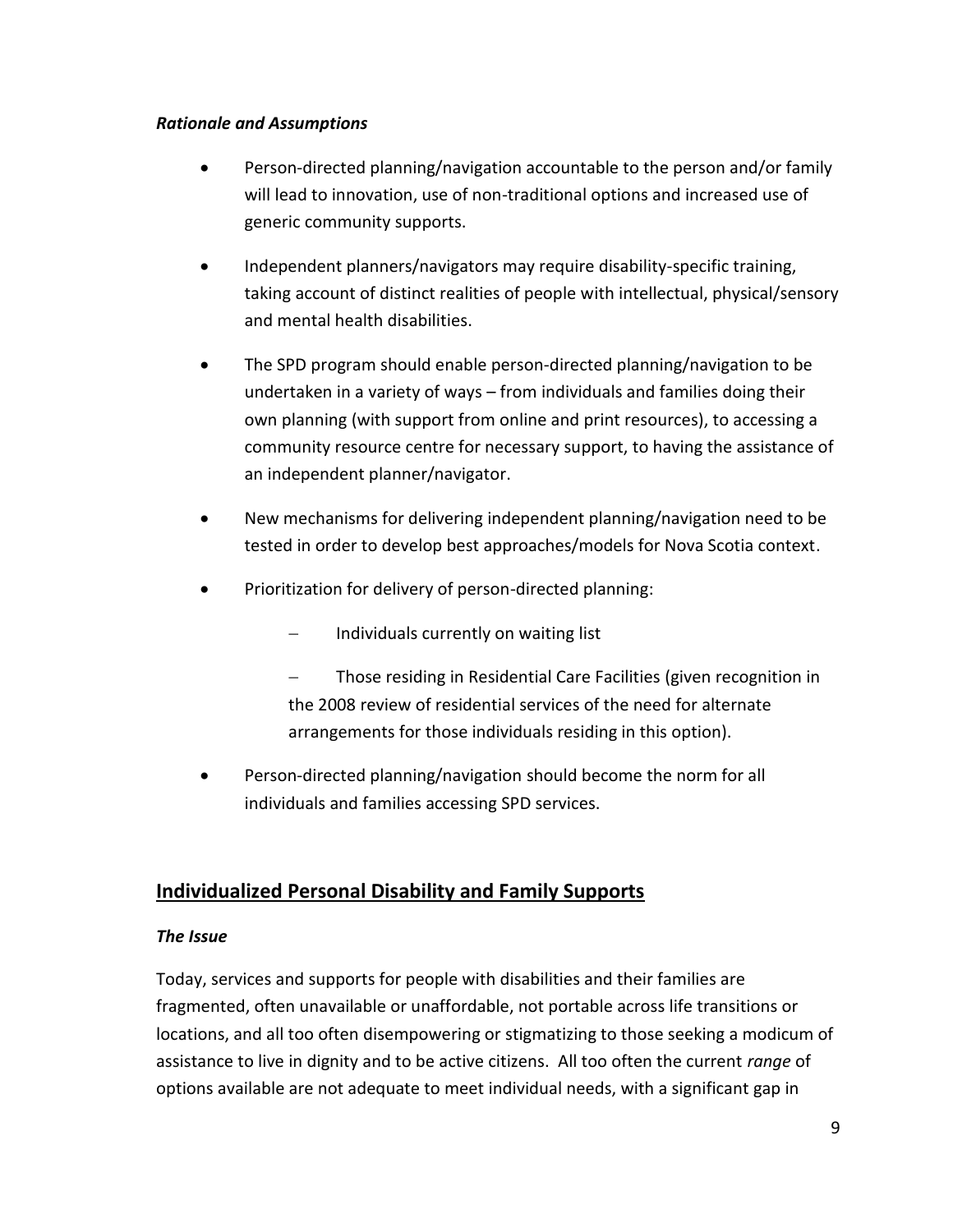#### *Rationale and Assumptions*

- Person-directed planning/navigation accountable to the person and/or family will lead to innovation, use of non-traditional options and increased use of generic community supports.
- Independent planners/navigators may require disability-specific training, taking account of distinct realities of people with intellectual, physical/sensory and mental health disabilities.
- The SPD program should enable person-directed planning/navigation to be undertaken in a variety of ways – from individuals and families doing their own planning (with support from online and print resources), to accessing a community resource centre for necessary support, to having the assistance of an independent planner/navigator.
- New mechanisms for delivering independent planning/navigation need to be tested in order to develop best approaches/models for Nova Scotia context.
- Prioritization for delivery of person-directed planning:
	- Individuals currently on waiting list
	- Those residing in Residential Care Facilities (given recognition in the 2008 review of residential services of the need for alternate arrangements for those individuals residing in this option).
- Person-directed planning/navigation should become the norm for all individuals and families accessing SPD services.

## <span id="page-18-0"></span>**Individualized Personal Disability and Family Supports**

#### *The Issue*

Today, services and supports for people with disabilities and their families are fragmented, often unavailable or unaffordable, not portable across life transitions or locations, and all too often disempowering or stigmatizing to those seeking a modicum of assistance to live in dignity and to be active citizens. All too often the current *range* of options available are not adequate to meet individual needs, with a significant gap in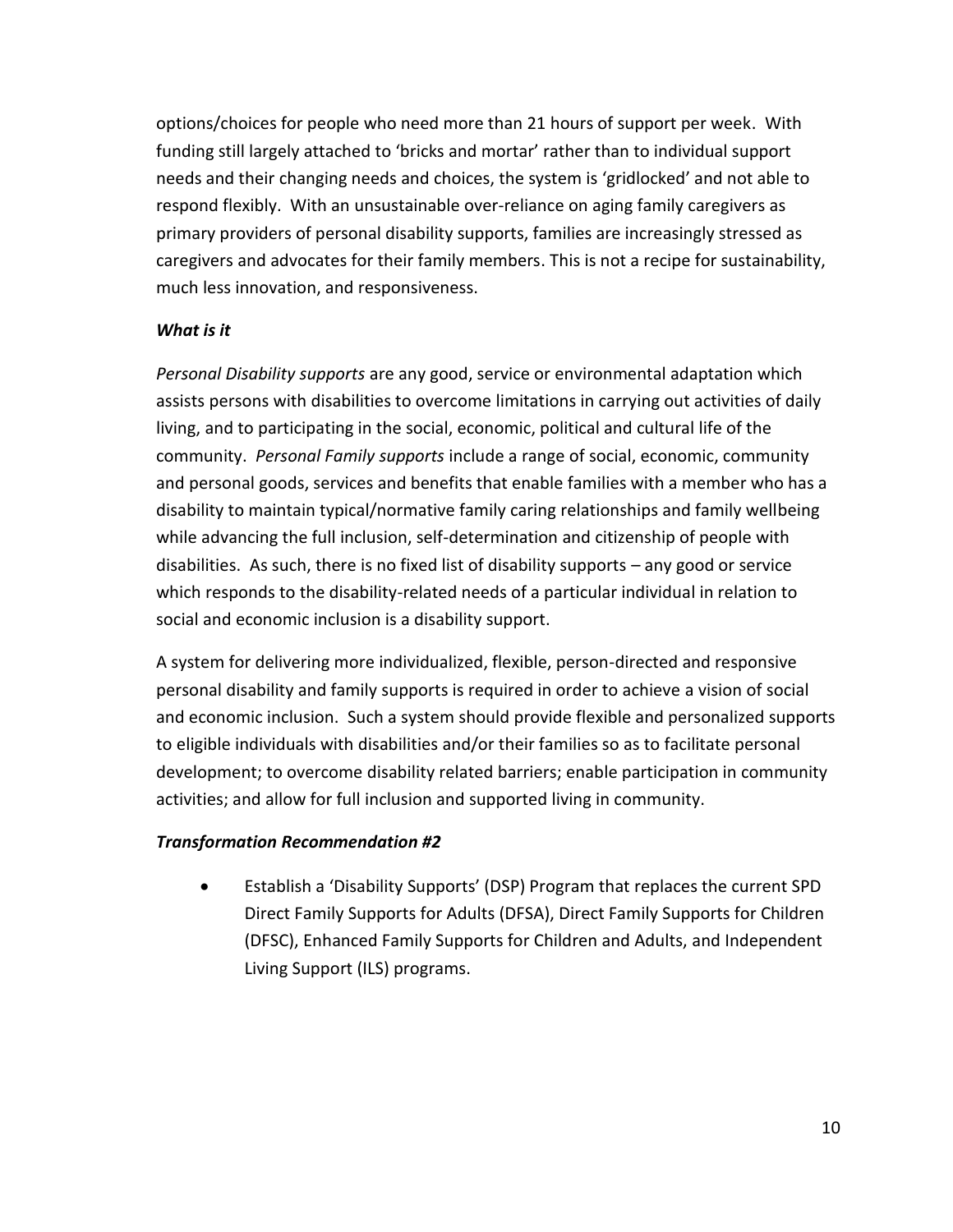options/choices for people who need more than 21 hours of support per week. With funding still largely attached to 'bricks and mortar' rather than to individual support needs and their changing needs and choices, the system is 'gridlocked' and not able to respond flexibly. With an unsustainable over-reliance on aging family caregivers as primary providers of personal disability supports, families are increasingly stressed as caregivers and advocates for their family members. This is not a recipe for sustainability, much less innovation, and responsiveness.

#### *What is it*

*Personal Disability supports* are any good, service or environmental adaptation which assists persons with disabilities to overcome limitations in carrying out activities of daily living, and to participating in the social, economic, political and cultural life of the community. *Personal Family supports* include a range of social, economic, community and personal goods, services and benefits that enable families with a member who has a disability to maintain typical/normative family caring relationships and family wellbeing while advancing the full inclusion, self-determination and citizenship of people with disabilities. As such, there is no fixed list of disability supports – any good or service which responds to the disability-related needs of a particular individual in relation to social and economic inclusion is a disability support.

A system for delivering more individualized, flexible, person-directed and responsive personal disability and family supports is required in order to achieve a vision of social and economic inclusion. Such a system should provide flexible and personalized supports to eligible individuals with disabilities and/or their families so as to facilitate personal development; to overcome disability related barriers; enable participation in community activities; and allow for full inclusion and supported living in community.

#### *Transformation Recommendation #2*

 Establish a 'Disability Supports' (DSP) Program that replaces the current SPD Direct Family Supports for Adults (DFSA), Direct Family Supports for Children (DFSC), Enhanced Family Supports for Children and Adults, and Independent Living Support (ILS) programs.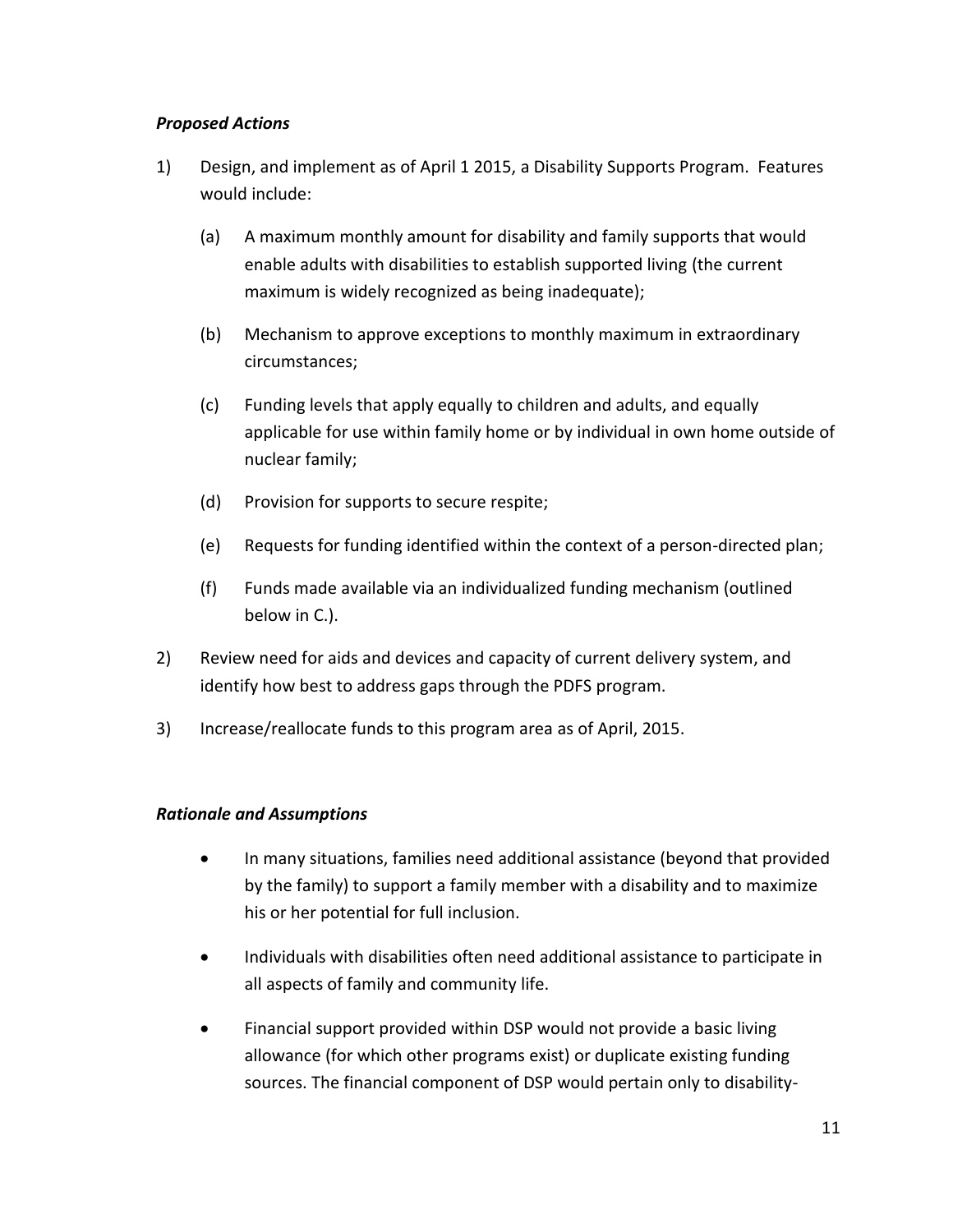#### *Proposed Actions*

- 1) Design, and implement as of April 1 2015, a Disability Supports Program. Features would include:
	- (a) A maximum monthly amount for disability and family supports that would enable adults with disabilities to establish supported living (the current maximum is widely recognized as being inadequate);
	- (b) Mechanism to approve exceptions to monthly maximum in extraordinary circumstances;
	- (c) Funding levels that apply equally to children and adults, and equally applicable for use within family home or by individual in own home outside of nuclear family;
	- (d) Provision for supports to secure respite;
	- (e) Requests for funding identified within the context of a person-directed plan;
	- (f) Funds made available via an individualized funding mechanism (outlined below in C.).
- 2) Review need for aids and devices and capacity of current delivery system, and identify how best to address gaps through the PDFS program.
- 3) Increase/reallocate funds to this program area as of April, 2015.

#### *Rationale and Assumptions*

- In many situations, families need additional assistance (beyond that provided by the family) to support a family member with a disability and to maximize his or her potential for full inclusion.
- Individuals with disabilities often need additional assistance to participate in all aspects of family and community life.
- Financial support provided within DSP would not provide a basic living allowance (for which other programs exist) or duplicate existing funding sources. The financial component of DSP would pertain only to disability-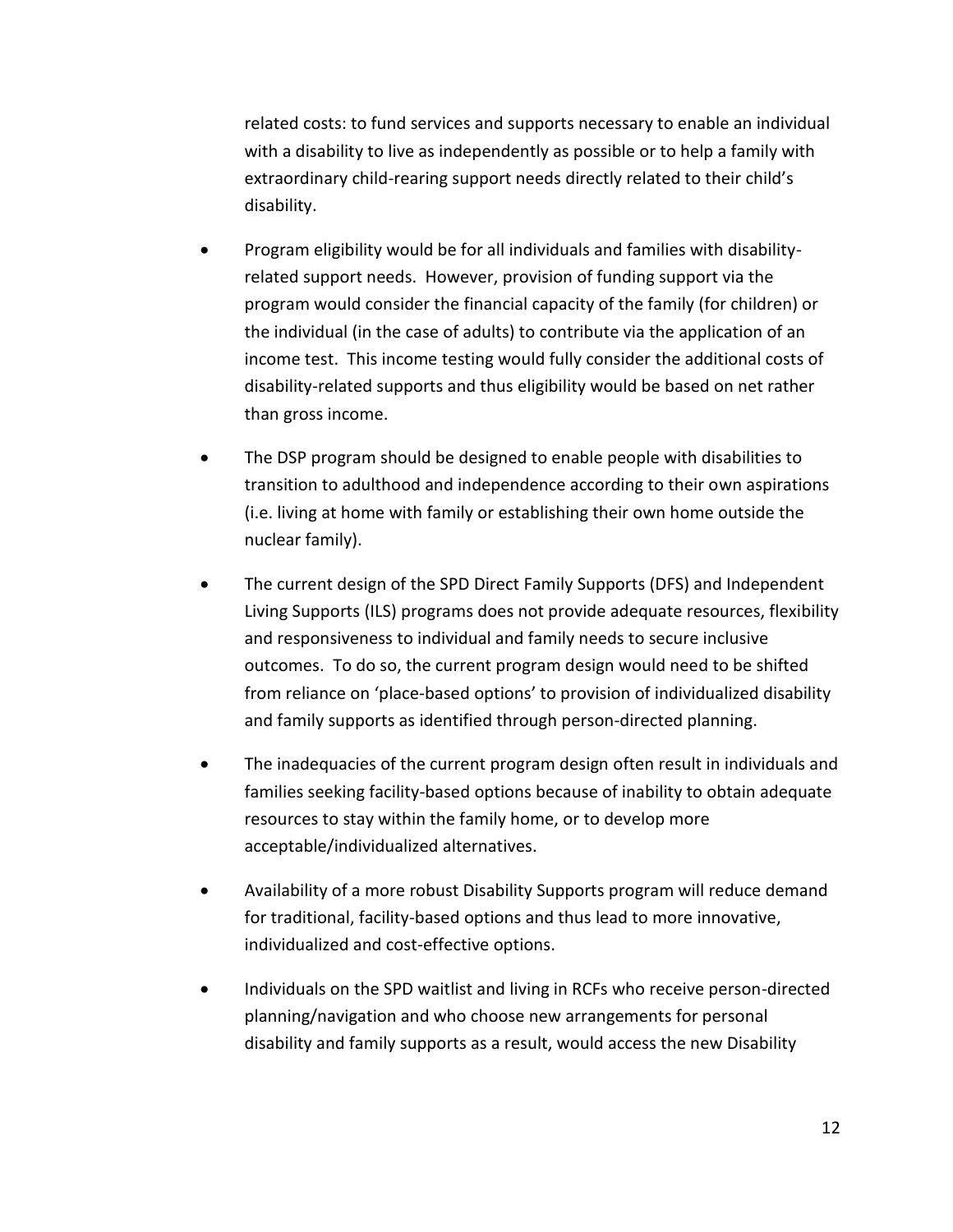related costs: to fund services and supports necessary to enable an individual with a disability to live as independently as possible or to help a family with extraordinary child-rearing support needs directly related to their child's disability.

- Program eligibility would be for all individuals and families with disabilityrelated support needs. However, provision of funding support via the program would consider the financial capacity of the family (for children) or the individual (in the case of adults) to contribute via the application of an income test. This income testing would fully consider the additional costs of disability-related supports and thus eligibility would be based on net rather than gross income.
- The DSP program should be designed to enable people with disabilities to transition to adulthood and independence according to their own aspirations (i.e. living at home with family or establishing their own home outside the nuclear family).
- The current design of the SPD Direct Family Supports (DFS) and Independent Living Supports (ILS) programs does not provide adequate resources, flexibility and responsiveness to individual and family needs to secure inclusive outcomes. To do so, the current program design would need to be shifted from reliance on 'place-based options' to provision of individualized disability and family supports as identified through person-directed planning.
- The inadequacies of the current program design often result in individuals and families seeking facility-based options because of inability to obtain adequate resources to stay within the family home, or to develop more acceptable/individualized alternatives.
- Availability of a more robust Disability Supports program will reduce demand for traditional, facility-based options and thus lead to more innovative, individualized and cost-effective options.
- Individuals on the SPD waitlist and living in RCFs who receive person-directed planning/navigation and who choose new arrangements for personal disability and family supports as a result, would access the new Disability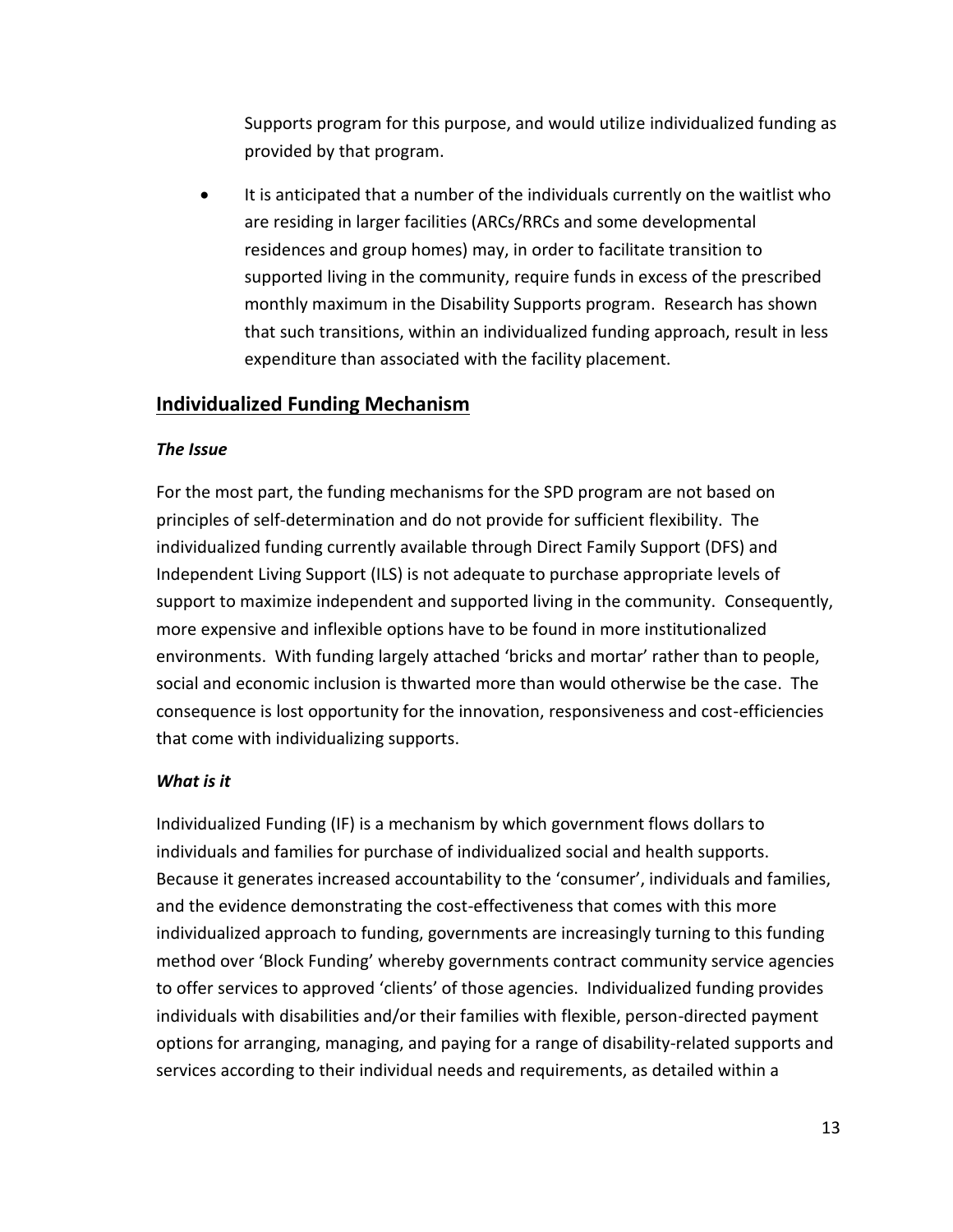Supports program for this purpose, and would utilize individualized funding as provided by that program.

 It is anticipated that a number of the individuals currently on the waitlist who are residing in larger facilities (ARCs/RRCs and some developmental residences and group homes) may, in order to facilitate transition to supported living in the community, require funds in excess of the prescribed monthly maximum in the Disability Supports program. Research has shown that such transitions, within an individualized funding approach, result in less expenditure than associated with the facility placement.

## <span id="page-22-0"></span>**Individualized Funding Mechanism**

#### *The Issue*

For the most part, the funding mechanisms for the SPD program are not based on principles of self-determination and do not provide for sufficient flexibility. The individualized funding currently available through Direct Family Support (DFS) and Independent Living Support (ILS) is not adequate to purchase appropriate levels of support to maximize independent and supported living in the community. Consequently, more expensive and inflexible options have to be found in more institutionalized environments. With funding largely attached 'bricks and mortar' rather than to people, social and economic inclusion is thwarted more than would otherwise be the case. The consequence is lost opportunity for the innovation, responsiveness and cost-efficiencies that come with individualizing supports.

## *What is it*

Individualized Funding (IF) is a mechanism by which government flows dollars to individuals and families for purchase of individualized social and health supports. Because it generates increased accountability to the 'consumer', individuals and families, and the evidence demonstrating the cost-effectiveness that comes with this more individualized approach to funding, governments are increasingly turning to this funding method over 'Block Funding' whereby governments contract community service agencies to offer services to approved 'clients' of those agencies. Individualized funding provides individuals with disabilities and/or their families with flexible, person-directed payment options for arranging, managing, and paying for a range of disability-related supports and services according to their individual needs and requirements, as detailed within a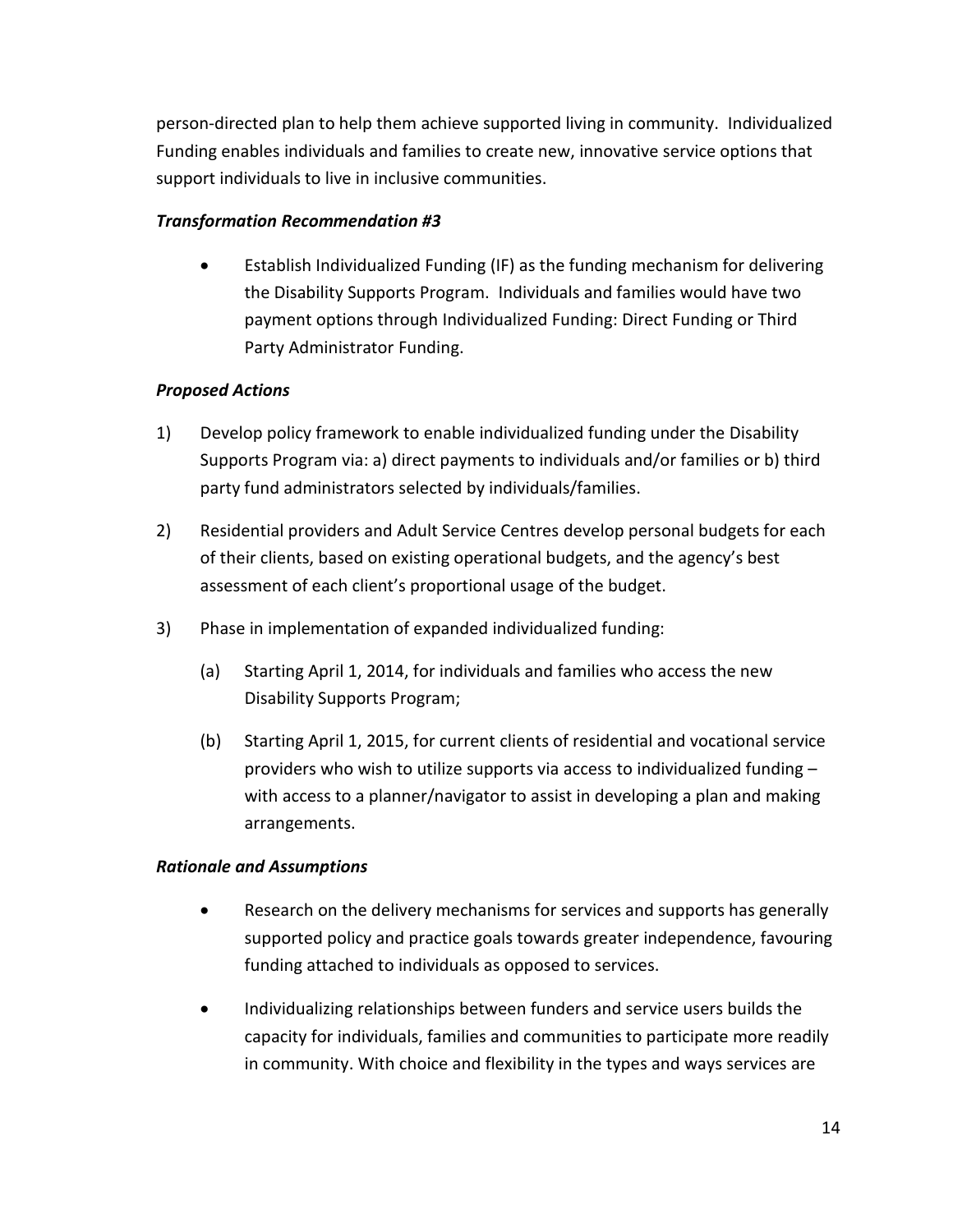person-directed plan to help them achieve supported living in community. Individualized Funding enables individuals and families to create new, innovative service options that support individuals to live in inclusive communities.

#### *Transformation Recommendation #3*

 Establish Individualized Funding (IF) as the funding mechanism for delivering the Disability Supports Program. Individuals and families would have two payment options through Individualized Funding: Direct Funding or Third Party Administrator Funding.

#### *Proposed Actions*

- 1) Develop policy framework to enable individualized funding under the Disability Supports Program via: a) direct payments to individuals and/or families or b) third party fund administrators selected by individuals/families.
- 2) Residential providers and Adult Service Centres develop personal budgets for each of their clients, based on existing operational budgets, and the agency's best assessment of each client's proportional usage of the budget.
- 3) Phase in implementation of expanded individualized funding:
	- (a) Starting April 1, 2014, for individuals and families who access the new Disability Supports Program;
	- (b) Starting April 1, 2015, for current clients of residential and vocational service providers who wish to utilize supports via access to individualized funding – with access to a planner/navigator to assist in developing a plan and making arrangements.

#### *Rationale and Assumptions*

- Research on the delivery mechanisms for services and supports has generally supported policy and practice goals towards greater independence, favouring funding attached to individuals as opposed to services.
- Individualizing relationships between funders and service users builds the capacity for individuals, families and communities to participate more readily in community. With choice and flexibility in the types and ways services are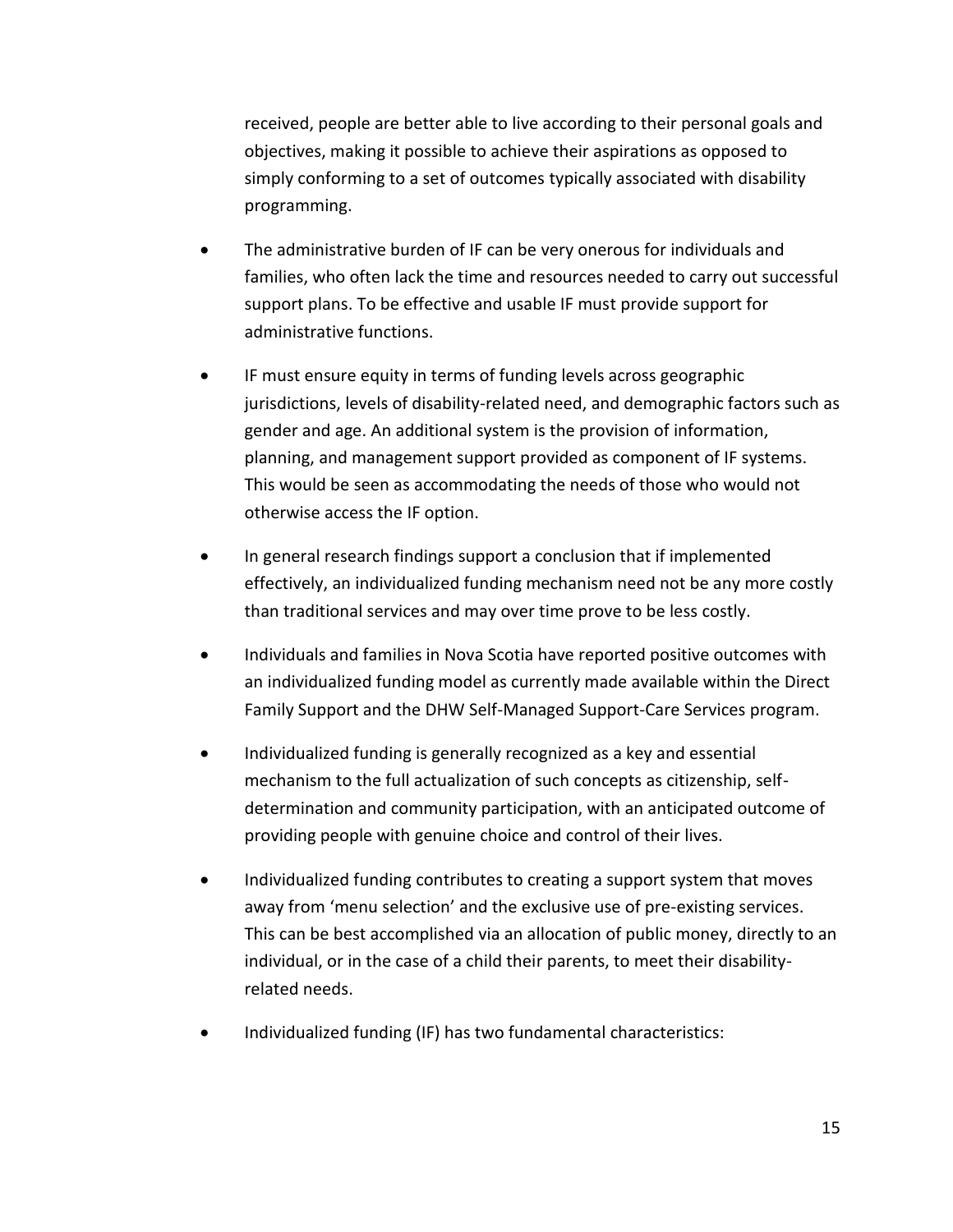received, people are better able to live according to their personal goals and objectives, making it possible to achieve their aspirations as opposed to simply conforming to a set of outcomes typically associated with disability programming.

- The administrative burden of IF can be very onerous for individuals and families, who often lack the time and resources needed to carry out successful support plans. To be effective and usable IF must provide support for administrative functions.
- IF must ensure equity in terms of funding levels across geographic jurisdictions, levels of disability-related need, and demographic factors such as gender and age. An additional system is the provision of information, planning, and management support provided as component of IF systems. This would be seen as accommodating the needs of those who would not otherwise access the IF option.
- In general research findings support a conclusion that if implemented effectively, an individualized funding mechanism need not be any more costly than traditional services and may over time prove to be less costly.
- Individuals and families in Nova Scotia have reported positive outcomes with an individualized funding model as currently made available within the Direct Family Support and the DHW Self-Managed Support-Care Services program.
- Individualized funding is generally recognized as a key and essential mechanism to the full actualization of such concepts as citizenship, selfdetermination and community participation, with an anticipated outcome of providing people with genuine choice and control of their lives.
- Individualized funding contributes to creating a support system that moves away from 'menu selection' and the exclusive use of pre-existing services. This can be best accomplished via an allocation of public money, directly to an individual, or in the case of a child their parents, to meet their disabilityrelated needs.
- Individualized funding (IF) has two fundamental characteristics: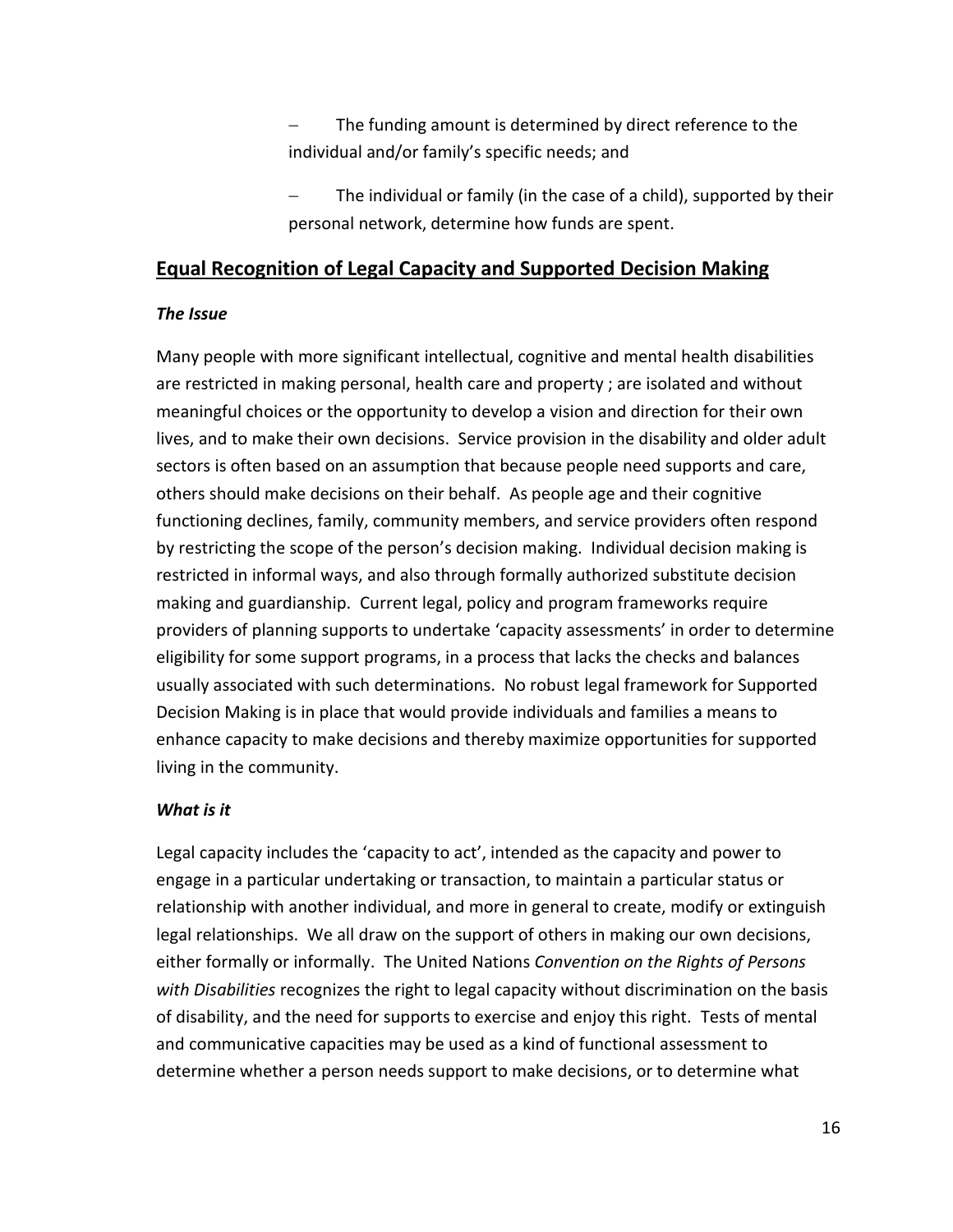The funding amount is determined by direct reference to the individual and/or family's specific needs; and

 The individual or family (in the case of a child), supported by their personal network, determine how funds are spent.

## <span id="page-25-0"></span>**Equal Recognition of Legal Capacity and Supported Decision Making**

#### *The Issue*

Many people with more significant intellectual, cognitive and mental health disabilities are restricted in making personal, health care and property ; are isolated and without meaningful choices or the opportunity to develop a vision and direction for their own lives, and to make their own decisions. Service provision in the disability and older adult sectors is often based on an assumption that because people need supports and care, others should make decisions on their behalf. As people age and their cognitive functioning declines, family, community members, and service providers often respond by restricting the scope of the person's decision making. Individual decision making is restricted in informal ways, and also through formally authorized substitute decision making and guardianship. Current legal, policy and program frameworks require providers of planning supports to undertake 'capacity assessments' in order to determine eligibility for some support programs, in a process that lacks the checks and balances usually associated with such determinations. No robust legal framework for Supported Decision Making is in place that would provide individuals and families a means to enhance capacity to make decisions and thereby maximize opportunities for supported living in the community.

#### *What is it*

Legal capacity includes the 'capacity to act', intended as the capacity and power to engage in a particular undertaking or transaction, to maintain a particular status or relationship with another individual, and more in general to create, modify or extinguish legal relationships. We all draw on the support of others in making our own decisions, either formally or informally. The United Nations *Convention on the Rights of Persons with Disabilities* recognizes the right to legal capacity without discrimination on the basis of disability, and the need for supports to exercise and enjoy this right. Tests of mental and communicative capacities may be used as a kind of functional assessment to determine whether a person needs support to make decisions, or to determine what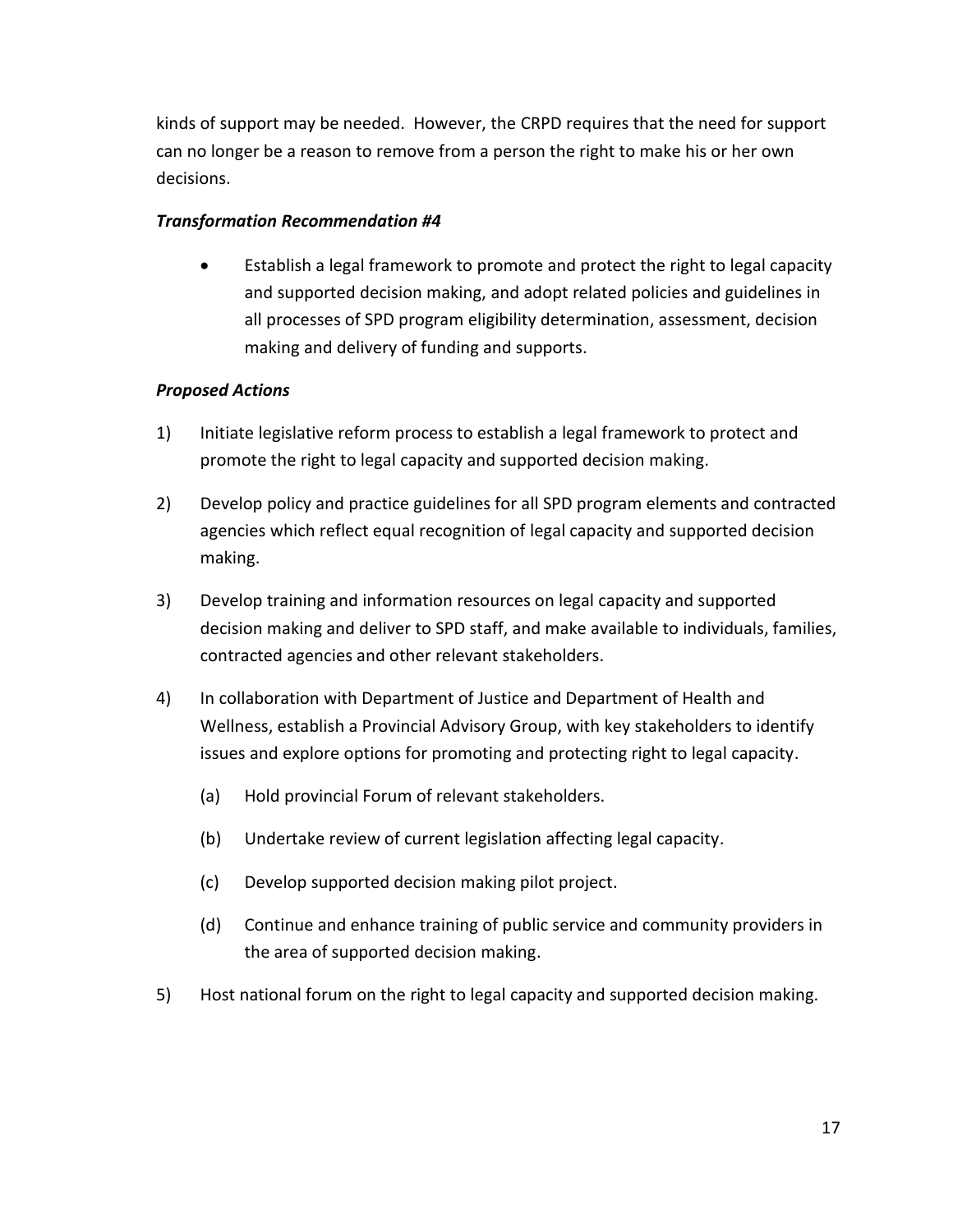kinds of support may be needed. However, the CRPD requires that the need for support can no longer be a reason to remove from a person the right to make his or her own decisions.

#### *Transformation Recommendation #4*

 Establish a legal framework to promote and protect the right to legal capacity and supported decision making, and adopt related policies and guidelines in all processes of SPD program eligibility determination, assessment, decision making and delivery of funding and supports.

#### *Proposed Actions*

- 1) Initiate legislative reform process to establish a legal framework to protect and promote the right to legal capacity and supported decision making.
- 2) Develop policy and practice guidelines for all SPD program elements and contracted agencies which reflect equal recognition of legal capacity and supported decision making.
- 3) Develop training and information resources on legal capacity and supported decision making and deliver to SPD staff, and make available to individuals, families, contracted agencies and other relevant stakeholders.
- 4) In collaboration with Department of Justice and Department of Health and Wellness, establish a Provincial Advisory Group, with key stakeholders to identify issues and explore options for promoting and protecting right to legal capacity.
	- (a) Hold provincial Forum of relevant stakeholders.
	- (b) Undertake review of current legislation affecting legal capacity.
	- (c) Develop supported decision making pilot project.
	- (d) Continue and enhance training of public service and community providers in the area of supported decision making.
- 5) Host national forum on the right to legal capacity and supported decision making.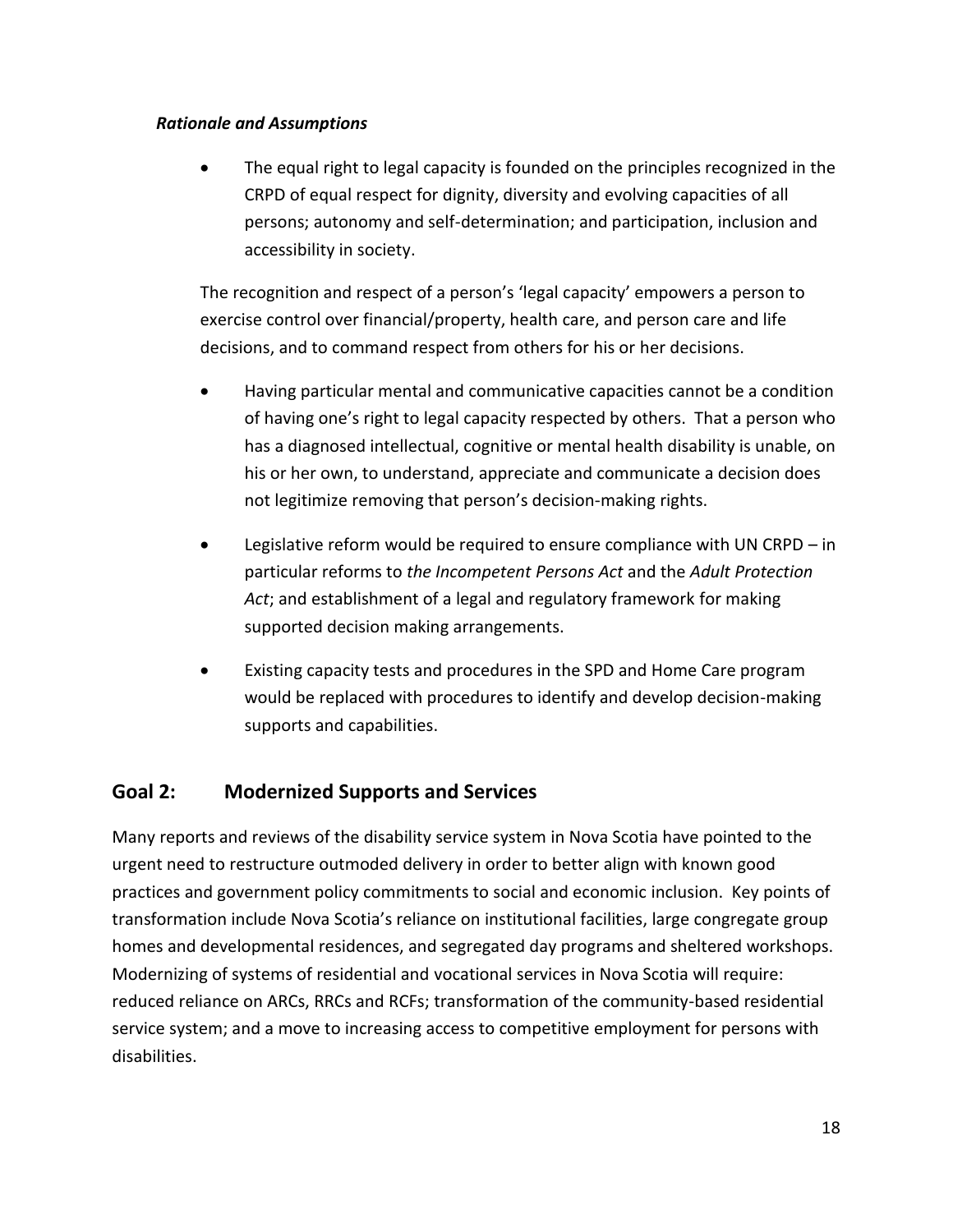#### *Rationale and Assumptions*

 The equal right to legal capacity is founded on the principles recognized in the CRPD of equal respect for dignity, diversity and evolving capacities of all persons; autonomy and self-determination; and participation, inclusion and accessibility in society.

The recognition and respect of a person's 'legal capacity' empowers a person to exercise control over financial/property, health care, and person care and life decisions, and to command respect from others for his or her decisions.

- Having particular mental and communicative capacities cannot be a condition of having one's right to legal capacity respected by others. That a person who has a diagnosed intellectual, cognitive or mental health disability is unable, on his or her own, to understand, appreciate and communicate a decision does not legitimize removing that person's decision-making rights.
- Legislative reform would be required to ensure compliance with UN CRPD in particular reforms to *the Incompetent Persons Act* and the *Adult Protection Act*; and establishment of a legal and regulatory framework for making supported decision making arrangements.
- Existing capacity tests and procedures in the SPD and Home Care program would be replaced with procedures to identify and develop decision-making supports and capabilities.

## <span id="page-27-0"></span>**Goal 2: Modernized Supports and Services**

Many reports and reviews of the disability service system in Nova Scotia have pointed to the urgent need to restructure outmoded delivery in order to better align with known good practices and government policy commitments to social and economic inclusion. Key points of transformation include Nova Scotia's reliance on institutional facilities, large congregate group homes and developmental residences, and segregated day programs and sheltered workshops. Modernizing of systems of residential and vocational services in Nova Scotia will require: reduced reliance on ARCs, RRCs and RCFs; transformation of the community-based residential service system; and a move to increasing access to competitive employment for persons with disabilities.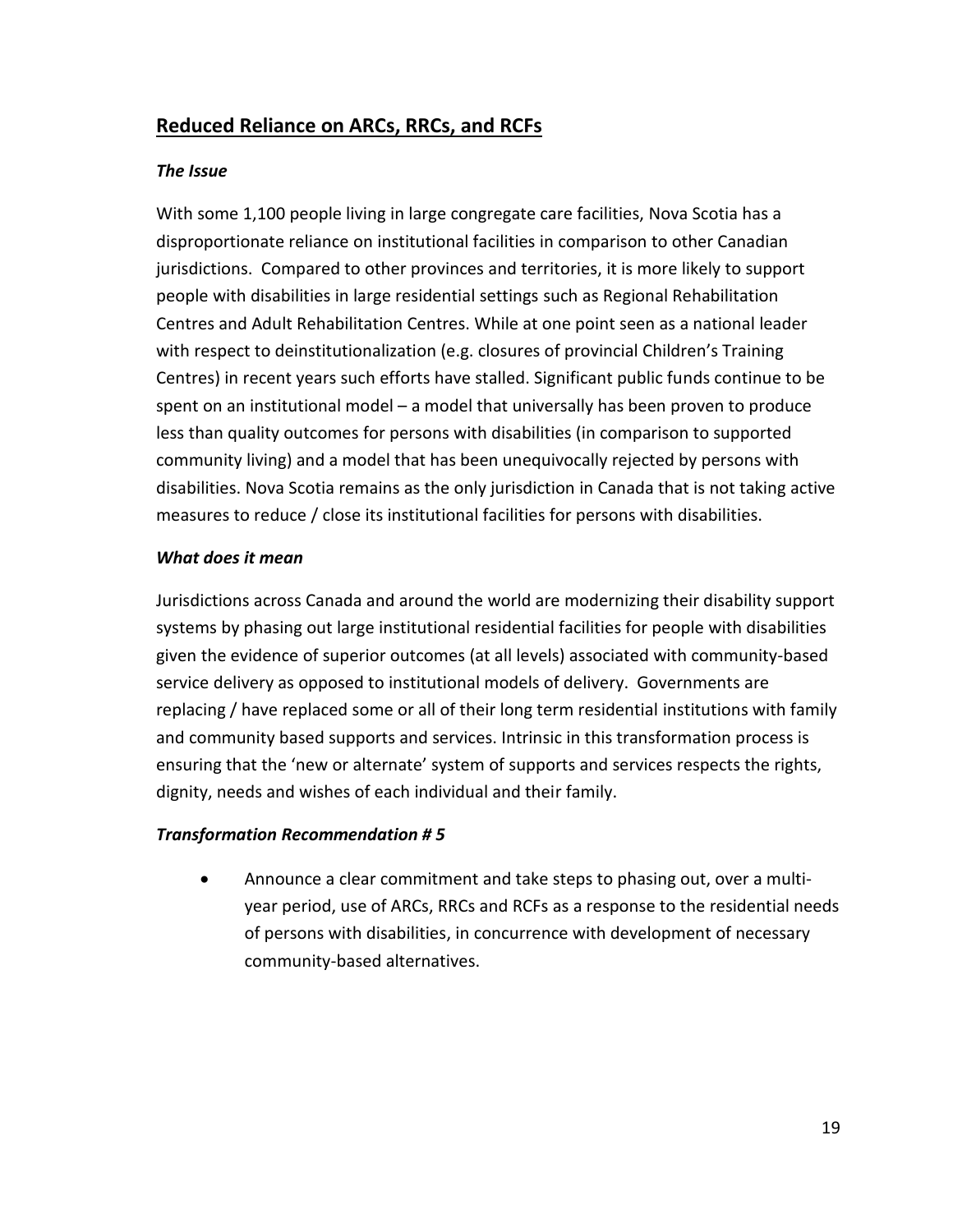## <span id="page-28-0"></span>**Reduced Reliance on ARCs, RRCs, and RCFs**

#### *The Issue*

With some 1,100 people living in large congregate care facilities, Nova Scotia has a disproportionate reliance on institutional facilities in comparison to other Canadian jurisdictions. Compared to other provinces and territories, it is more likely to support people with disabilities in large residential settings such as Regional Rehabilitation Centres and Adult Rehabilitation Centres. While at one point seen as a national leader with respect to deinstitutionalization (e.g. closures of provincial Children's Training Centres) in recent years such efforts have stalled. Significant public funds continue to be spent on an institutional model – a model that universally has been proven to produce less than quality outcomes for persons with disabilities (in comparison to supported community living) and a model that has been unequivocally rejected by persons with disabilities. Nova Scotia remains as the only jurisdiction in Canada that is not taking active measures to reduce / close its institutional facilities for persons with disabilities.

#### *What does it mean*

Jurisdictions across Canada and around the world are modernizing their disability support systems by phasing out large institutional residential facilities for people with disabilities given the evidence of superior outcomes (at all levels) associated with community-based service delivery as opposed to institutional models of delivery. Governments are replacing / have replaced some or all of their long term residential institutions with family and community based supports and services. Intrinsic in this transformation process is ensuring that the 'new or alternate' system of supports and services respects the rights, dignity, needs and wishes of each individual and their family.

#### *Transformation Recommendation # 5*

 Announce a clear commitment and take steps to phasing out, over a multiyear period, use of ARCs, RRCs and RCFs as a response to the residential needs of persons with disabilities, in concurrence with development of necessary community-based alternatives.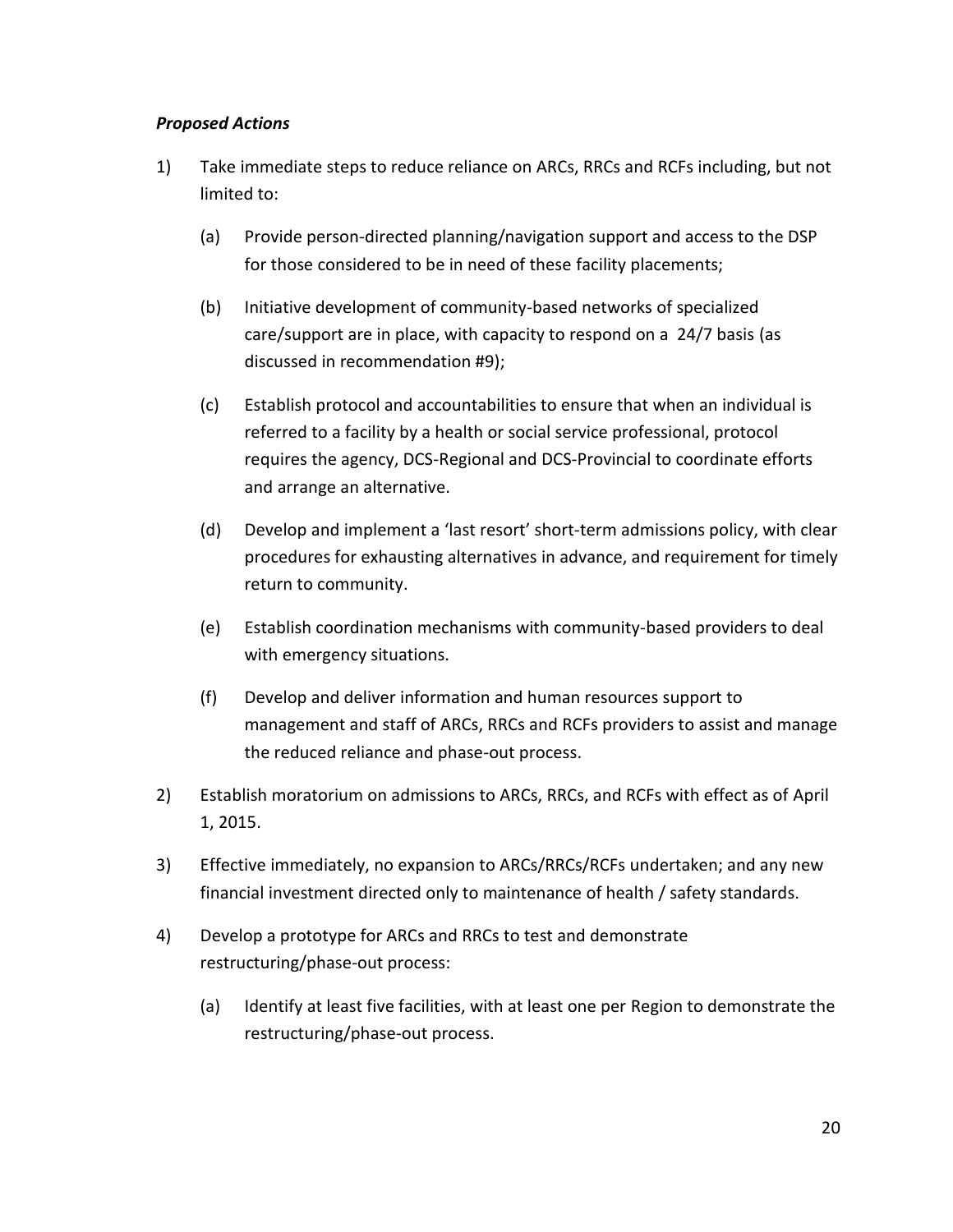#### *Proposed Actions*

- 1) Take immediate steps to reduce reliance on ARCs, RRCs and RCFs including, but not limited to:
	- (a) Provide person-directed planning/navigation support and access to the DSP for those considered to be in need of these facility placements;
	- (b) Initiative development of community-based networks of specialized care/support are in place, with capacity to respond on a 24/7 basis (as discussed in recommendation #9);
	- (c) Establish protocol and accountabilities to ensure that when an individual is referred to a facility by a health or social service professional, protocol requires the agency, DCS-Regional and DCS-Provincial to coordinate efforts and arrange an alternative.
	- (d) Develop and implement a 'last resort' short-term admissions policy, with clear procedures for exhausting alternatives in advance, and requirement for timely return to community.
	- (e) Establish coordination mechanisms with community-based providers to deal with emergency situations.
	- (f) Develop and deliver information and human resources support to management and staff of ARCs, RRCs and RCFs providers to assist and manage the reduced reliance and phase-out process.
- 2) Establish moratorium on admissions to ARCs, RRCs, and RCFs with effect as of April 1, 2015.
- 3) Effective immediately, no expansion to ARCs/RRCs/RCFs undertaken; and any new financial investment directed only to maintenance of health / safety standards.
- 4) Develop a prototype for ARCs and RRCs to test and demonstrate restructuring/phase-out process:
	- (a) Identify at least five facilities, with at least one per Region to demonstrate the restructuring/phase-out process.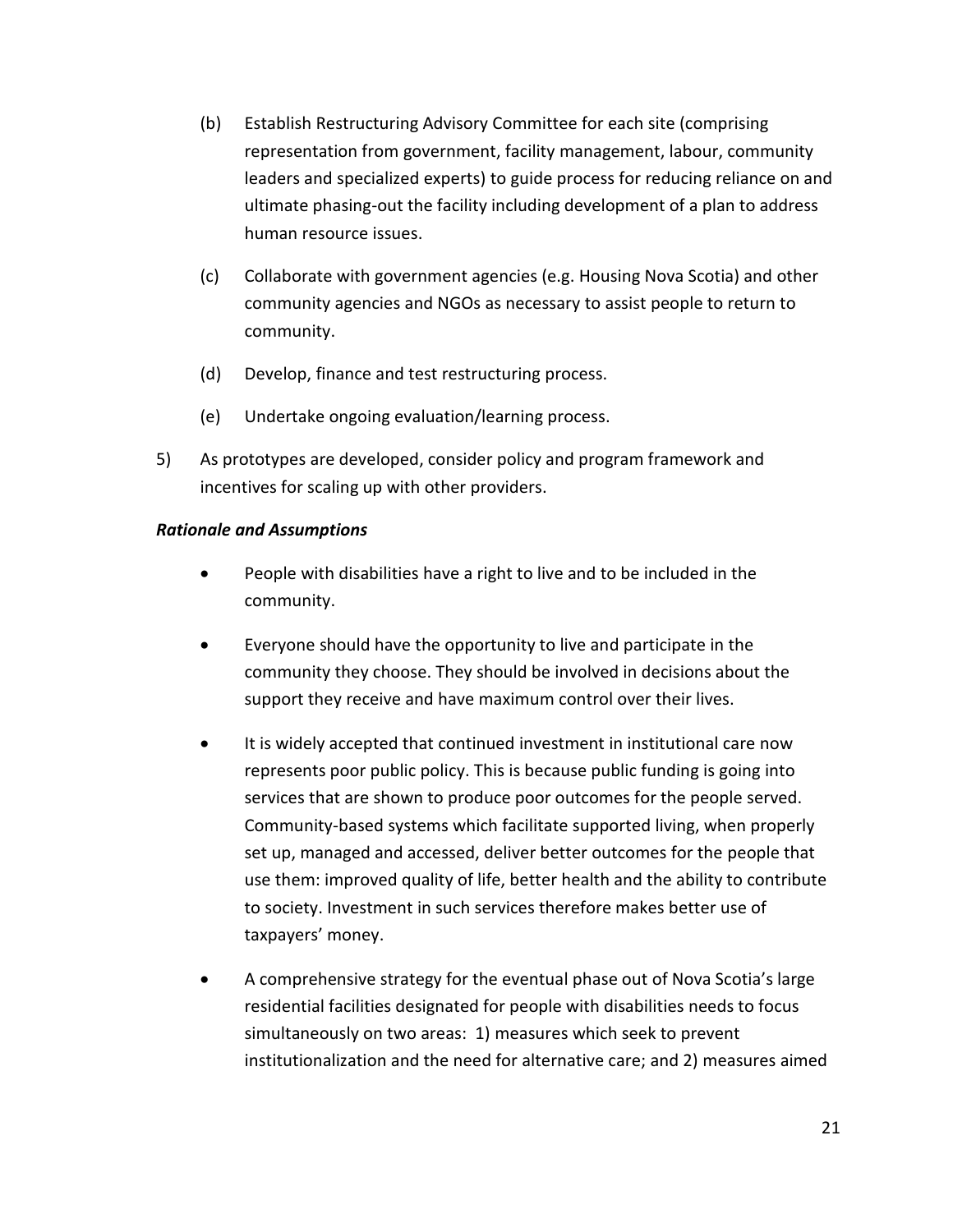- (b) Establish Restructuring Advisory Committee for each site (comprising representation from government, facility management, labour, community leaders and specialized experts) to guide process for reducing reliance on and ultimate phasing-out the facility including development of a plan to address human resource issues.
- (c) Collaborate with government agencies (e.g. Housing Nova Scotia) and other community agencies and NGOs as necessary to assist people to return to community.
- (d) Develop, finance and test restructuring process.
- (e) Undertake ongoing evaluation/learning process.
- 5) As prototypes are developed, consider policy and program framework and incentives for scaling up with other providers.

#### *Rationale and Assumptions*

- People with disabilities have a right to live and to be included in the community.
- Everyone should have the opportunity to live and participate in the community they choose. They should be involved in decisions about the support they receive and have maximum control over their lives.
- It is widely accepted that continued investment in institutional care now represents poor public policy. This is because public funding is going into services that are shown to produce poor outcomes for the people served. Community-based systems which facilitate supported living, when properly set up, managed and accessed, deliver better outcomes for the people that use them: improved quality of life, better health and the ability to contribute to society. Investment in such services therefore makes better use of taxpayers' money.
- A comprehensive strategy for the eventual phase out of Nova Scotia's large residential facilities designated for people with disabilities needs to focus simultaneously on two areas: 1) measures which seek to prevent institutionalization and the need for alternative care; and 2) measures aimed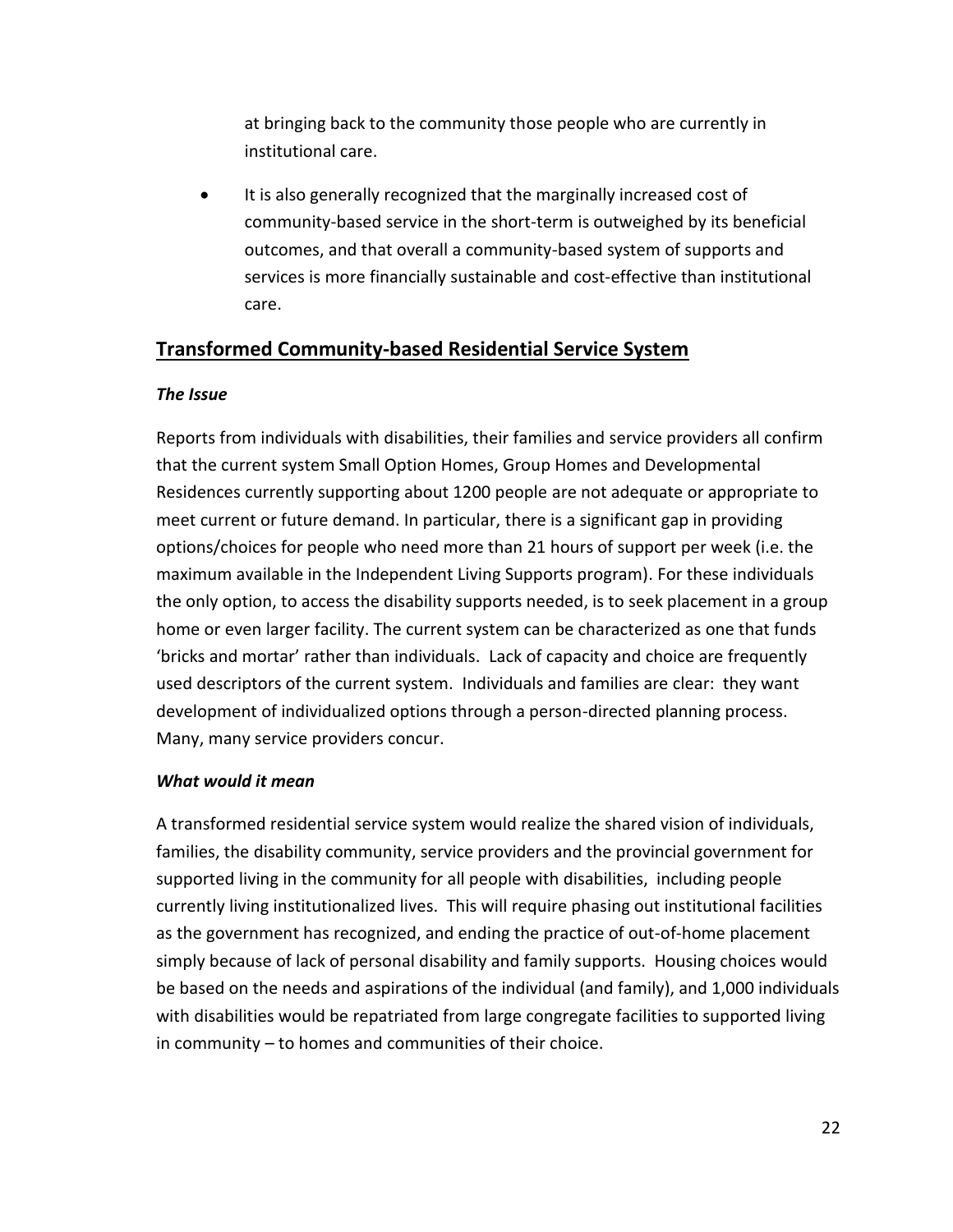at bringing back to the community those people who are currently in institutional care.

• It is also generally recognized that the marginally increased cost of community-based service in the short-term is outweighed by its beneficial outcomes, and that overall a community-based system of supports and services is more financially sustainable and cost-effective than institutional care.

## <span id="page-31-0"></span>**Transformed Community-based Residential Service System**

#### *The Issue*

Reports from individuals with disabilities, their families and service providers all confirm that the current system Small Option Homes, Group Homes and Developmental Residences currently supporting about 1200 people are not adequate or appropriate to meet current or future demand. In particular, there is a significant gap in providing options/choices for people who need more than 21 hours of support per week (i.e. the maximum available in the Independent Living Supports program). For these individuals the only option, to access the disability supports needed, is to seek placement in a group home or even larger facility. The current system can be characterized as one that funds 'bricks and mortar' rather than individuals. Lack of capacity and choice are frequently used descriptors of the current system. Individuals and families are clear: they want development of individualized options through a person-directed planning process. Many, many service providers concur.

#### *What would it mean*

A transformed residential service system would realize the shared vision of individuals, families, the disability community, service providers and the provincial government for supported living in the community for all people with disabilities, including people currently living institutionalized lives. This will require phasing out institutional facilities as the government has recognized, and ending the practice of out-of-home placement simply because of lack of personal disability and family supports. Housing choices would be based on the needs and aspirations of the individual (and family), and 1,000 individuals with disabilities would be repatriated from large congregate facilities to supported living in community – to homes and communities of their choice.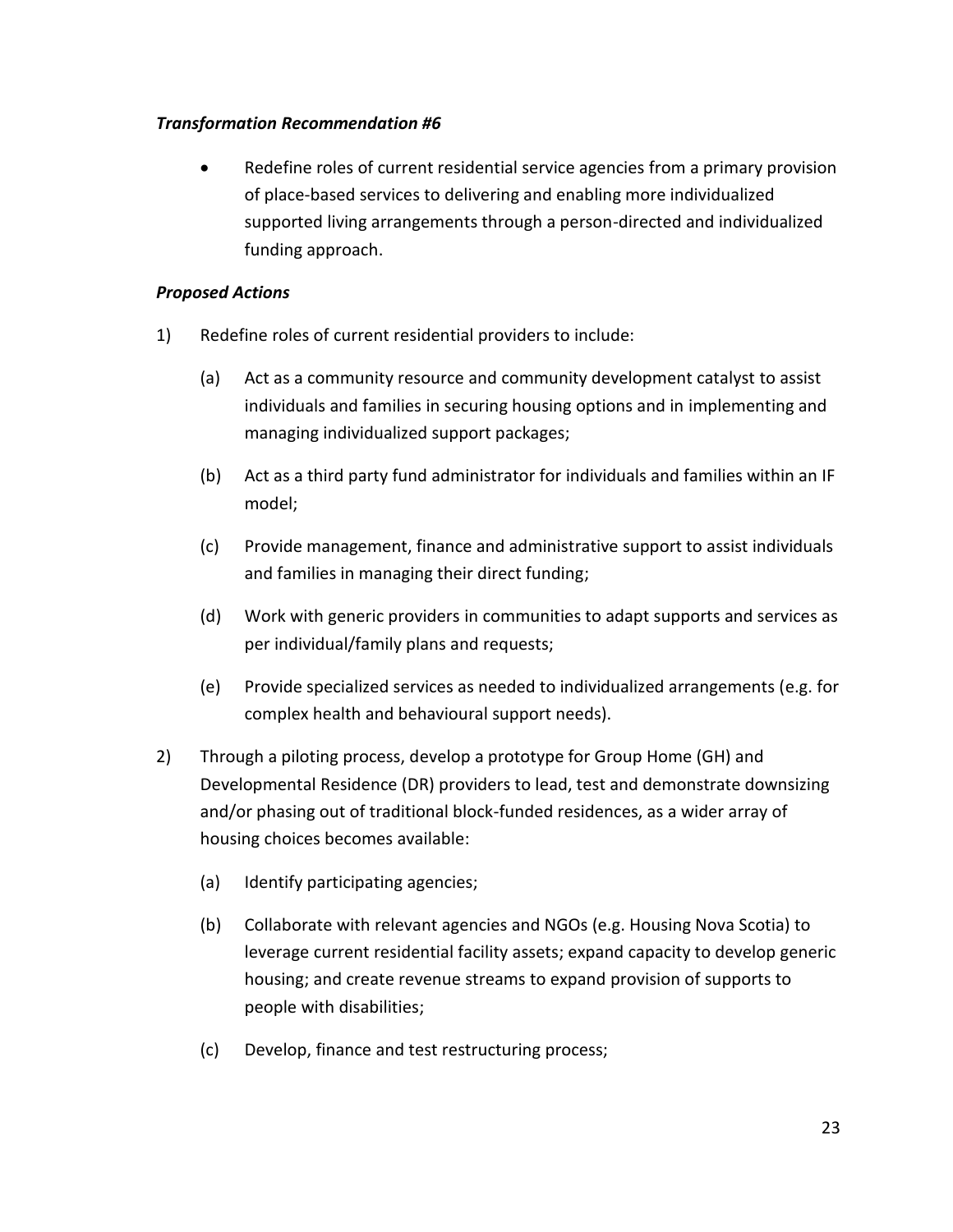#### *Transformation Recommendation #6*

 Redefine roles of current residential service agencies from a primary provision of place-based services to delivering and enabling more individualized supported living arrangements through a person-directed and individualized funding approach.

#### *Proposed Actions*

- 1) Redefine roles of current residential providers to include:
	- (a) Act as a community resource and community development catalyst to assist individuals and families in securing housing options and in implementing and managing individualized support packages;
	- (b) Act as a third party fund administrator for individuals and families within an IF model;
	- (c) Provide management, finance and administrative support to assist individuals and families in managing their direct funding;
	- (d) Work with generic providers in communities to adapt supports and services as per individual/family plans and requests;
	- (e) Provide specialized services as needed to individualized arrangements (e.g. for complex health and behavioural support needs).
- 2) Through a piloting process, develop a prototype for Group Home (GH) and Developmental Residence (DR) providers to lead, test and demonstrate downsizing and/or phasing out of traditional block-funded residences, as a wider array of housing choices becomes available:
	- (a) Identify participating agencies;
	- (b) Collaborate with relevant agencies and NGOs (e.g. Housing Nova Scotia) to leverage current residential facility assets; expand capacity to develop generic housing; and create revenue streams to expand provision of supports to people with disabilities;
	- (c) Develop, finance and test restructuring process;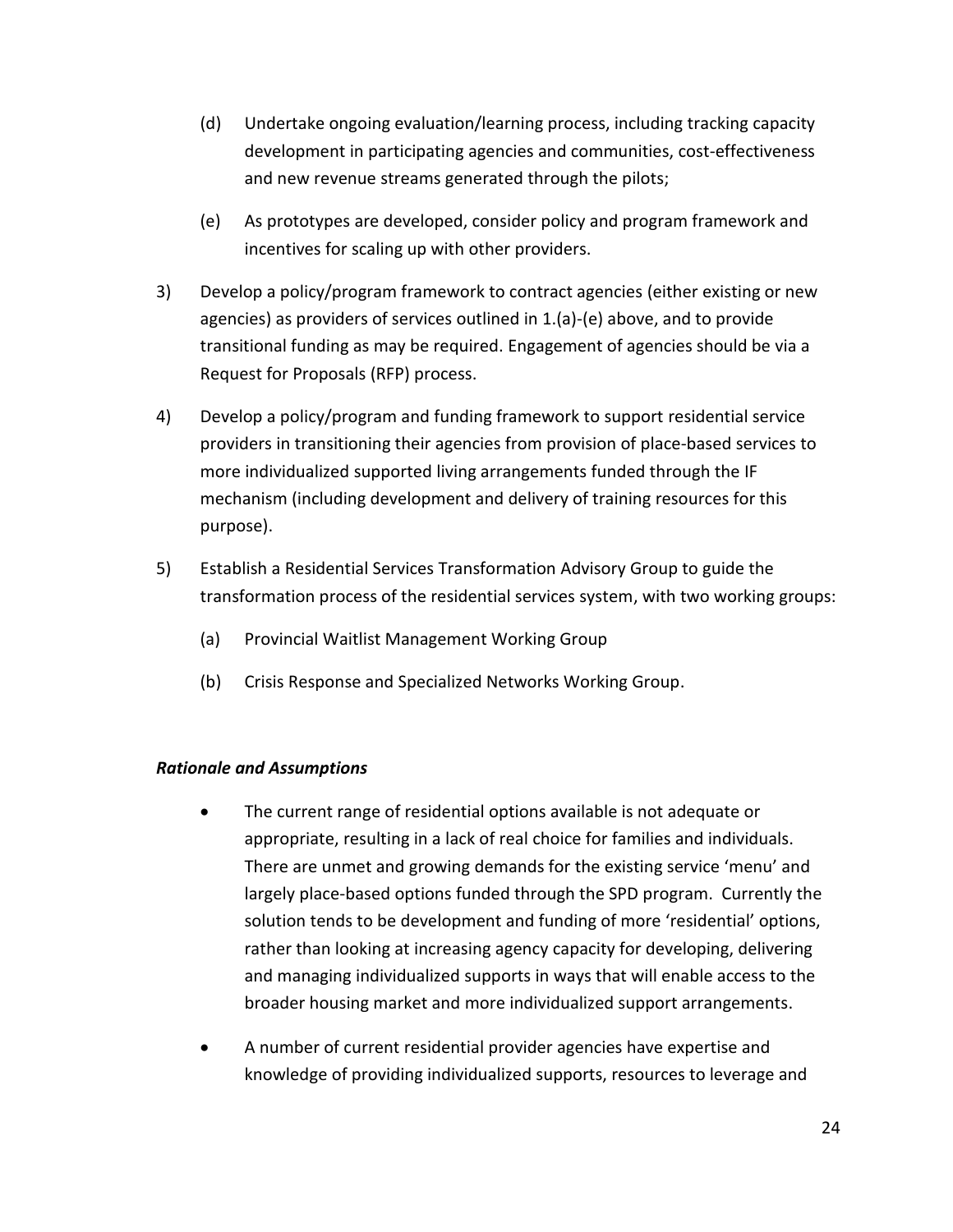- (d) Undertake ongoing evaluation/learning process, including tracking capacity development in participating agencies and communities, cost-effectiveness and new revenue streams generated through the pilots;
- (e) As prototypes are developed, consider policy and program framework and incentives for scaling up with other providers.
- 3) Develop a policy/program framework to contract agencies (either existing or new agencies) as providers of services outlined in 1.(a)-(e) above, and to provide transitional funding as may be required. Engagement of agencies should be via a Request for Proposals (RFP) process.
- 4) Develop a policy/program and funding framework to support residential service providers in transitioning their agencies from provision of place-based services to more individualized supported living arrangements funded through the IF mechanism (including development and delivery of training resources for this purpose).
- 5) Establish a Residential Services Transformation Advisory Group to guide the transformation process of the residential services system, with two working groups:
	- (a) Provincial Waitlist Management Working Group
	- (b) Crisis Response and Specialized Networks Working Group.

#### *Rationale and Assumptions*

- The current range of residential options available is not adequate or appropriate, resulting in a lack of real choice for families and individuals. There are unmet and growing demands for the existing service 'menu' and largely place-based options funded through the SPD program. Currently the solution tends to be development and funding of more 'residential' options, rather than looking at increasing agency capacity for developing, delivering and managing individualized supports in ways that will enable access to the broader housing market and more individualized support arrangements.
- A number of current residential provider agencies have expertise and knowledge of providing individualized supports, resources to leverage and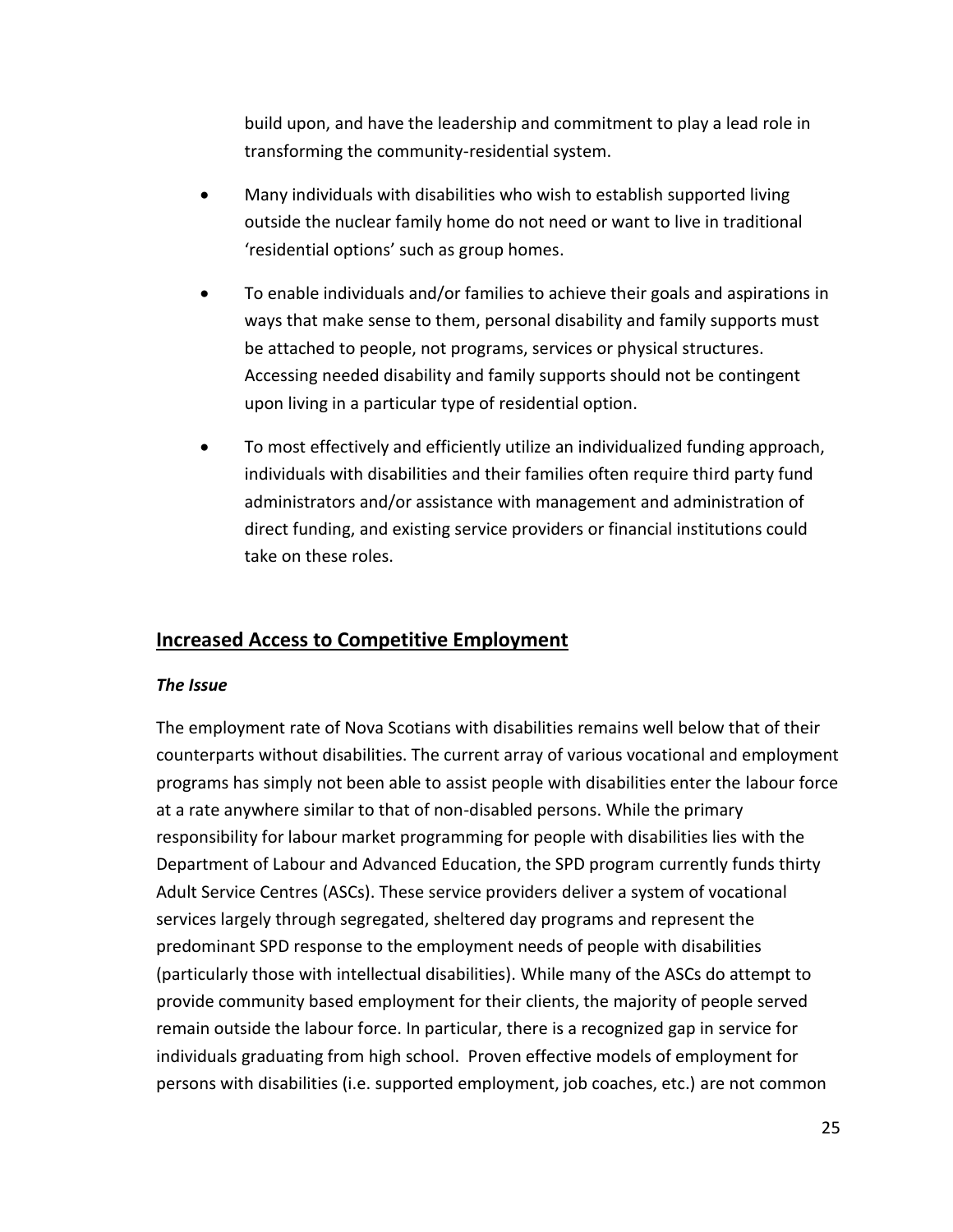build upon, and have the leadership and commitment to play a lead role in transforming the community-residential system.

- Many individuals with disabilities who wish to establish supported living outside the nuclear family home do not need or want to live in traditional 'residential options' such as group homes.
- To enable individuals and/or families to achieve their goals and aspirations in ways that make sense to them, personal disability and family supports must be attached to people, not programs, services or physical structures. Accessing needed disability and family supports should not be contingent upon living in a particular type of residential option.
- To most effectively and efficiently utilize an individualized funding approach, individuals with disabilities and their families often require third party fund administrators and/or assistance with management and administration of direct funding, and existing service providers or financial institutions could take on these roles.

## <span id="page-34-0"></span>**Increased Access to Competitive Employment**

#### *The Issue*

The employment rate of Nova Scotians with disabilities remains well below that of their counterparts without disabilities. The current array of various vocational and employment programs has simply not been able to assist people with disabilities enter the labour force at a rate anywhere similar to that of non-disabled persons. While the primary responsibility for labour market programming for people with disabilities lies with the Department of Labour and Advanced Education, the SPD program currently funds thirty Adult Service Centres (ASCs). These service providers deliver a system of vocational services largely through segregated, sheltered day programs and represent the predominant SPD response to the employment needs of people with disabilities (particularly those with intellectual disabilities). While many of the ASCs do attempt to provide community based employment for their clients, the majority of people served remain outside the labour force. In particular, there is a recognized gap in service for individuals graduating from high school. Proven effective models of employment for persons with disabilities (i.e. supported employment, job coaches, etc.) are not common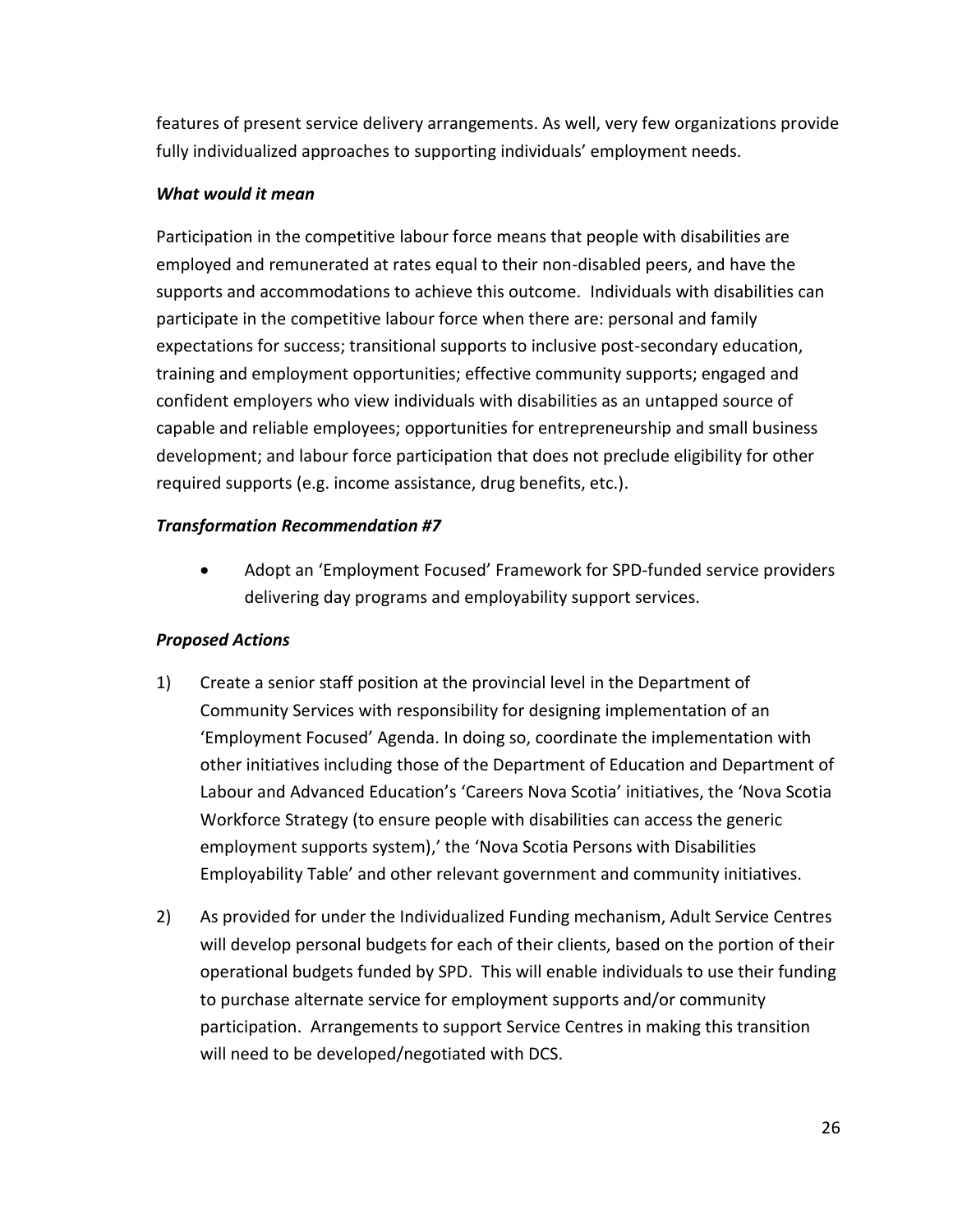features of present service delivery arrangements. As well, very few organizations provide fully individualized approaches to supporting individuals' employment needs.

#### *What would it mean*

Participation in the competitive labour force means that people with disabilities are employed and remunerated at rates equal to their non-disabled peers, and have the supports and accommodations to achieve this outcome. Individuals with disabilities can participate in the competitive labour force when there are: personal and family expectations for success; transitional supports to inclusive post-secondary education, training and employment opportunities; effective community supports; engaged and confident employers who view individuals with disabilities as an untapped source of capable and reliable employees; opportunities for entrepreneurship and small business development; and labour force participation that does not preclude eligibility for other required supports (e.g. income assistance, drug benefits, etc.).

#### *Transformation Recommendation #7*

 Adopt an 'Employment Focused' Framework for SPD-funded service providers delivering day programs and employability support services.

#### *Proposed Actions*

- 1) Create a senior staff position at the provincial level in the Department of Community Services with responsibility for designing implementation of an 'Employment Focused' Agenda. In doing so, coordinate the implementation with other initiatives including those of the Department of Education and Department of Labour and Advanced Education's 'Careers Nova Scotia' initiatives, the 'Nova Scotia Workforce Strategy (to ensure people with disabilities can access the generic employment supports system),' the 'Nova Scotia Persons with Disabilities Employability Table' and other relevant government and community initiatives.
- 2) As provided for under the Individualized Funding mechanism, Adult Service Centres will develop personal budgets for each of their clients, based on the portion of their operational budgets funded by SPD. This will enable individuals to use their funding to purchase alternate service for employment supports and/or community participation. Arrangements to support Service Centres in making this transition will need to be developed/negotiated with DCS.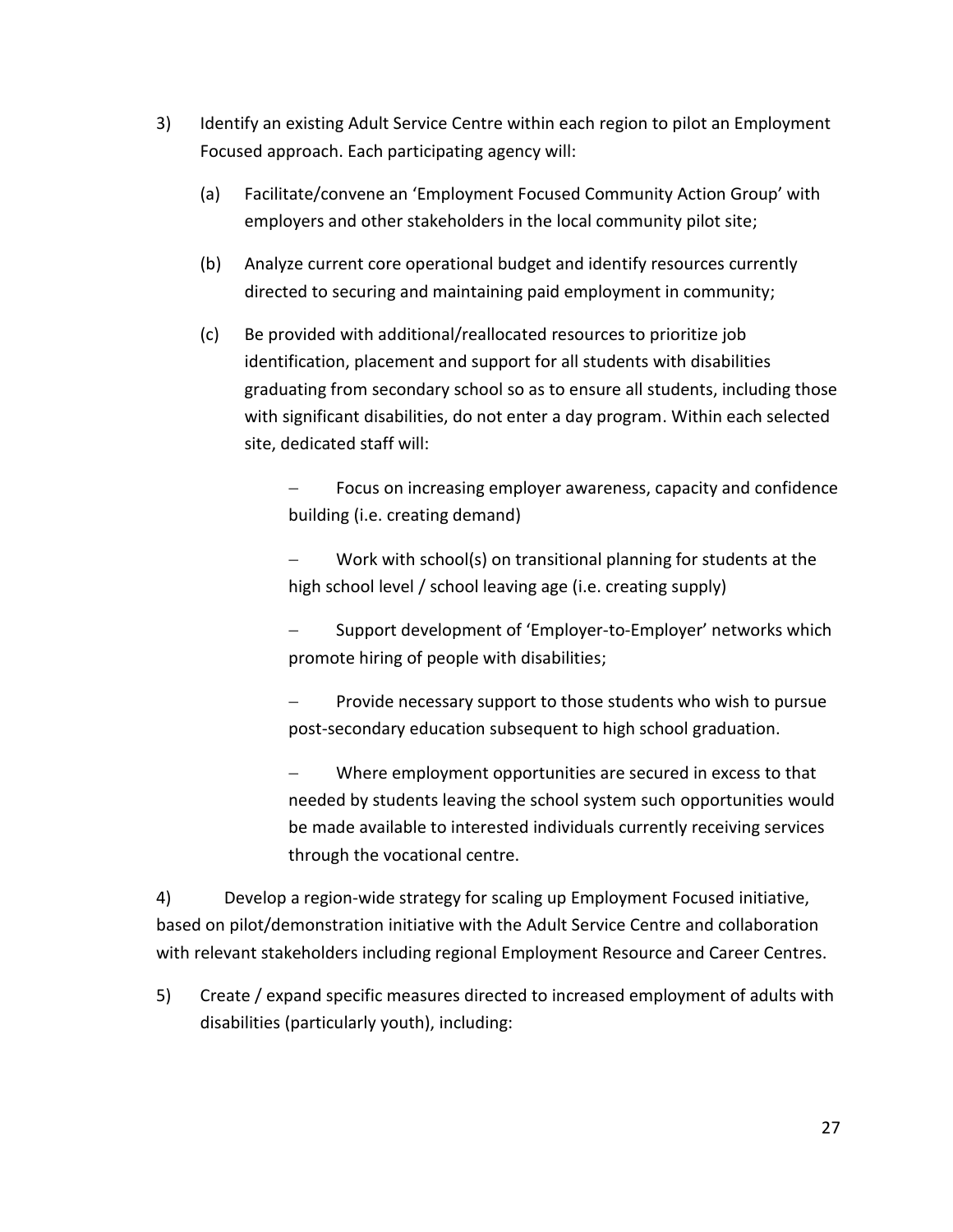- 3) Identify an existing Adult Service Centre within each region to pilot an Employment Focused approach. Each participating agency will:
	- (a) Facilitate/convene an 'Employment Focused Community Action Group' with employers and other stakeholders in the local community pilot site;
	- (b) Analyze current core operational budget and identify resources currently directed to securing and maintaining paid employment in community;
	- (c) Be provided with additional/reallocated resources to prioritize job identification, placement and support for all students with disabilities graduating from secondary school so as to ensure all students, including those with significant disabilities, do not enter a day program. Within each selected site, dedicated staff will:

 Focus on increasing employer awareness, capacity and confidence building (i.e. creating demand)

 Work with school(s) on transitional planning for students at the high school level / school leaving age (i.e. creating supply)

 Support development of 'Employer-to-Employer' networks which promote hiring of people with disabilities;

 Provide necessary support to those students who wish to pursue post-secondary education subsequent to high school graduation.

 Where employment opportunities are secured in excess to that needed by students leaving the school system such opportunities would be made available to interested individuals currently receiving services through the vocational centre.

4) Develop a region-wide strategy for scaling up Employment Focused initiative, based on pilot/demonstration initiative with the Adult Service Centre and collaboration with relevant stakeholders including regional Employment Resource and Career Centres.

5) Create / expand specific measures directed to increased employment of adults with disabilities (particularly youth), including: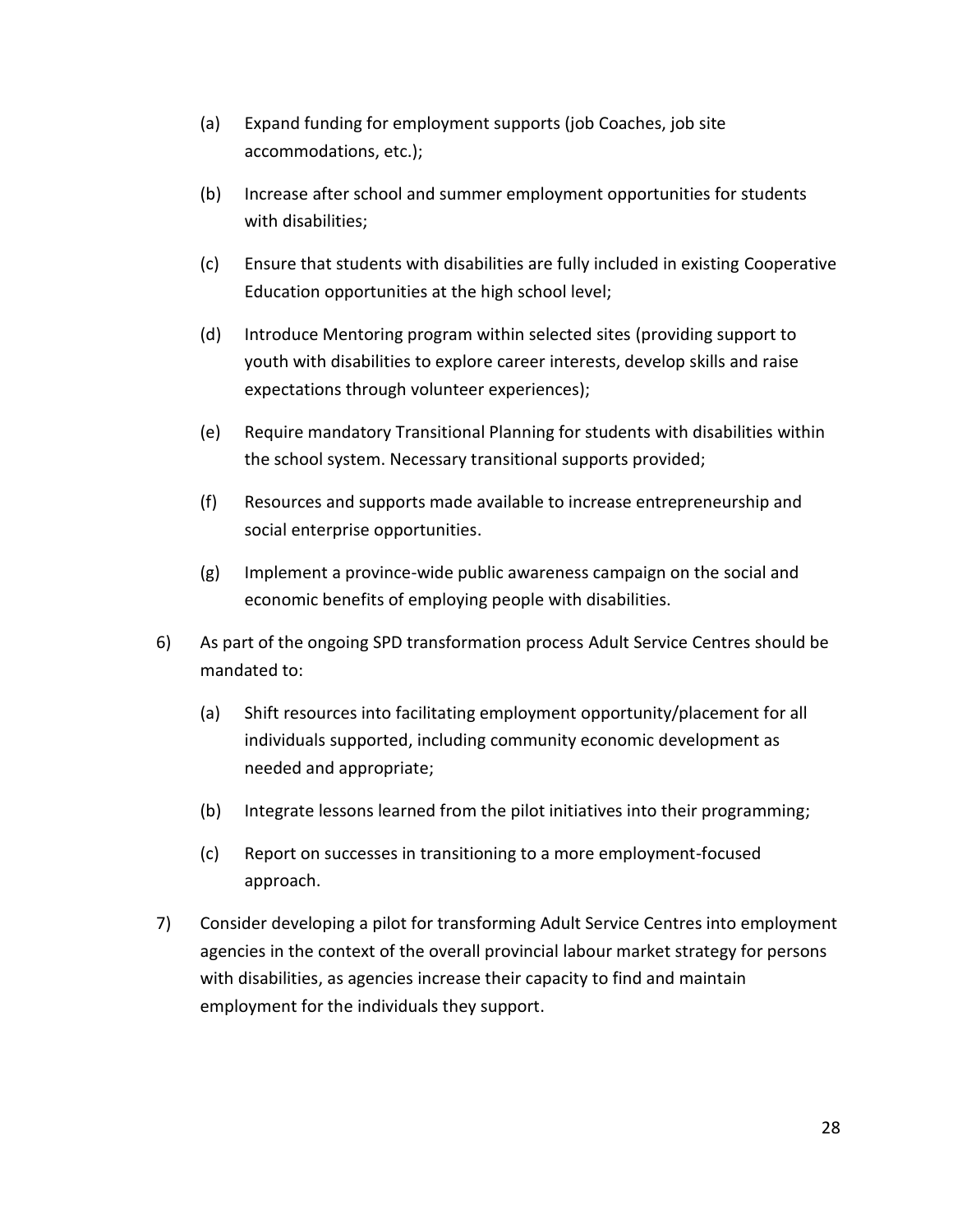- (a) Expand funding for employment supports (job Coaches, job site accommodations, etc.);
- (b) Increase after school and summer employment opportunities for students with disabilities;
- (c) Ensure that students with disabilities are fully included in existing Cooperative Education opportunities at the high school level;
- (d) Introduce Mentoring program within selected sites (providing support to youth with disabilities to explore career interests, develop skills and raise expectations through volunteer experiences);
- (e) Require mandatory Transitional Planning for students with disabilities within the school system. Necessary transitional supports provided;
- (f) Resources and supports made available to increase entrepreneurship and social enterprise opportunities.
- (g) Implement a province-wide public awareness campaign on the social and economic benefits of employing people with disabilities.
- 6) As part of the ongoing SPD transformation process Adult Service Centres should be mandated to:
	- (a) Shift resources into facilitating employment opportunity/placement for all individuals supported, including community economic development as needed and appropriate;
	- (b) Integrate lessons learned from the pilot initiatives into their programming;
	- (c) Report on successes in transitioning to a more employment-focused approach.
- 7) Consider developing a pilot for transforming Adult Service Centres into employment agencies in the context of the overall provincial labour market strategy for persons with disabilities, as agencies increase their capacity to find and maintain employment for the individuals they support.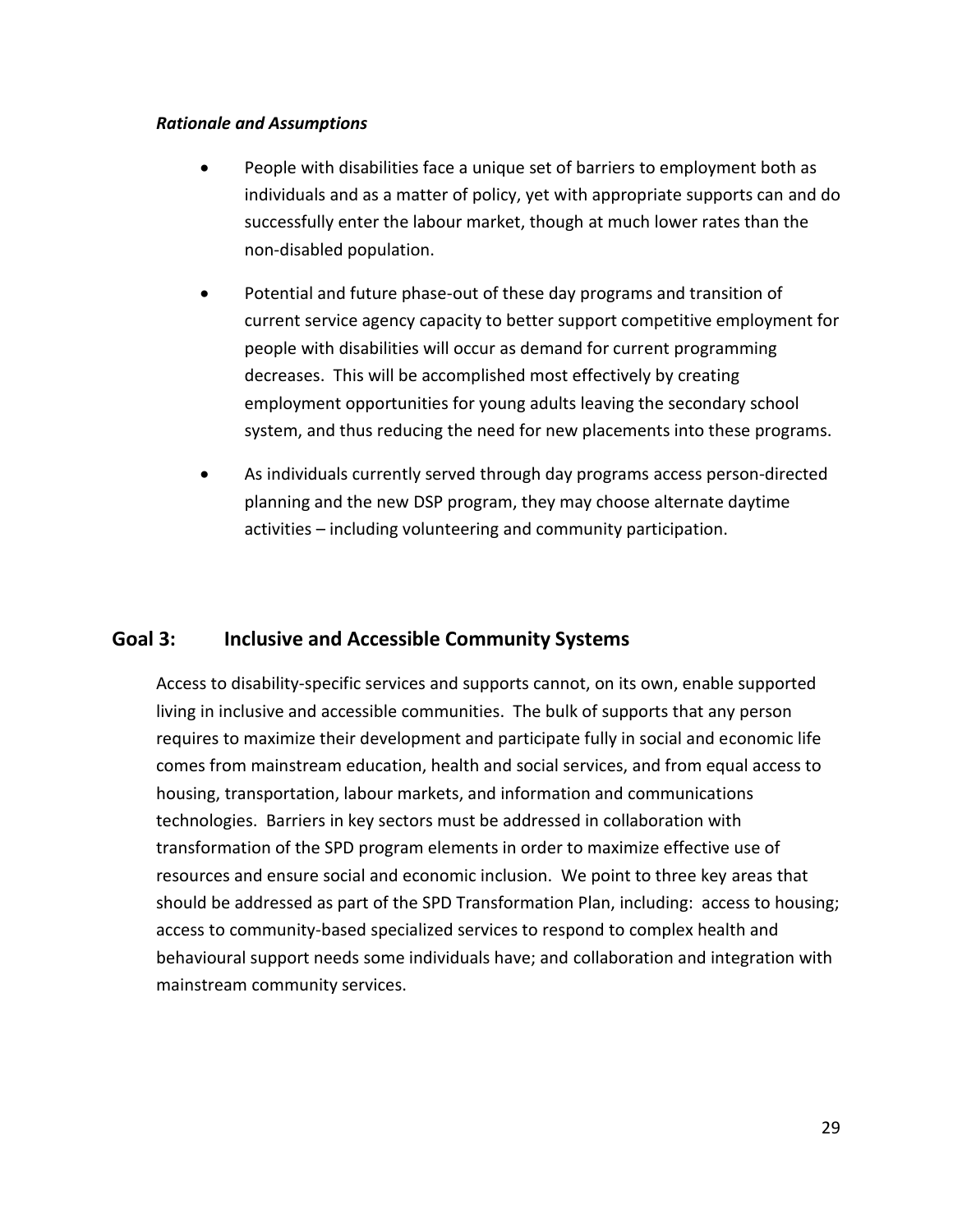#### *Rationale and Assumptions*

- People with disabilities face a unique set of barriers to employment both as individuals and as a matter of policy, yet with appropriate supports can and do successfully enter the labour market, though at much lower rates than the non-disabled population.
- Potential and future phase-out of these day programs and transition of current service agency capacity to better support competitive employment for people with disabilities will occur as demand for current programming decreases. This will be accomplished most effectively by creating employment opportunities for young adults leaving the secondary school system, and thus reducing the need for new placements into these programs.
- As individuals currently served through day programs access person-directed planning and the new DSP program, they may choose alternate daytime activities – including volunteering and community participation.

## <span id="page-38-0"></span>**Goal 3: Inclusive and Accessible Community Systems**

Access to disability-specific services and supports cannot, on its own, enable supported living in inclusive and accessible communities. The bulk of supports that any person requires to maximize their development and participate fully in social and economic life comes from mainstream education, health and social services, and from equal access to housing, transportation, labour markets, and information and communications technologies. Barriers in key sectors must be addressed in collaboration with transformation of the SPD program elements in order to maximize effective use of resources and ensure social and economic inclusion. We point to three key areas that should be addressed as part of the SPD Transformation Plan, including: access to housing; access to community-based specialized services to respond to complex health and behavioural support needs some individuals have; and collaboration and integration with mainstream community services.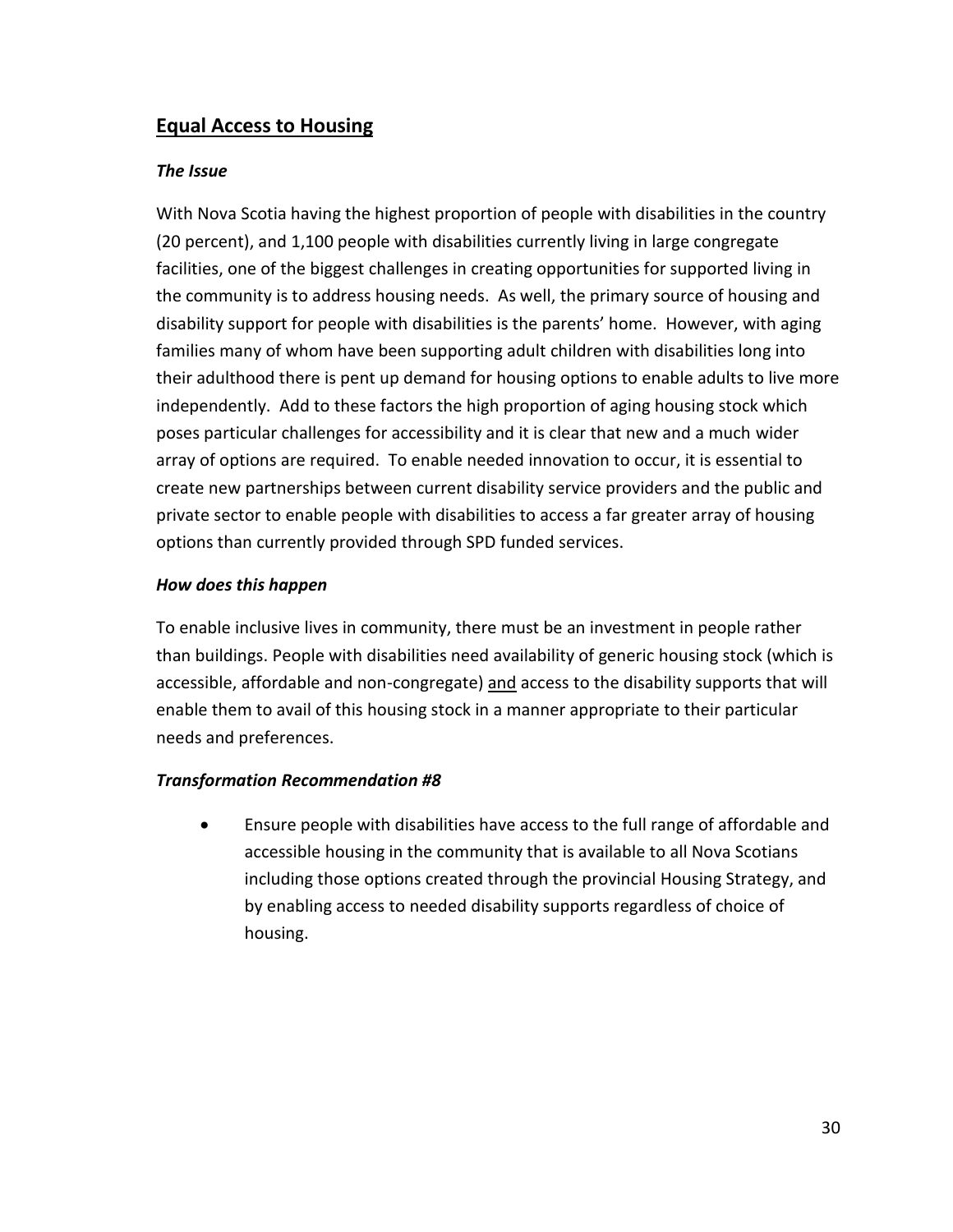## <span id="page-39-0"></span>**Equal Access to Housing**

#### *The Issue*

With Nova Scotia having the highest proportion of people with disabilities in the country (20 percent), and 1,100 people with disabilities currently living in large congregate facilities, one of the biggest challenges in creating opportunities for supported living in the community is to address housing needs. As well, the primary source of housing and disability support for people with disabilities is the parents' home. However, with aging families many of whom have been supporting adult children with disabilities long into their adulthood there is pent up demand for housing options to enable adults to live more independently. Add to these factors the high proportion of aging housing stock which poses particular challenges for accessibility and it is clear that new and a much wider array of options are required. To enable needed innovation to occur, it is essential to create new partnerships between current disability service providers and the public and private sector to enable people with disabilities to access a far greater array of housing options than currently provided through SPD funded services.

#### *How does this happen*

To enable inclusive lives in community, there must be an investment in people rather than buildings. People with disabilities need availability of generic housing stock (which is accessible, affordable and non-congregate) and access to the disability supports that will enable them to avail of this housing stock in a manner appropriate to their particular needs and preferences.

#### *Transformation Recommendation #8*

 Ensure people with disabilities have access to the full range of affordable and accessible housing in the community that is available to all Nova Scotians including those options created through the provincial Housing Strategy, and by enabling access to needed disability supports regardless of choice of housing.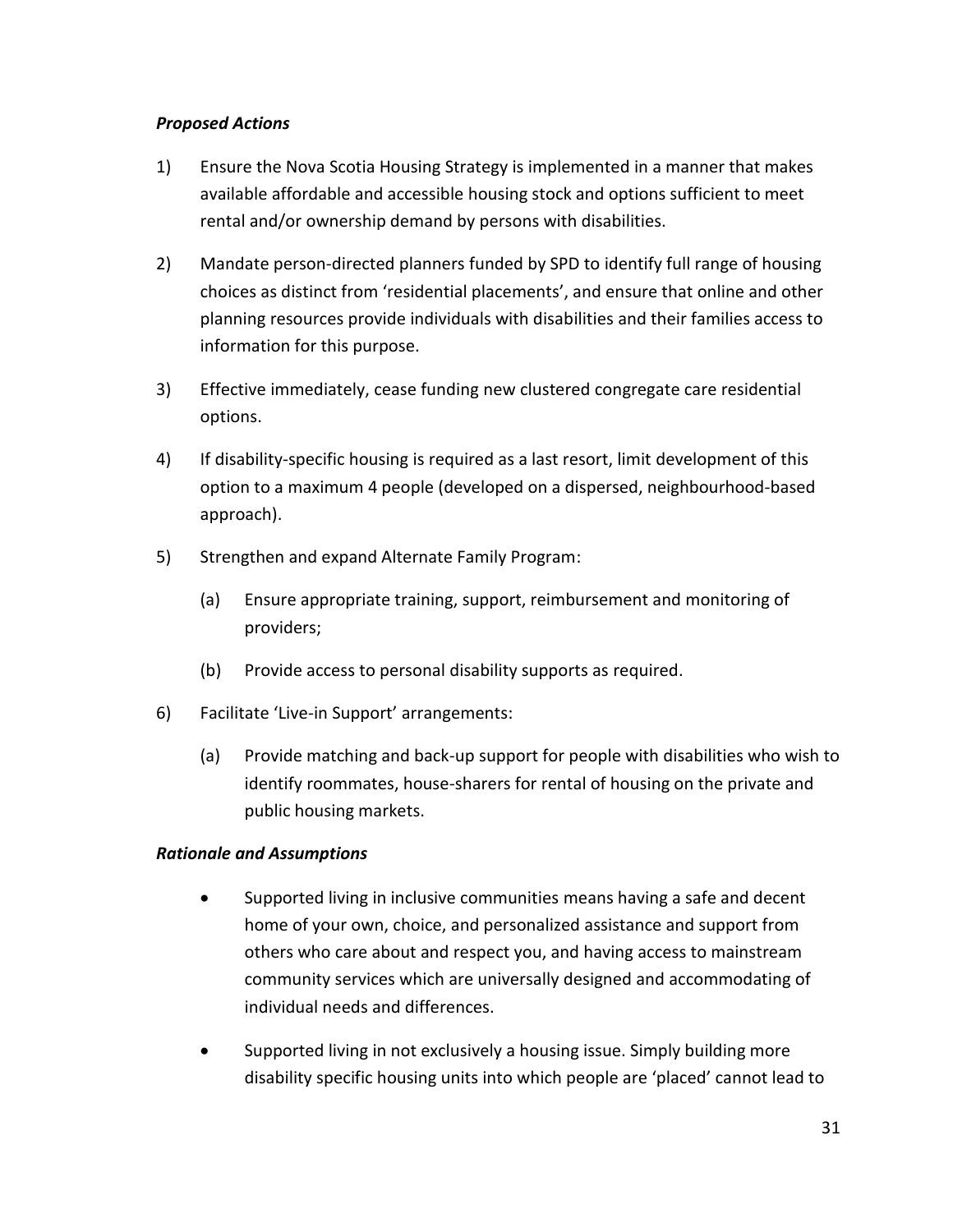#### *Proposed Actions*

- 1) Ensure the Nova Scotia Housing Strategy is implemented in a manner that makes available affordable and accessible housing stock and options sufficient to meet rental and/or ownership demand by persons with disabilities.
- 2) Mandate person-directed planners funded by SPD to identify full range of housing choices as distinct from 'residential placements', and ensure that online and other planning resources provide individuals with disabilities and their families access to information for this purpose.
- 3) Effective immediately, cease funding new clustered congregate care residential options.
- 4) If disability-specific housing is required as a last resort, limit development of this option to a maximum 4 people (developed on a dispersed, neighbourhood-based approach).
- 5) Strengthen and expand Alternate Family Program:
	- (a) Ensure appropriate training, support, reimbursement and monitoring of providers;
	- (b) Provide access to personal disability supports as required.
- 6) Facilitate 'Live-in Support' arrangements:
	- (a) Provide matching and back-up support for people with disabilities who wish to identify roommates, house-sharers for rental of housing on the private and public housing markets.

#### *Rationale and Assumptions*

- Supported living in inclusive communities means having a safe and decent home of your own, choice, and personalized assistance and support from others who care about and respect you, and having access to mainstream community services which are universally designed and accommodating of individual needs and differences.
- Supported living in not exclusively a housing issue. Simply building more disability specific housing units into which people are 'placed' cannot lead to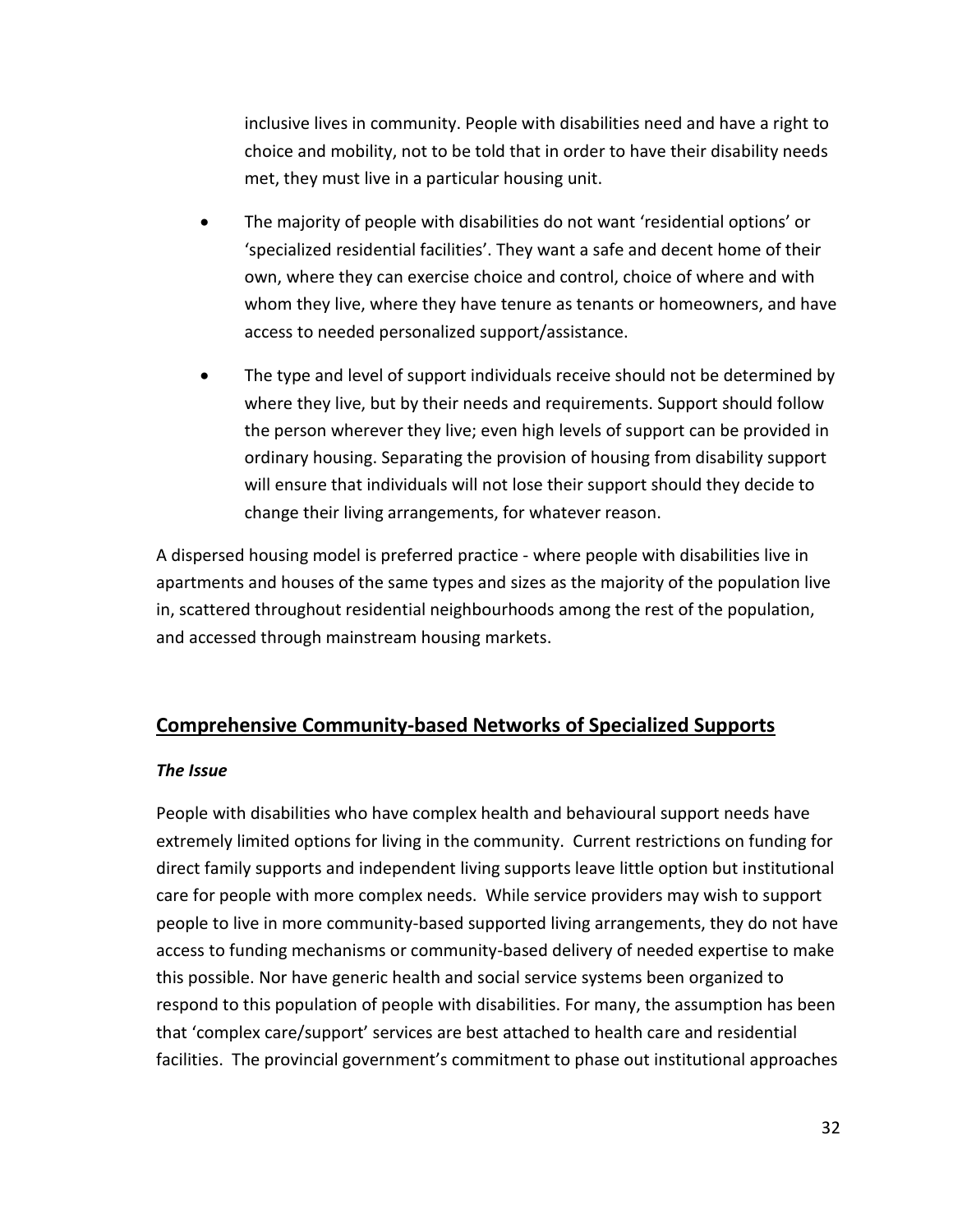inclusive lives in community. People with disabilities need and have a right to choice and mobility, not to be told that in order to have their disability needs met, they must live in a particular housing unit.

- The majority of people with disabilities do not want 'residential options' or 'specialized residential facilities'. They want a safe and decent home of their own, where they can exercise choice and control, choice of where and with whom they live, where they have tenure as tenants or homeowners, and have access to needed personalized support/assistance.
- The type and level of support individuals receive should not be determined by where they live, but by their needs and requirements. Support should follow the person wherever they live; even high levels of support can be provided in ordinary housing. Separating the provision of housing from disability support will ensure that individuals will not lose their support should they decide to change their living arrangements, for whatever reason.

A dispersed housing model is preferred practice - where people with disabilities live in apartments and houses of the same types and sizes as the majority of the population live in, scattered throughout residential neighbourhoods among the rest of the population, and accessed through mainstream housing markets.

## <span id="page-41-0"></span>**Comprehensive Community-based Networks of Specialized Supports**

#### *The Issue*

People with disabilities who have complex health and behavioural support needs have extremely limited options for living in the community. Current restrictions on funding for direct family supports and independent living supports leave little option but institutional care for people with more complex needs. While service providers may wish to support people to live in more community-based supported living arrangements, they do not have access to funding mechanisms or community-based delivery of needed expertise to make this possible. Nor have generic health and social service systems been organized to respond to this population of people with disabilities. For many, the assumption has been that 'complex care/support' services are best attached to health care and residential facilities. The provincial government's commitment to phase out institutional approaches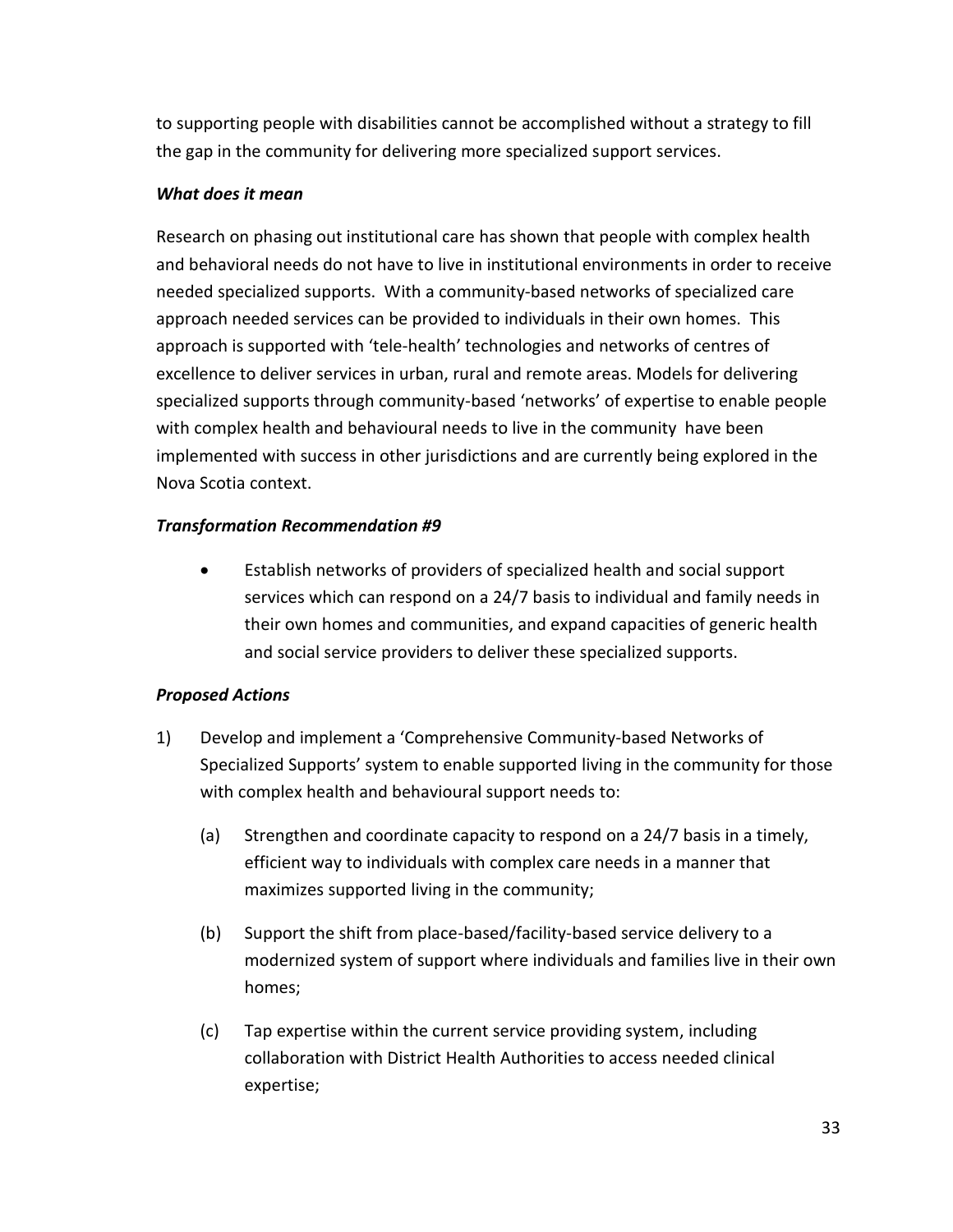to supporting people with disabilities cannot be accomplished without a strategy to fill the gap in the community for delivering more specialized support services.

#### *What does it mean*

Research on phasing out institutional care has shown that people with complex health and behavioral needs do not have to live in institutional environments in order to receive needed specialized supports. With a community-based networks of specialized care approach needed services can be provided to individuals in their own homes. This approach is supported with 'tele-health' technologies and networks of centres of excellence to deliver services in urban, rural and remote areas. Models for delivering specialized supports through community-based 'networks' of expertise to enable people with complex health and behavioural needs to live in the community have been implemented with success in other jurisdictions and are currently being explored in the Nova Scotia context.

#### *Transformation Recommendation #9*

 Establish networks of providers of specialized health and social support services which can respond on a 24/7 basis to individual and family needs in their own homes and communities, and expand capacities of generic health and social service providers to deliver these specialized supports.

#### *Proposed Actions*

- 1) Develop and implement a 'Comprehensive Community-based Networks of Specialized Supports' system to enable supported living in the community for those with complex health and behavioural support needs to:
	- (a) Strengthen and coordinate capacity to respond on a 24/7 basis in a timely, efficient way to individuals with complex care needs in a manner that maximizes supported living in the community;
	- (b) Support the shift from place-based/facility-based service delivery to a modernized system of support where individuals and families live in their own homes;
	- (c) Tap expertise within the current service providing system, including collaboration with District Health Authorities to access needed clinical expertise;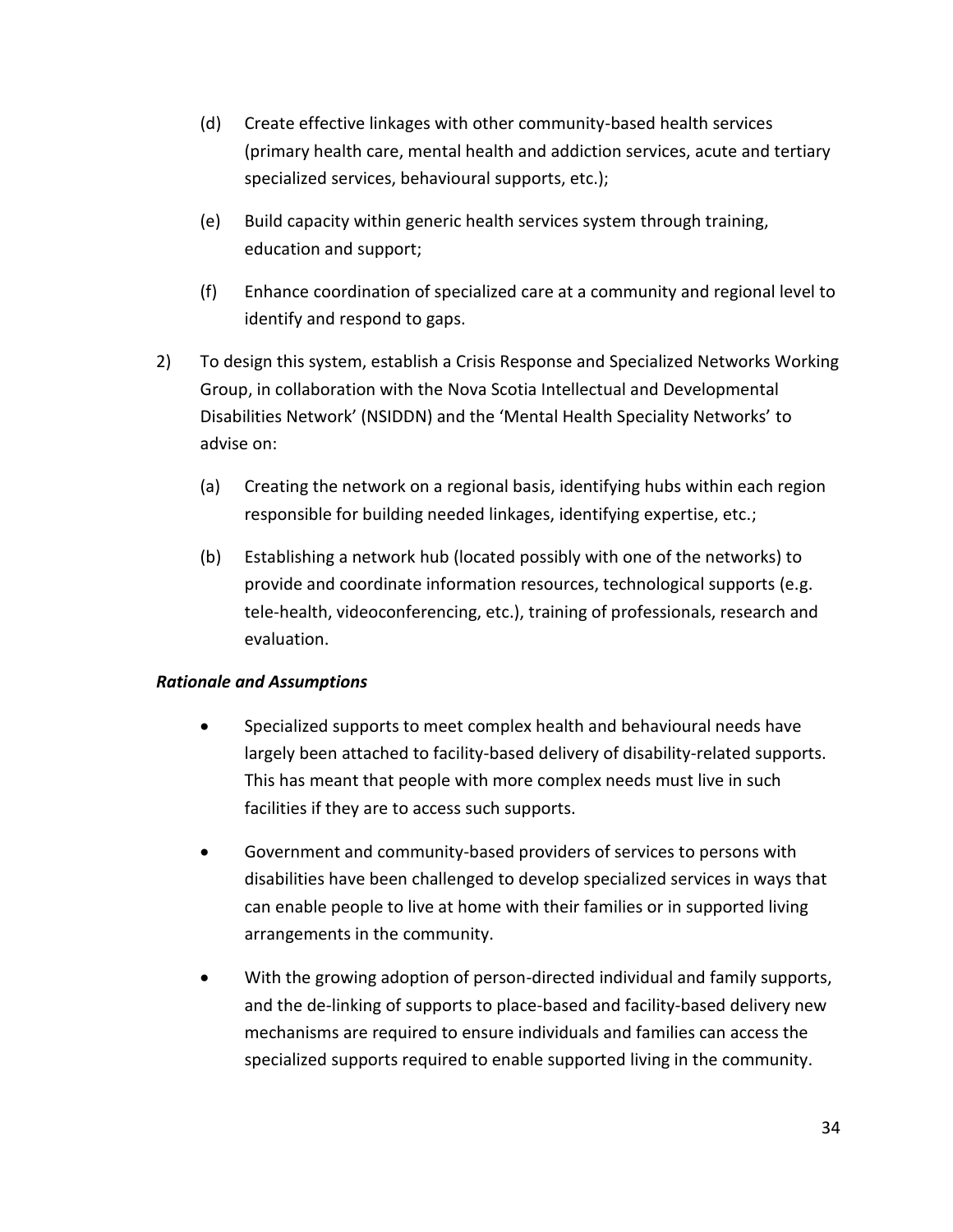- (d) Create effective linkages with other community-based health services (primary health care, mental health and addiction services, acute and tertiary specialized services, behavioural supports, etc.);
- (e) Build capacity within generic health services system through training, education and support;
- (f) Enhance coordination of specialized care at a community and regional level to identify and respond to gaps.
- 2) To design this system, establish a Crisis Response and Specialized Networks Working Group, in collaboration with the Nova Scotia Intellectual and Developmental Disabilities Network' (NSIDDN) and the 'Mental Health Speciality Networks' to advise on:
	- (a) Creating the network on a regional basis, identifying hubs within each region responsible for building needed linkages, identifying expertise, etc.;
	- (b) Establishing a network hub (located possibly with one of the networks) to provide and coordinate information resources, technological supports (e.g. tele-health, videoconferencing, etc.), training of professionals, research and evaluation.

#### *Rationale and Assumptions*

- Specialized supports to meet complex health and behavioural needs have largely been attached to facility-based delivery of disability-related supports. This has meant that people with more complex needs must live in such facilities if they are to access such supports.
- Government and community-based providers of services to persons with disabilities have been challenged to develop specialized services in ways that can enable people to live at home with their families or in supported living arrangements in the community.
- With the growing adoption of person-directed individual and family supports, and the de-linking of supports to place-based and facility-based delivery new mechanisms are required to ensure individuals and families can access the specialized supports required to enable supported living in the community.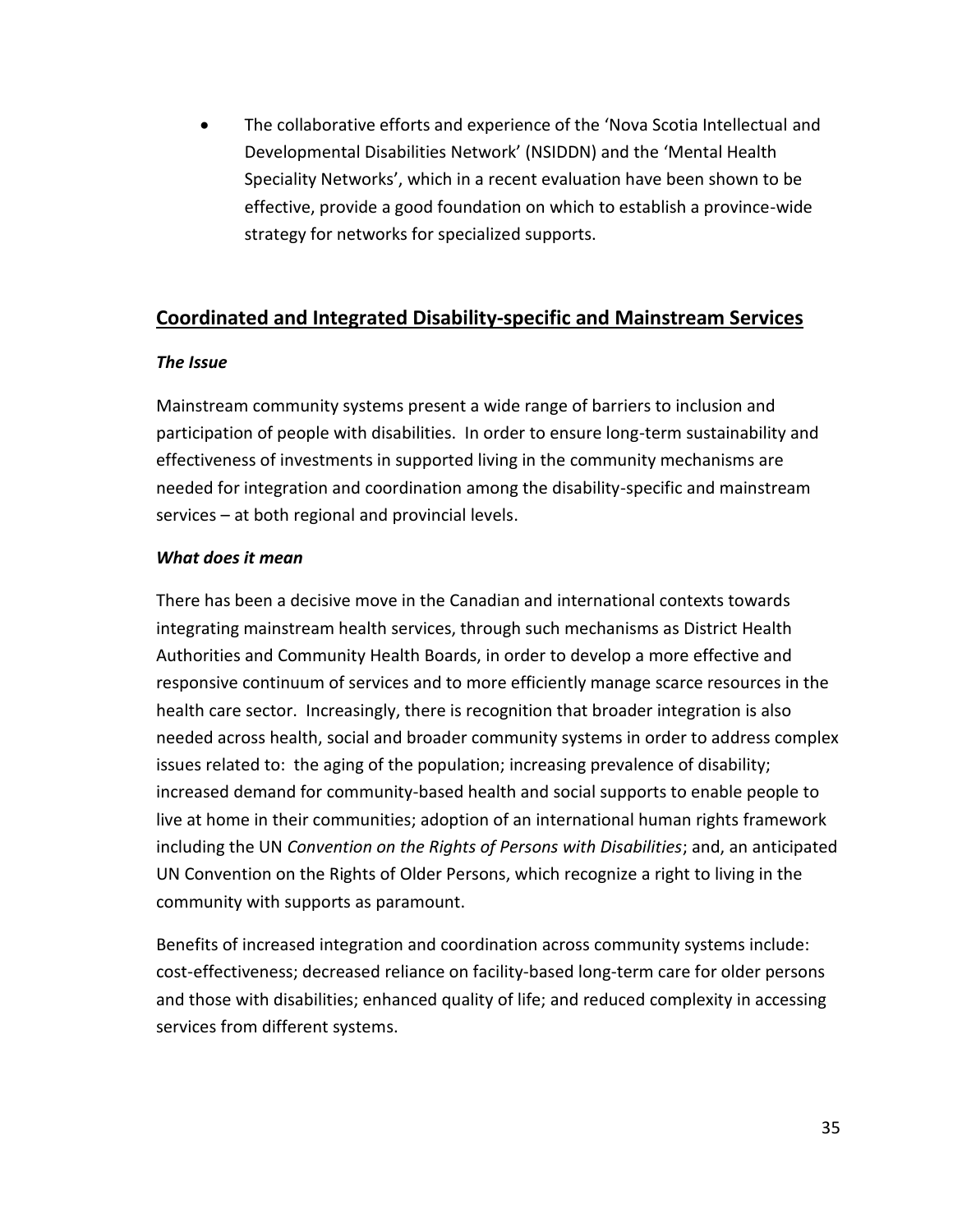The collaborative efforts and experience of the 'Nova Scotia Intellectual and Developmental Disabilities Network' (NSIDDN) and the 'Mental Health Speciality Networks', which in a recent evaluation have been shown to be effective, provide a good foundation on which to establish a province-wide strategy for networks for specialized supports.

## <span id="page-44-0"></span>**Coordinated and Integrated Disability-specific and Mainstream Services**

#### *The Issue*

Mainstream community systems present a wide range of barriers to inclusion and participation of people with disabilities. In order to ensure long-term sustainability and effectiveness of investments in supported living in the community mechanisms are needed for integration and coordination among the disability-specific and mainstream services – at both regional and provincial levels.

#### *What does it mean*

There has been a decisive move in the Canadian and international contexts towards integrating mainstream health services, through such mechanisms as District Health Authorities and Community Health Boards, in order to develop a more effective and responsive continuum of services and to more efficiently manage scarce resources in the health care sector. Increasingly, there is recognition that broader integration is also needed across health, social and broader community systems in order to address complex issues related to: the aging of the population; increasing prevalence of disability; increased demand for community-based health and social supports to enable people to live at home in their communities; adoption of an international human rights framework including the UN *Convention on the Rights of Persons with Disabilities*; and, an anticipated UN Convention on the Rights of Older Persons, which recognize a right to living in the community with supports as paramount.

Benefits of increased integration and coordination across community systems include: cost-effectiveness; decreased reliance on facility-based long-term care for older persons and those with disabilities; enhanced quality of life; and reduced complexity in accessing services from different systems.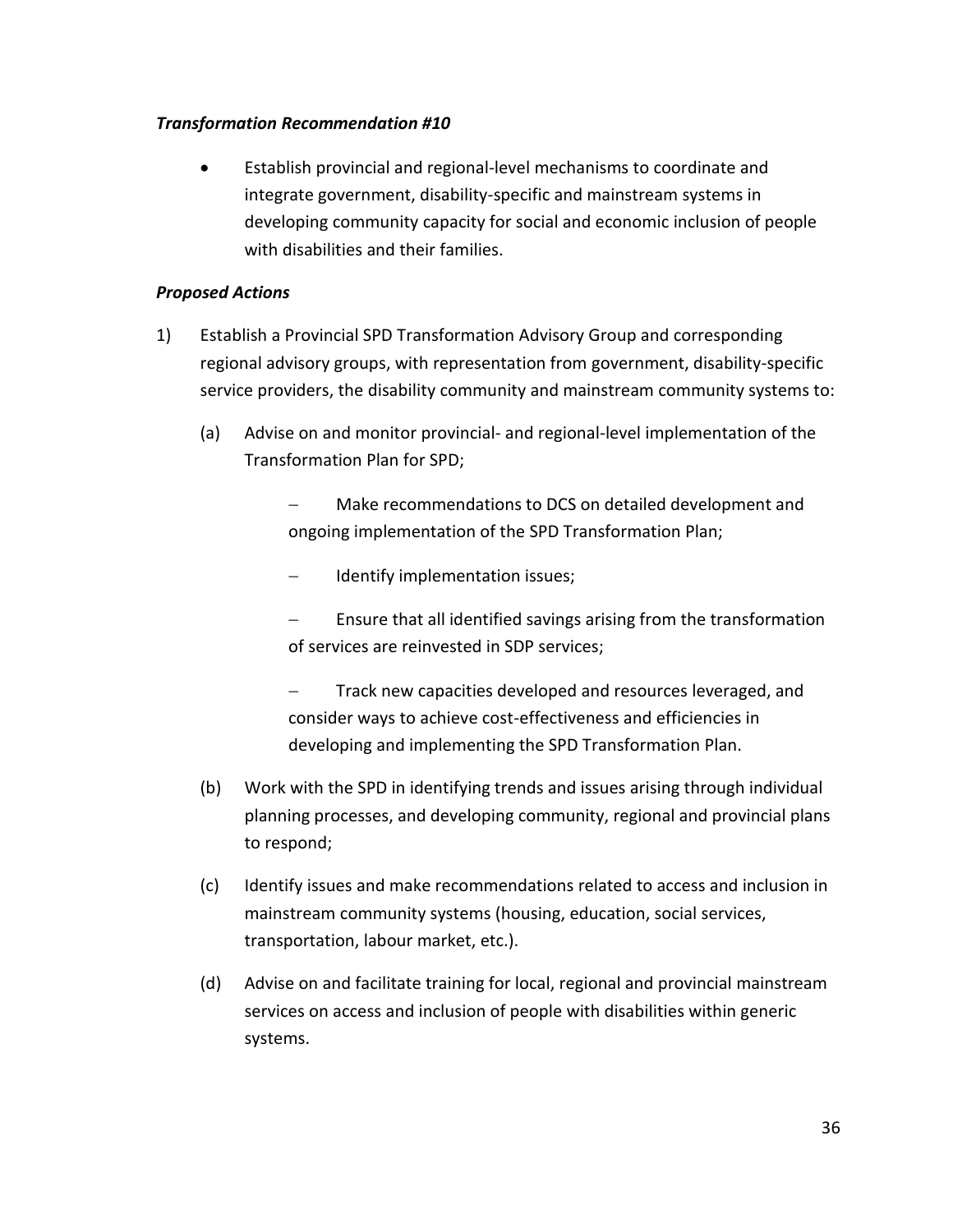#### *Transformation Recommendation #10*

 Establish provincial and regional-level mechanisms to coordinate and integrate government, disability-specific and mainstream systems in developing community capacity for social and economic inclusion of people with disabilities and their families.

#### *Proposed Actions*

- 1) Establish a Provincial SPD Transformation Advisory Group and corresponding regional advisory groups, with representation from government, disability-specific service providers, the disability community and mainstream community systems to:
	- (a) Advise on and monitor provincial- and regional-level implementation of the Transformation Plan for SPD;
		- Make recommendations to DCS on detailed development and ongoing implementation of the SPD Transformation Plan;
		- Identify implementation issues;
		- Ensure that all identified savings arising from the transformation of services are reinvested in SDP services;
		- Track new capacities developed and resources leveraged, and consider ways to achieve cost-effectiveness and efficiencies in developing and implementing the SPD Transformation Plan.
	- (b) Work with the SPD in identifying trends and issues arising through individual planning processes, and developing community, regional and provincial plans to respond;
	- (c) Identify issues and make recommendations related to access and inclusion in mainstream community systems (housing, education, social services, transportation, labour market, etc.).
	- (d) Advise on and facilitate training for local, regional and provincial mainstream services on access and inclusion of people with disabilities within generic systems.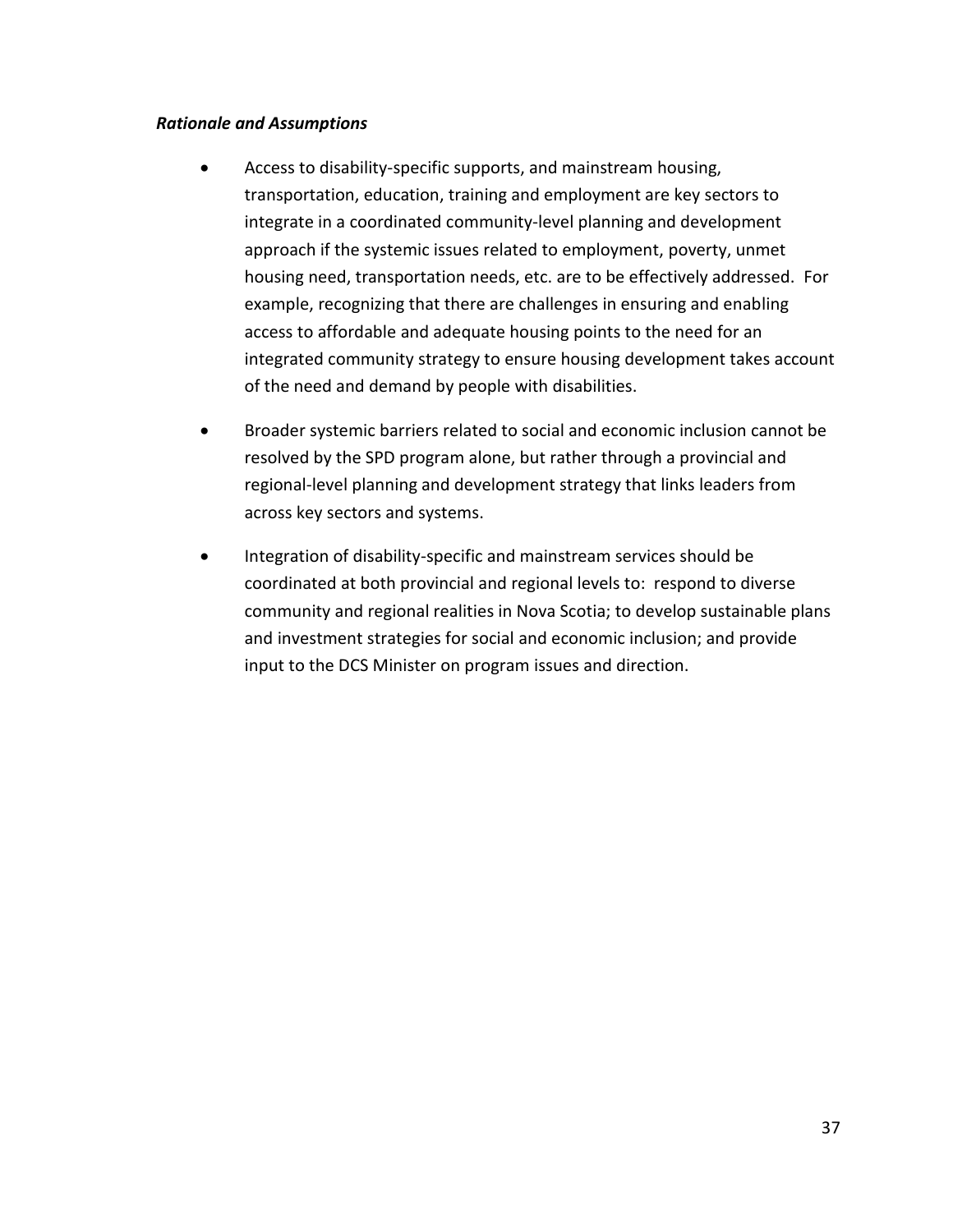#### *Rationale and Assumptions*

- Access to disability-specific supports, and mainstream housing, transportation, education, training and employment are key sectors to integrate in a coordinated community-level planning and development approach if the systemic issues related to employment, poverty, unmet housing need, transportation needs, etc. are to be effectively addressed. For example, recognizing that there are challenges in ensuring and enabling access to affordable and adequate housing points to the need for an integrated community strategy to ensure housing development takes account of the need and demand by people with disabilities.
- Broader systemic barriers related to social and economic inclusion cannot be resolved by the SPD program alone, but rather through a provincial and regional-level planning and development strategy that links leaders from across key sectors and systems.
- Integration of disability-specific and mainstream services should be coordinated at both provincial and regional levels to: respond to diverse community and regional realities in Nova Scotia; to develop sustainable plans and investment strategies for social and economic inclusion; and provide input to the DCS Minister on program issues and direction.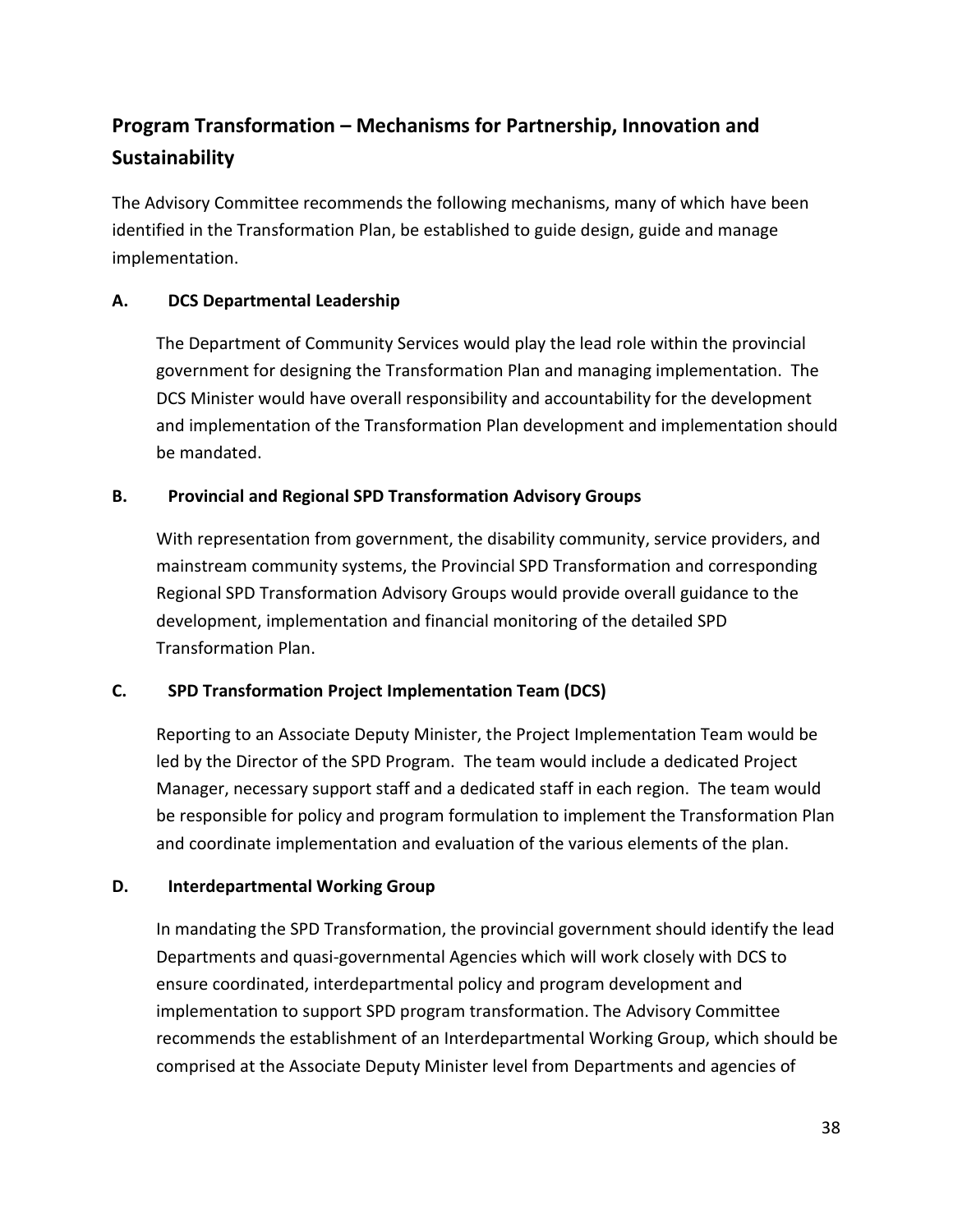## <span id="page-47-0"></span>**Program Transformation – Mechanisms for Partnership, Innovation and Sustainability**

The Advisory Committee recommends the following mechanisms, many of which have been identified in the Transformation Plan, be established to guide design, guide and manage implementation.

#### **A. DCS Departmental Leadership**

The Department of Community Services would play the lead role within the provincial government for designing the Transformation Plan and managing implementation. The DCS Minister would have overall responsibility and accountability for the development and implementation of the Transformation Plan development and implementation should be mandated.

#### **B. Provincial and Regional SPD Transformation Advisory Groups**

With representation from government, the disability community, service providers, and mainstream community systems, the Provincial SPD Transformation and corresponding Regional SPD Transformation Advisory Groups would provide overall guidance to the development, implementation and financial monitoring of the detailed SPD Transformation Plan.

#### **C. SPD Transformation Project Implementation Team (DCS)**

Reporting to an Associate Deputy Minister, the Project Implementation Team would be led by the Director of the SPD Program. The team would include a dedicated Project Manager, necessary support staff and a dedicated staff in each region. The team would be responsible for policy and program formulation to implement the Transformation Plan and coordinate implementation and evaluation of the various elements of the plan.

#### **D. Interdepartmental Working Group**

In mandating the SPD Transformation, the provincial government should identify the lead Departments and quasi-governmental Agencies which will work closely with DCS to ensure coordinated, interdepartmental policy and program development and implementation to support SPD program transformation. The Advisory Committee recommends the establishment of an Interdepartmental Working Group, which should be comprised at the Associate Deputy Minister level from Departments and agencies of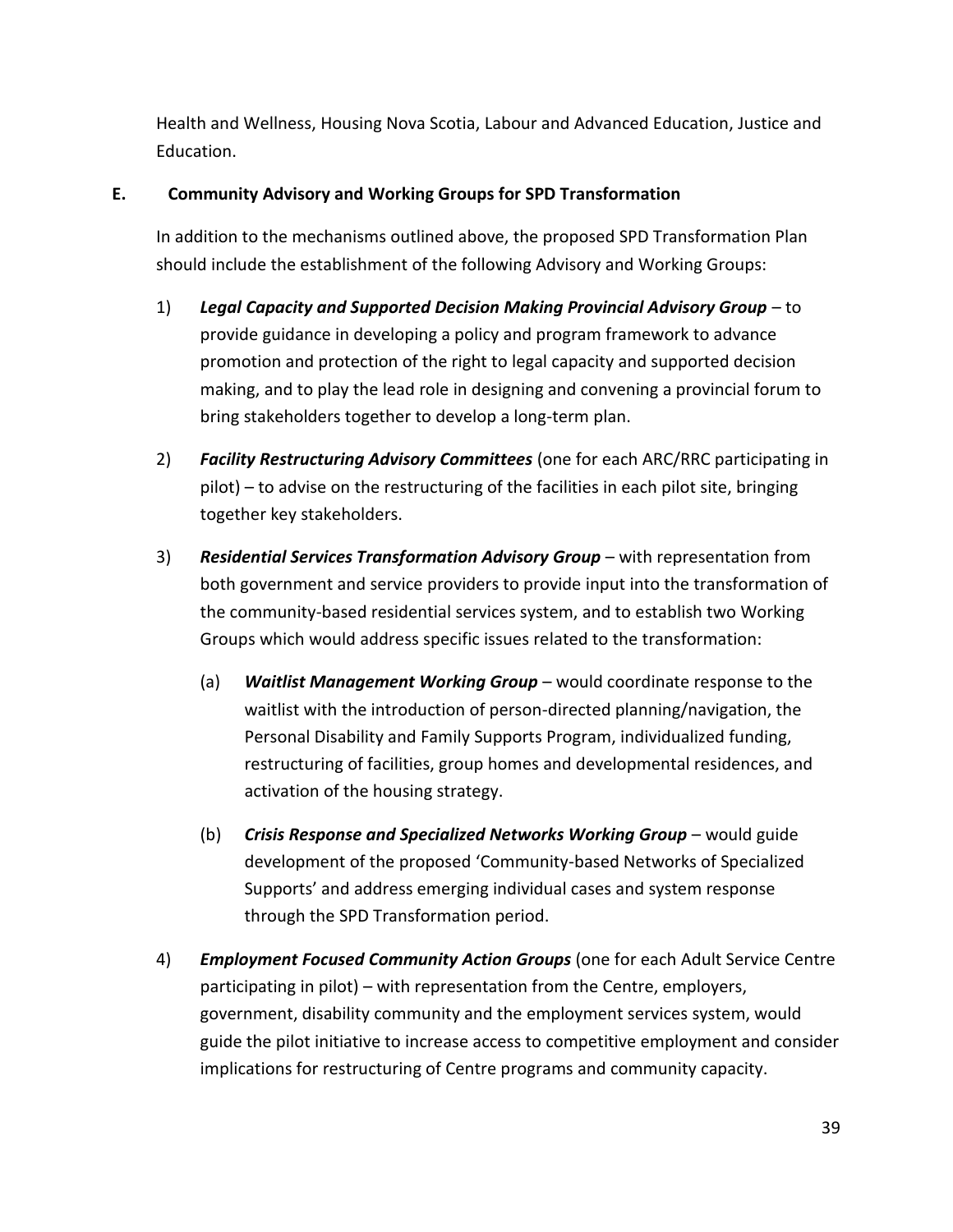Health and Wellness, Housing Nova Scotia, Labour and Advanced Education, Justice and Education.

#### **E. Community Advisory and Working Groups for SPD Transformation**

In addition to the mechanisms outlined above, the proposed SPD Transformation Plan should include the establishment of the following Advisory and Working Groups:

- 1) *Legal Capacity and Supported Decision Making Provincial Advisory Group* to provide guidance in developing a policy and program framework to advance promotion and protection of the right to legal capacity and supported decision making, and to play the lead role in designing and convening a provincial forum to bring stakeholders together to develop a long-term plan.
- 2) *Facility Restructuring Advisory Committees* (one for each ARC/RRC participating in pilot) – to advise on the restructuring of the facilities in each pilot site, bringing together key stakeholders.
- 3) *Residential Services Transformation Advisory Group* with representation from both government and service providers to provide input into the transformation of the community-based residential services system, and to establish two Working Groups which would address specific issues related to the transformation:
	- (a) *Waitlist Management Working Group* would coordinate response to the waitlist with the introduction of person-directed planning/navigation, the Personal Disability and Family Supports Program, individualized funding, restructuring of facilities, group homes and developmental residences, and activation of the housing strategy.
	- (b) *Crisis Response and Specialized Networks Working Group* would guide development of the proposed 'Community-based Networks of Specialized Supports' and address emerging individual cases and system response through the SPD Transformation period.
- 4) *Employment Focused Community Action Groups* (one for each Adult Service Centre participating in pilot) – with representation from the Centre, employers, government, disability community and the employment services system, would guide the pilot initiative to increase access to competitive employment and consider implications for restructuring of Centre programs and community capacity.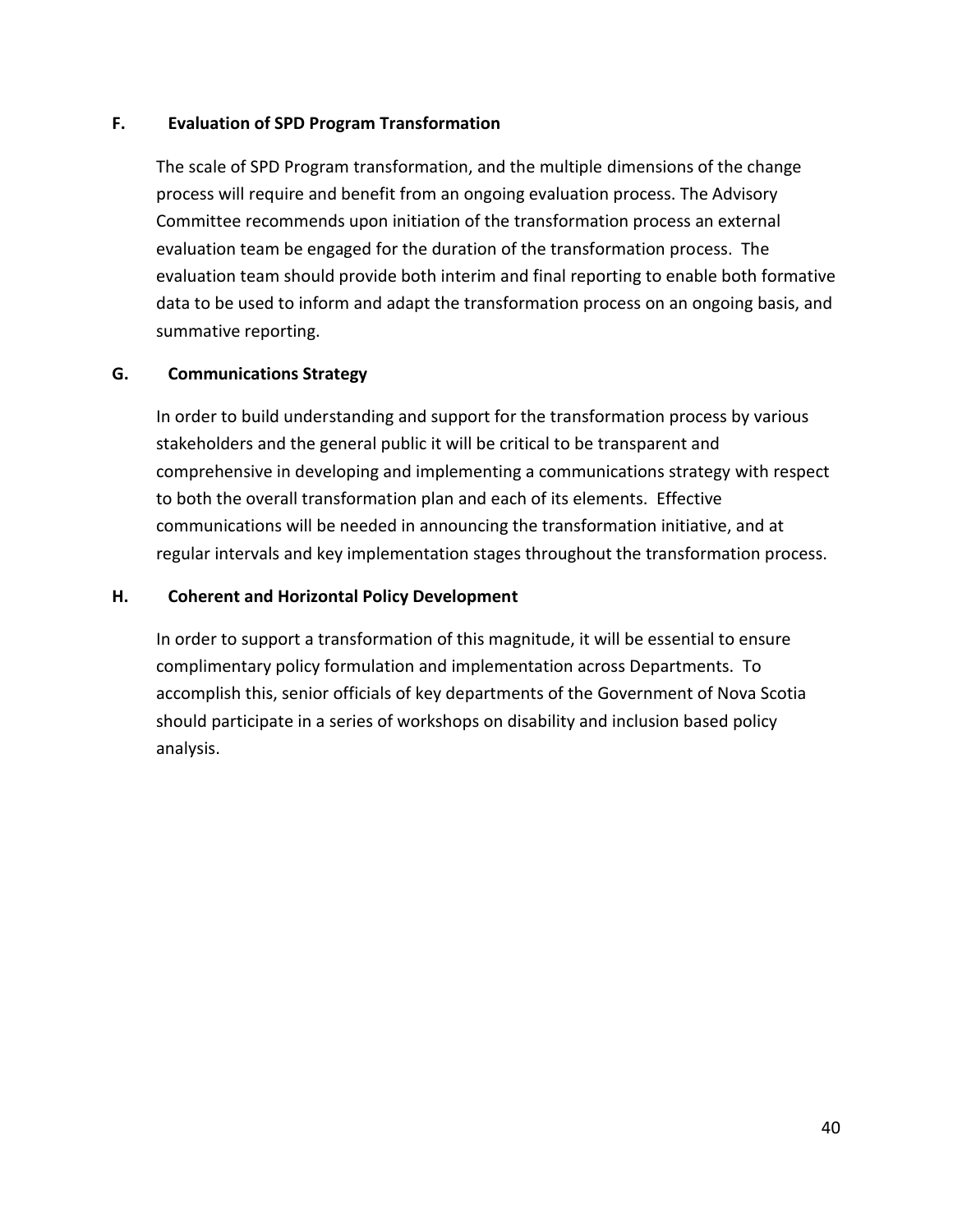#### **F. Evaluation of SPD Program Transformation**

The scale of SPD Program transformation, and the multiple dimensions of the change process will require and benefit from an ongoing evaluation process. The Advisory Committee recommends upon initiation of the transformation process an external evaluation team be engaged for the duration of the transformation process. The evaluation team should provide both interim and final reporting to enable both formative data to be used to inform and adapt the transformation process on an ongoing basis, and summative reporting.

#### **G. Communications Strategy**

In order to build understanding and support for the transformation process by various stakeholders and the general public it will be critical to be transparent and comprehensive in developing and implementing a communications strategy with respect to both the overall transformation plan and each of its elements. Effective communications will be needed in announcing the transformation initiative, and at regular intervals and key implementation stages throughout the transformation process.

#### **H. Coherent and Horizontal Policy Development**

In order to support a transformation of this magnitude, it will be essential to ensure complimentary policy formulation and implementation across Departments. To accomplish this, senior officials of key departments of the Government of Nova Scotia should participate in a series of workshops on disability and inclusion based policy analysis.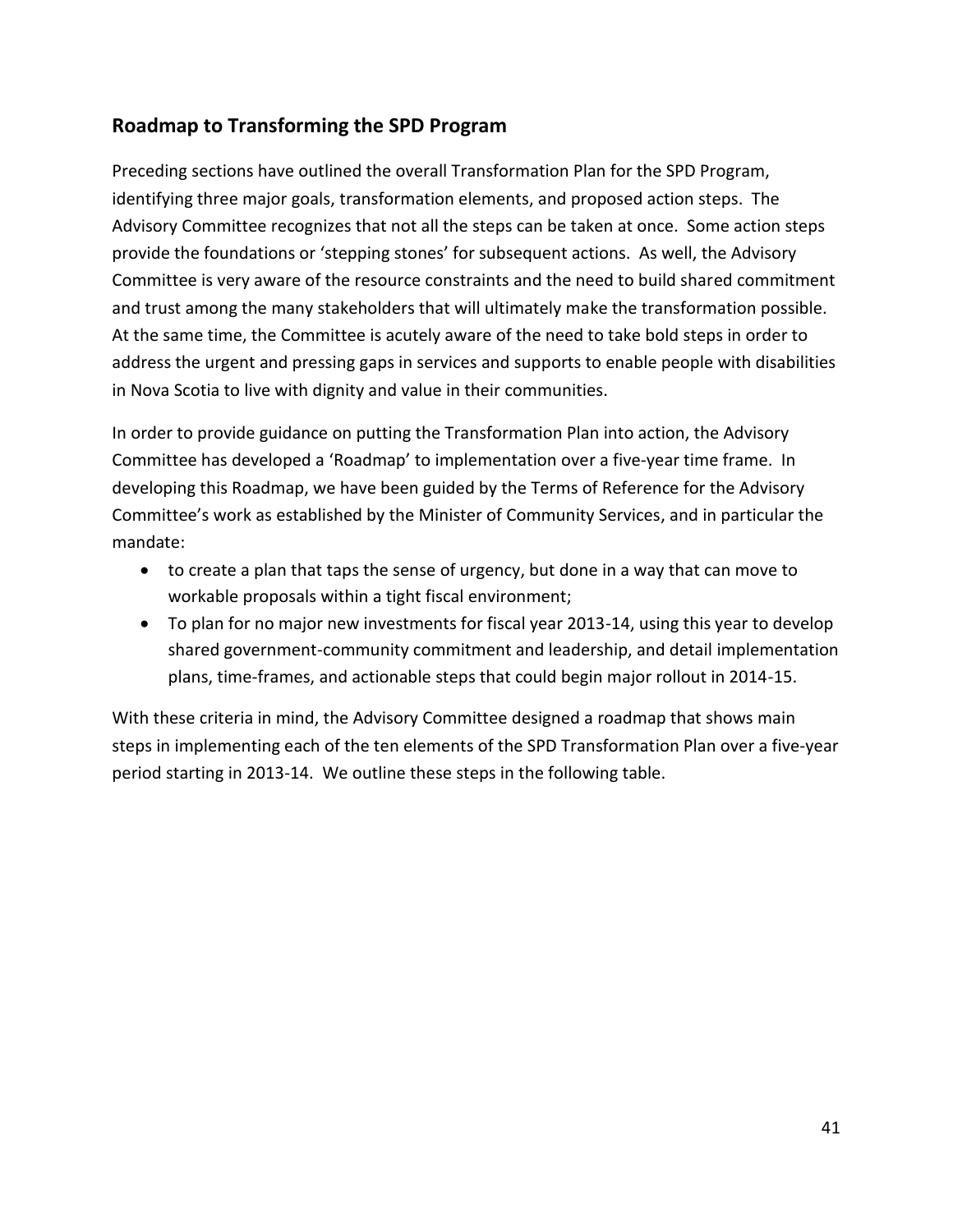## <span id="page-50-0"></span>**Roadmap to Transforming the SPD Program**

Preceding sections have outlined the overall Transformation Plan for the SPD Program, identifying three major goals, transformation elements, and proposed action steps. The Advisory Committee recognizes that not all the steps can be taken at once. Some action steps provide the foundations or 'stepping stones' for subsequent actions. As well, the Advisory Committee is very aware of the resource constraints and the need to build shared commitment and trust among the many stakeholders that will ultimately make the transformation possible. At the same time, the Committee is acutely aware of the need to take bold steps in order to address the urgent and pressing gaps in services and supports to enable people with disabilities in Nova Scotia to live with dignity and value in their communities.

In order to provide guidance on putting the Transformation Plan into action, the Advisory Committee has developed a 'Roadmap' to implementation over a five-year time frame. In developing this Roadmap, we have been guided by the Terms of Reference for the Advisory Committee's work as established by the Minister of Community Services, and in particular the mandate:

- to create a plan that taps the sense of urgency, but done in a way that can move to workable proposals within a tight fiscal environment;
- To plan for no major new investments for fiscal year 2013-14, using this year to develop shared government-community commitment and leadership, and detail implementation plans, time-frames, and actionable steps that could begin major rollout in 2014-15.

With these criteria in mind, the Advisory Committee designed a roadmap that shows main steps in implementing each of the ten elements of the SPD Transformation Plan over a five-year period starting in 2013-14. We outline these steps in the following table.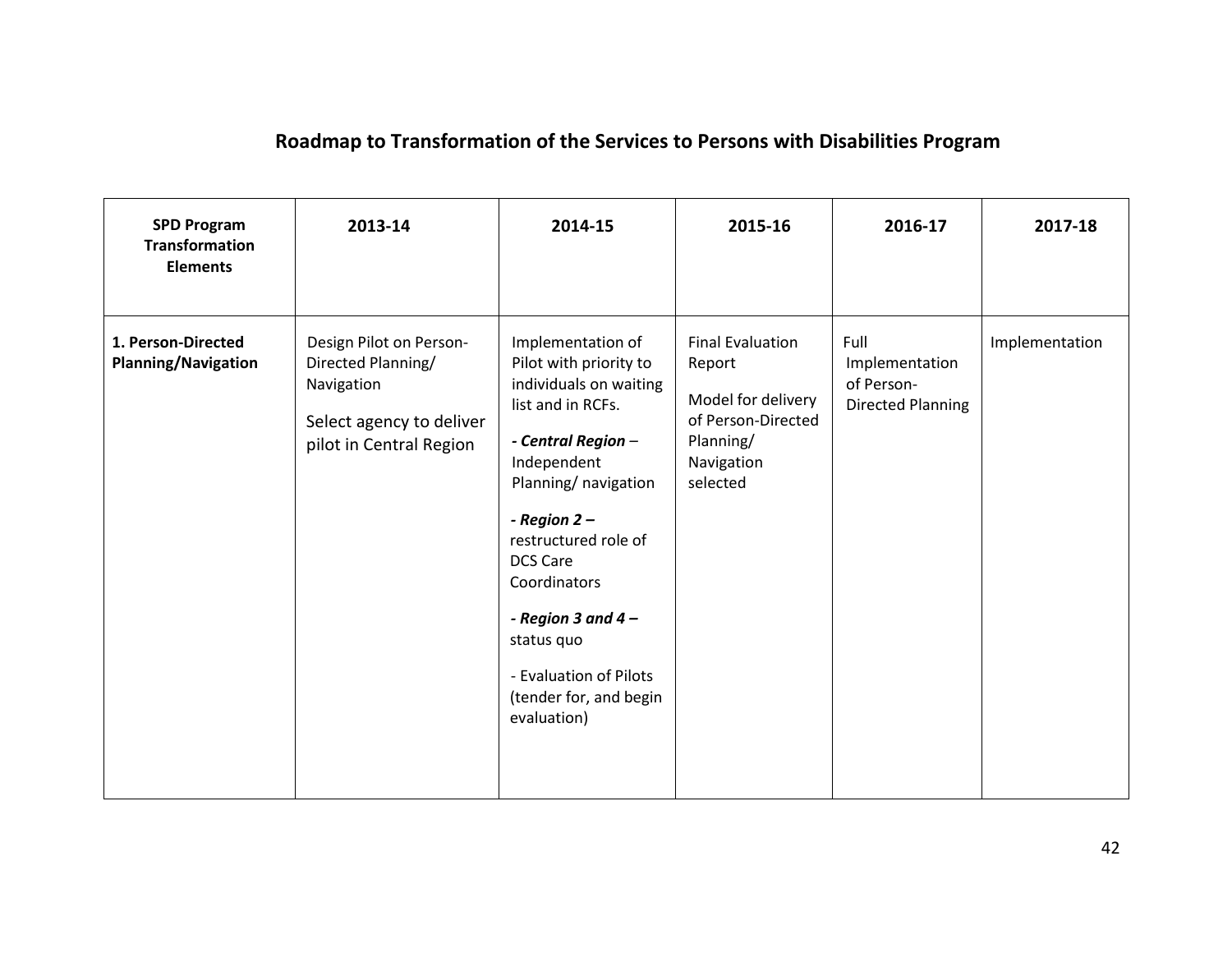## **Roadmap to Transformation of the Services to Persons with Disabilities Program**

| <b>SPD Program</b><br><b>Transformation</b><br><b>Elements</b> | 2013-14                                                                                                            | 2014-15                                                                                                                                                                                                                                                                                                                                      | 2015-16                                                                                                              | 2016-17                                                          | 2017-18        |
|----------------------------------------------------------------|--------------------------------------------------------------------------------------------------------------------|----------------------------------------------------------------------------------------------------------------------------------------------------------------------------------------------------------------------------------------------------------------------------------------------------------------------------------------------|----------------------------------------------------------------------------------------------------------------------|------------------------------------------------------------------|----------------|
| 1. Person-Directed<br><b>Planning/Navigation</b>               | Design Pilot on Person-<br>Directed Planning/<br>Navigation<br>Select agency to deliver<br>pilot in Central Region | Implementation of<br>Pilot with priority to<br>individuals on waiting<br>list and in RCFs.<br>- Central Region -<br>Independent<br>Planning/ navigation<br>- Region $2-$<br>restructured role of<br><b>DCS Care</b><br>Coordinators<br>- Region 3 and 4 $-$<br>status quo<br>- Evaluation of Pilots<br>(tender for, and begin<br>evaluation) | <b>Final Evaluation</b><br>Report<br>Model for delivery<br>of Person-Directed<br>Planning/<br>Navigation<br>selected | Full<br>Implementation<br>of Person-<br><b>Directed Planning</b> | Implementation |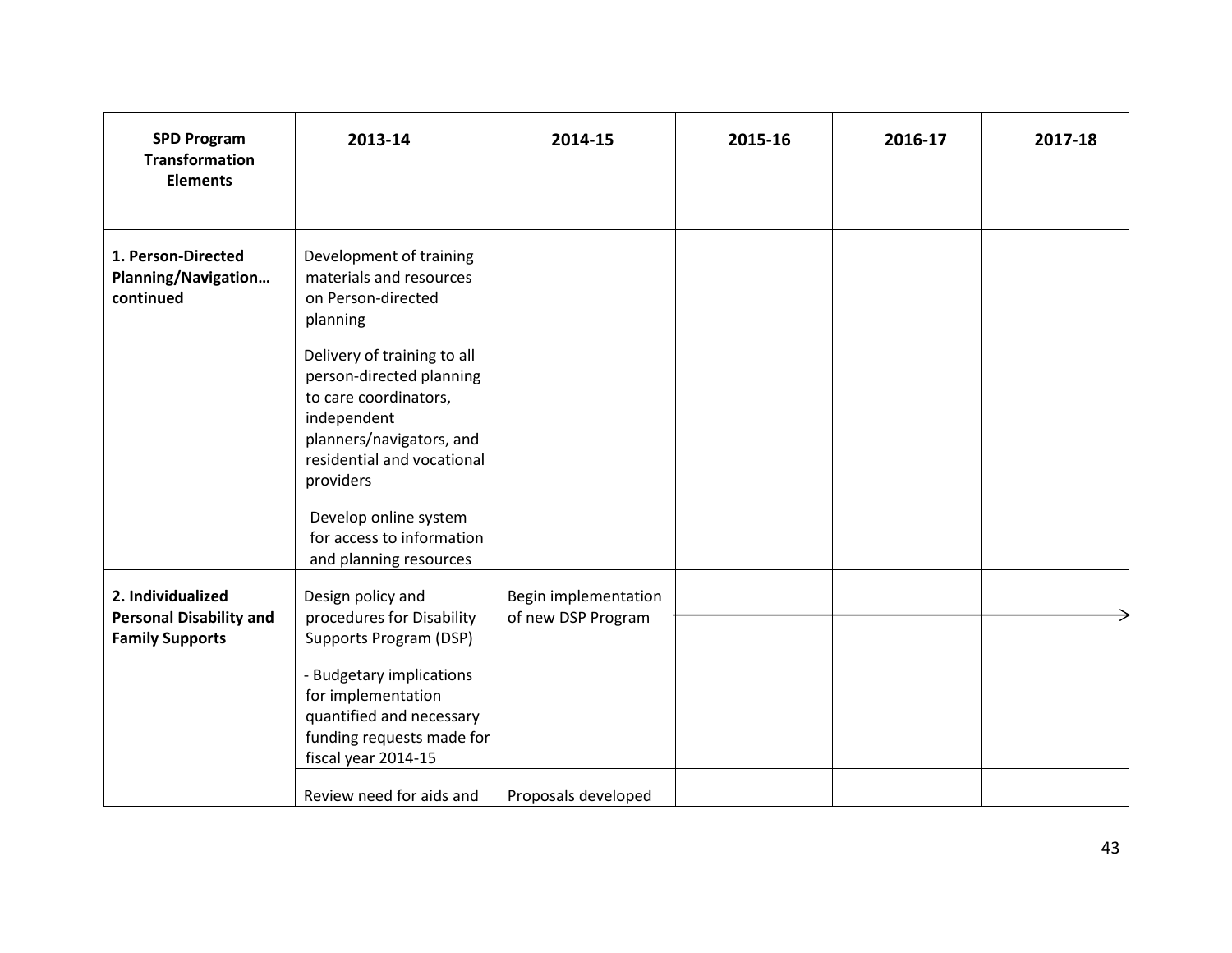| <b>SPD Program</b><br><b>Transformation</b><br><b>Elements</b>                | 2013-14                                                                                                                                                                                                                                                                                                                                        | 2014-15                                    | 2015-16 | 2016-17 | 2017-18 |
|-------------------------------------------------------------------------------|------------------------------------------------------------------------------------------------------------------------------------------------------------------------------------------------------------------------------------------------------------------------------------------------------------------------------------------------|--------------------------------------------|---------|---------|---------|
| 1. Person-Directed<br>Planning/Navigation<br>continued                        | Development of training<br>materials and resources<br>on Person-directed<br>planning<br>Delivery of training to all<br>person-directed planning<br>to care coordinators,<br>independent<br>planners/navigators, and<br>residential and vocational<br>providers<br>Develop online system<br>for access to information<br>and planning resources |                                            |         |         |         |
| 2. Individualized<br><b>Personal Disability and</b><br><b>Family Supports</b> | Design policy and<br>procedures for Disability<br>Supports Program (DSP)<br>- Budgetary implications<br>for implementation<br>quantified and necessary<br>funding requests made for<br>fiscal year 2014-15                                                                                                                                     | Begin implementation<br>of new DSP Program |         |         |         |
|                                                                               | Review need for aids and                                                                                                                                                                                                                                                                                                                       | Proposals developed                        |         |         |         |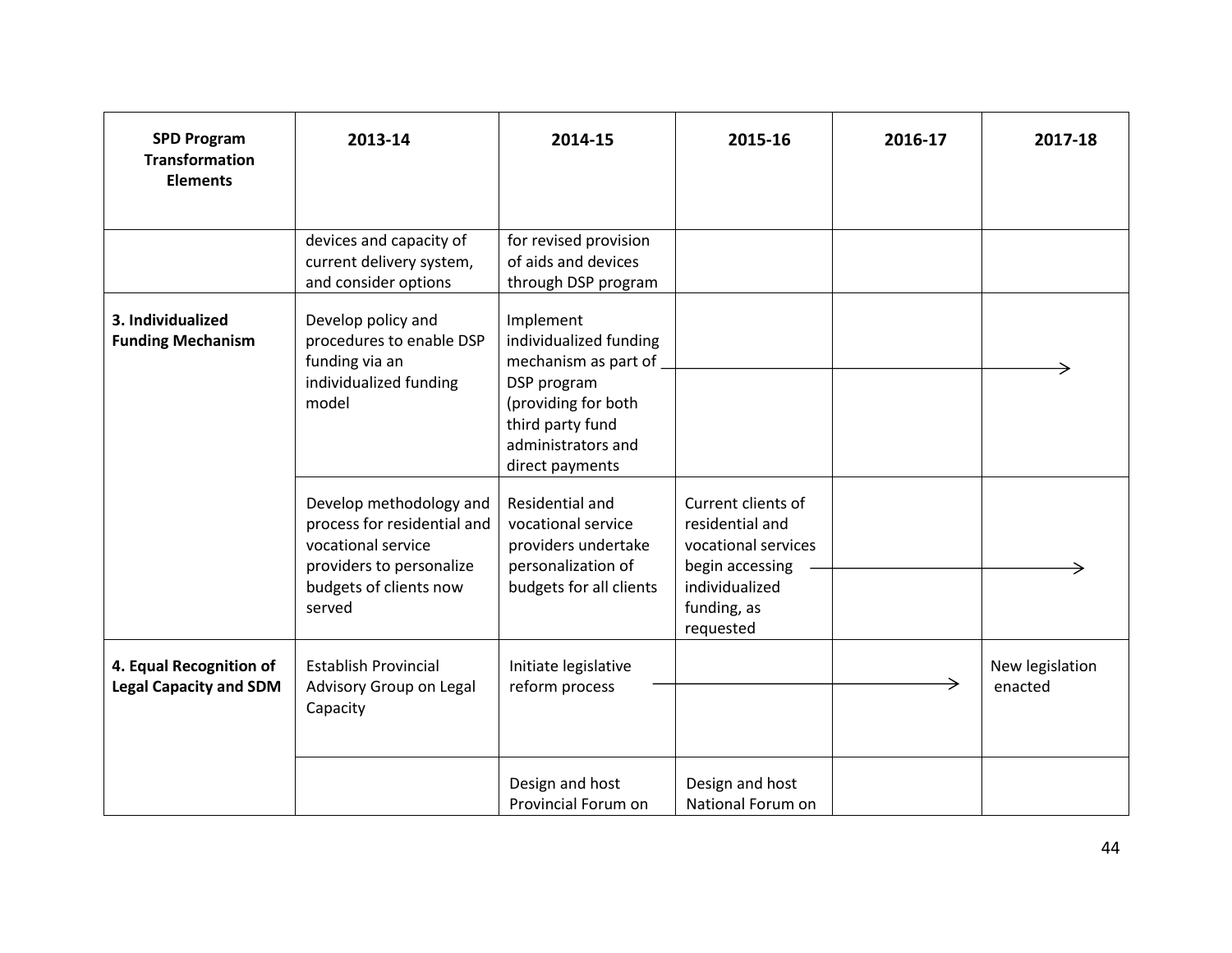| <b>SPD Program</b><br><b>Transformation</b><br><b>Elements</b> | 2013-14                                                                                                                                      | 2014-15                                                                                                                                                        | 2015-16                                                                                                                       | 2016-17 | 2017-18                    |
|----------------------------------------------------------------|----------------------------------------------------------------------------------------------------------------------------------------------|----------------------------------------------------------------------------------------------------------------------------------------------------------------|-------------------------------------------------------------------------------------------------------------------------------|---------|----------------------------|
|                                                                | devices and capacity of<br>current delivery system,<br>and consider options                                                                  | for revised provision<br>of aids and devices<br>through DSP program                                                                                            |                                                                                                                               |         |                            |
| 3. Individualized<br><b>Funding Mechanism</b>                  | Develop policy and<br>procedures to enable DSP<br>funding via an<br>individualized funding<br>model                                          | Implement<br>individualized funding<br>mechanism as part of<br>DSP program<br>(providing for both<br>third party fund<br>administrators and<br>direct payments |                                                                                                                               |         |                            |
|                                                                | Develop methodology and<br>process for residential and<br>vocational service<br>providers to personalize<br>budgets of clients now<br>served | Residential and<br>vocational service<br>providers undertake<br>personalization of<br>budgets for all clients                                                  | Current clients of<br>residential and<br>vocational services<br>begin accessing<br>individualized<br>funding, as<br>requested |         |                            |
| 4. Equal Recognition of<br><b>Legal Capacity and SDM</b>       | <b>Establish Provincial</b><br>Advisory Group on Legal<br>Capacity                                                                           | Initiate legislative<br>reform process                                                                                                                         |                                                                                                                               |         | New legislation<br>enacted |
|                                                                |                                                                                                                                              | Design and host<br>Provincial Forum on                                                                                                                         | Design and host<br>National Forum on                                                                                          |         |                            |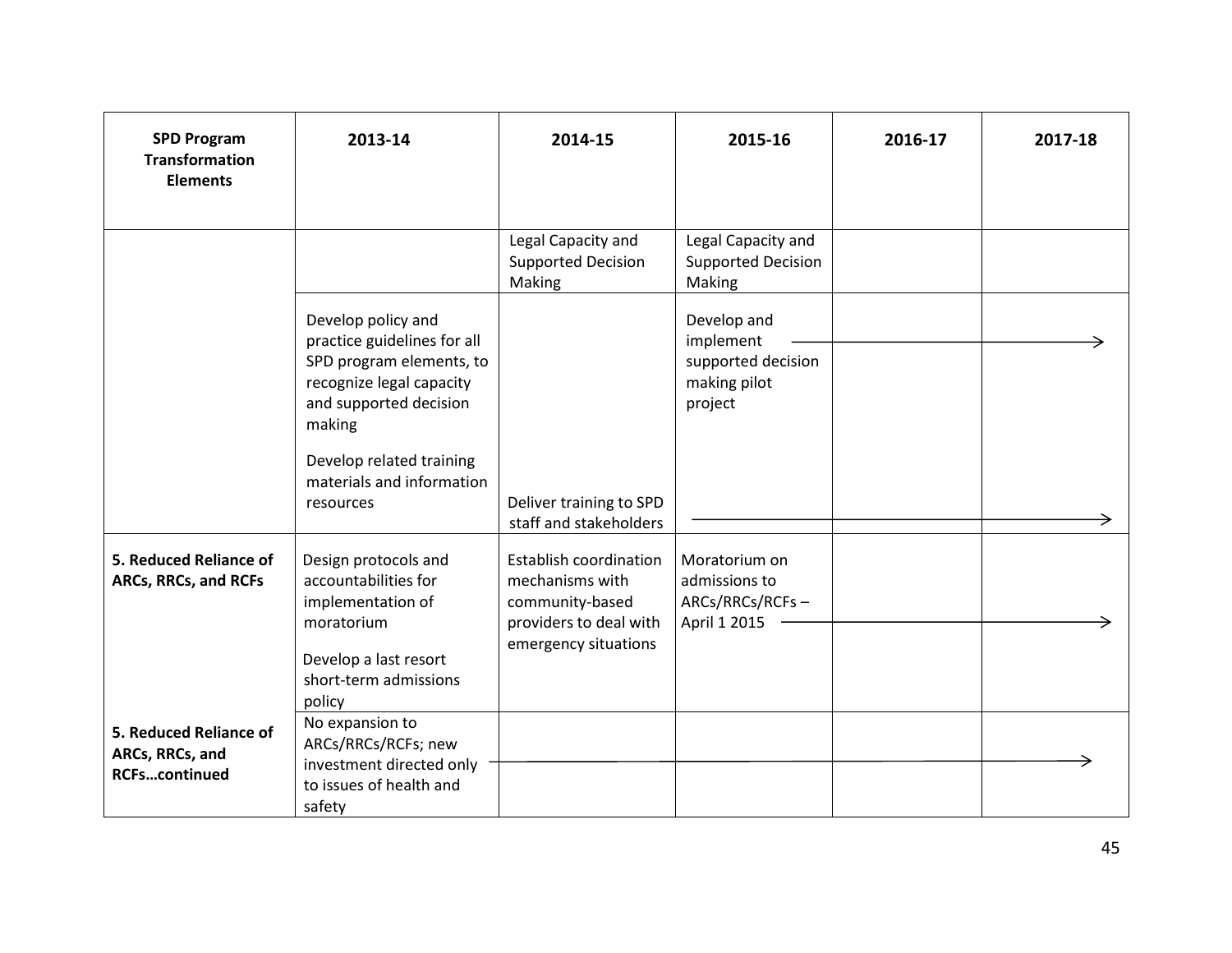| <b>SPD Program</b><br><b>Transformation</b><br><b>Elements</b>    | 2013-14                                                                                                                                                                                                             | 2014-15                                                                                                               | 2015-16                                                                   | 2016-17 | 2017-18 |
|-------------------------------------------------------------------|---------------------------------------------------------------------------------------------------------------------------------------------------------------------------------------------------------------------|-----------------------------------------------------------------------------------------------------------------------|---------------------------------------------------------------------------|---------|---------|
|                                                                   |                                                                                                                                                                                                                     | Legal Capacity and<br><b>Supported Decision</b><br>Making                                                             | Legal Capacity and<br><b>Supported Decision</b><br>Making                 |         |         |
|                                                                   | Develop policy and<br>practice guidelines for all<br>SPD program elements, to<br>recognize legal capacity<br>and supported decision<br>making<br>Develop related training<br>materials and information<br>resources | Deliver training to SPD<br>staff and stakeholders                                                                     | Develop and<br>implement<br>supported decision<br>making pilot<br>project |         |         |
| 5. Reduced Reliance of<br>ARCs, RRCs, and RCFs                    | Design protocols and<br>accountabilities for<br>implementation of<br>moratorium<br>Develop a last resort<br>short-term admissions<br>policy                                                                         | <b>Establish coordination</b><br>mechanisms with<br>community-based<br>providers to deal with<br>emergency situations | Moratorium on<br>admissions to<br>ARCs/RRCs/RCFs-<br>April 1 2015         |         |         |
| 5. Reduced Reliance of<br>ARCs, RRCs, and<br><b>RCFscontinued</b> | No expansion to<br>ARCs/RRCs/RCFs; new<br>investment directed only<br>to issues of health and<br>safety                                                                                                             |                                                                                                                       |                                                                           |         |         |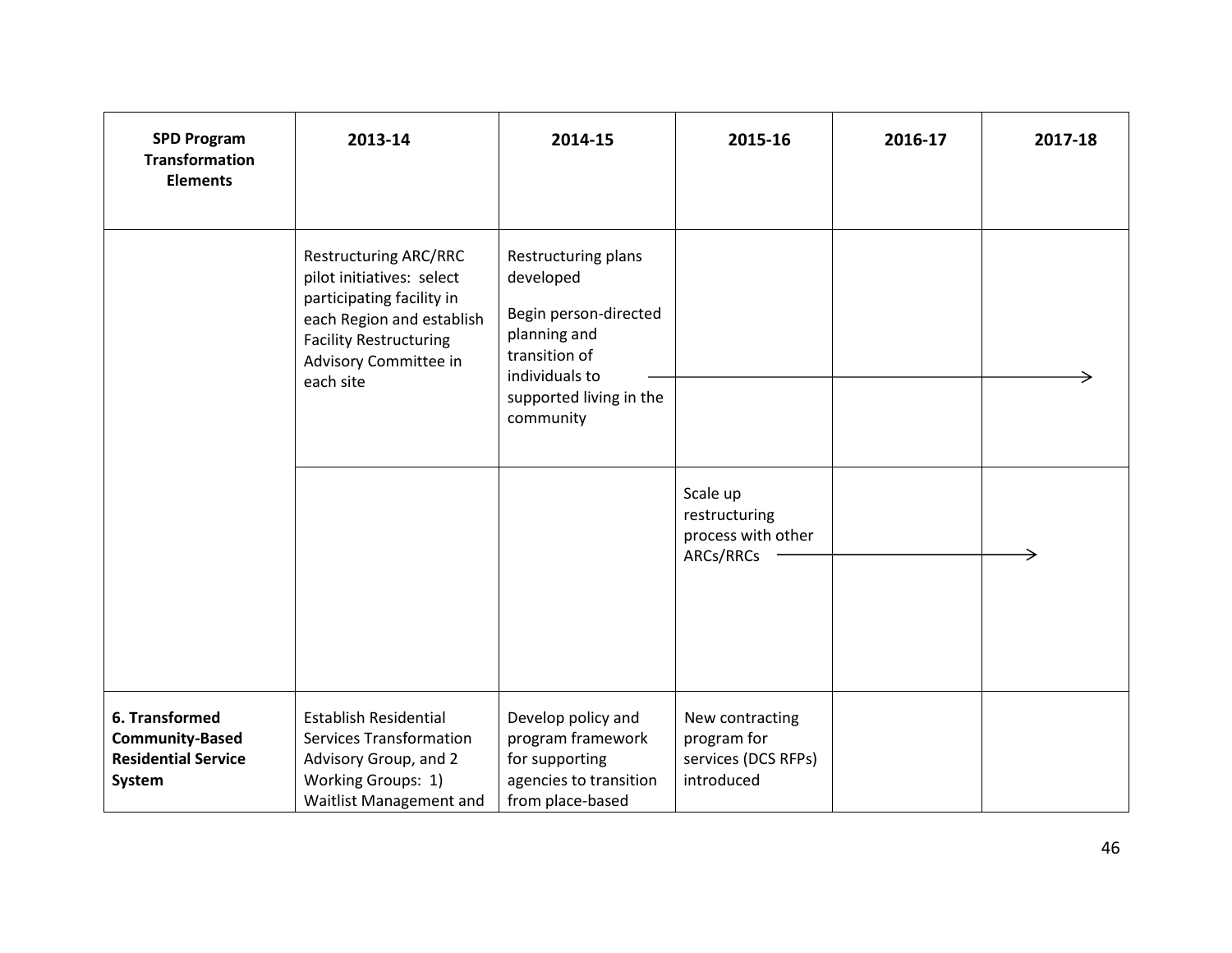| <b>SPD Program</b><br><b>Transformation</b><br><b>Elements</b>                   | 2013-14                                                                                                                                                                                    | 2014-15                                                                                                                                              | 2015-16                                                             | 2016-17 | 2017-18 |
|----------------------------------------------------------------------------------|--------------------------------------------------------------------------------------------------------------------------------------------------------------------------------------------|------------------------------------------------------------------------------------------------------------------------------------------------------|---------------------------------------------------------------------|---------|---------|
|                                                                                  | <b>Restructuring ARC/RRC</b><br>pilot initiatives: select<br>participating facility in<br>each Region and establish<br><b>Facility Restructuring</b><br>Advisory Committee in<br>each site | Restructuring plans<br>developed<br>Begin person-directed<br>planning and<br>transition of<br>individuals to<br>supported living in the<br>community |                                                                     |         |         |
|                                                                                  |                                                                                                                                                                                            |                                                                                                                                                      | Scale up<br>restructuring<br>process with other<br>ARCs/RRCs        |         |         |
| 6. Transformed<br><b>Community-Based</b><br><b>Residential Service</b><br>System | <b>Establish Residential</b><br><b>Services Transformation</b><br>Advisory Group, and 2<br>Working Groups: 1)<br>Waitlist Management and                                                   | Develop policy and<br>program framework<br>for supporting<br>agencies to transition<br>from place-based                                              | New contracting<br>program for<br>services (DCS RFPs)<br>introduced |         |         |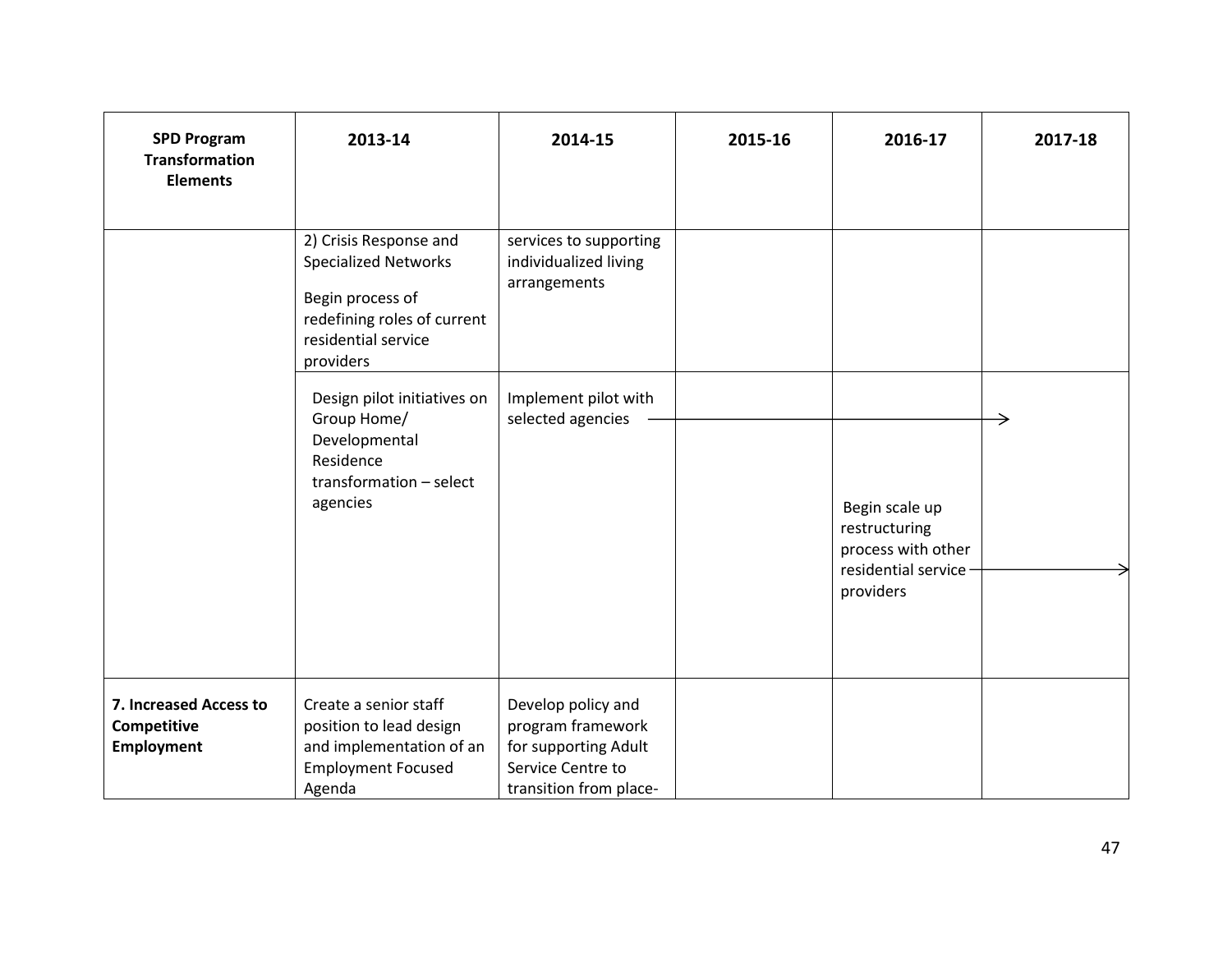| <b>SPD Program</b><br><b>Transformation</b><br><b>Elements</b> | 2013-14                                                                                                                                      | 2014-15                                                                                                        | 2015-16 | 2016-17                                                                                    | 2017-18 |
|----------------------------------------------------------------|----------------------------------------------------------------------------------------------------------------------------------------------|----------------------------------------------------------------------------------------------------------------|---------|--------------------------------------------------------------------------------------------|---------|
|                                                                | 2) Crisis Response and<br><b>Specialized Networks</b><br>Begin process of<br>redefining roles of current<br>residential service<br>providers | services to supporting<br>individualized living<br>arrangements                                                |         |                                                                                            |         |
|                                                                | Design pilot initiatives on<br>Group Home/<br>Developmental<br>Residence<br>transformation - select<br>agencies                              | Implement pilot with<br>selected agencies                                                                      |         | Begin scale up<br>restructuring<br>process with other<br>residential service-<br>providers | →       |
| 7. Increased Access to<br>Competitive<br><b>Employment</b>     | Create a senior staff<br>position to lead design<br>and implementation of an<br><b>Employment Focused</b><br>Agenda                          | Develop policy and<br>program framework<br>for supporting Adult<br>Service Centre to<br>transition from place- |         |                                                                                            |         |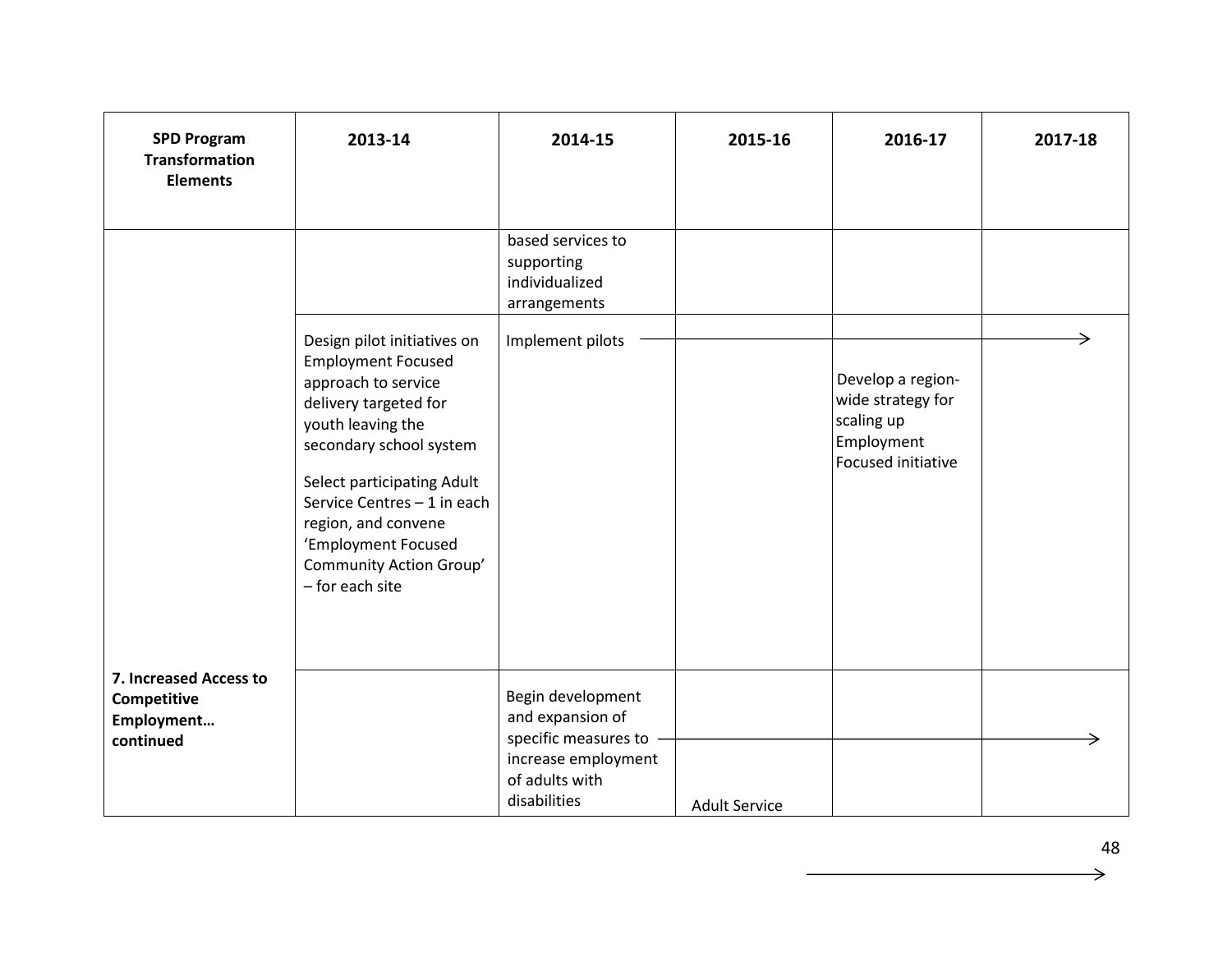| <b>SPD Program</b><br><b>Transformation</b><br><b>Elements</b>   | 2013-14                                                                                                                                                                                                                                                                                                           | 2014-15                                                                                                                | 2015-16              | 2016-17                                                                                  | 2017-18 |
|------------------------------------------------------------------|-------------------------------------------------------------------------------------------------------------------------------------------------------------------------------------------------------------------------------------------------------------------------------------------------------------------|------------------------------------------------------------------------------------------------------------------------|----------------------|------------------------------------------------------------------------------------------|---------|
|                                                                  |                                                                                                                                                                                                                                                                                                                   | based services to<br>supporting<br>individualized<br>arrangements                                                      |                      |                                                                                          |         |
|                                                                  | Design pilot initiatives on<br><b>Employment Focused</b><br>approach to service<br>delivery targeted for<br>youth leaving the<br>secondary school system<br>Select participating Adult<br>Service Centres - 1 in each<br>region, and convene<br>'Employment Focused<br>Community Action Group'<br>- for each site | Implement pilots                                                                                                       |                      | Develop a region-<br>wide strategy for<br>scaling up<br>Employment<br>Focused initiative |         |
| 7. Increased Access to<br>Competitive<br>Employment<br>continued |                                                                                                                                                                                                                                                                                                                   | Begin development<br>and expansion of<br>specific measures to<br>increase employment<br>of adults with<br>disabilities | <b>Adult Service</b> |                                                                                          |         |

 $\rightarrow$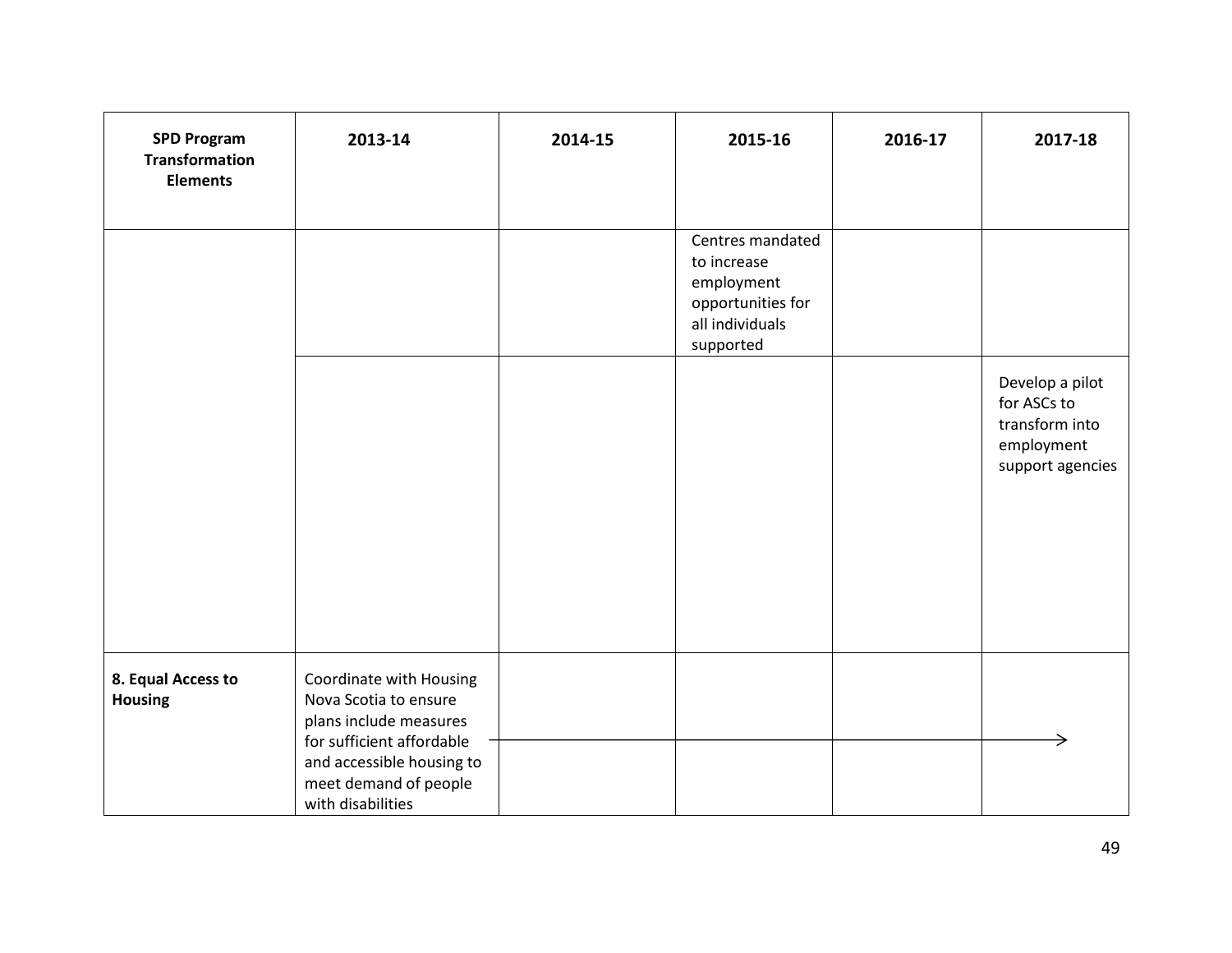| <b>SPD Program</b><br><b>Transformation</b><br><b>Elements</b> | 2013-14                                                                                                                                                                            | 2014-15 | 2015-16                                                                                            | 2016-17 | 2017-18                                                                            |
|----------------------------------------------------------------|------------------------------------------------------------------------------------------------------------------------------------------------------------------------------------|---------|----------------------------------------------------------------------------------------------------|---------|------------------------------------------------------------------------------------|
|                                                                |                                                                                                                                                                                    |         | Centres mandated<br>to increase<br>employment<br>opportunities for<br>all individuals<br>supported |         |                                                                                    |
|                                                                |                                                                                                                                                                                    |         |                                                                                                    |         | Develop a pilot<br>for ASCs to<br>transform into<br>employment<br>support agencies |
| 8. Equal Access to<br><b>Housing</b>                           | Coordinate with Housing<br>Nova Scotia to ensure<br>plans include measures<br>for sufficient affordable<br>and accessible housing to<br>meet demand of people<br>with disabilities |         |                                                                                                    |         |                                                                                    |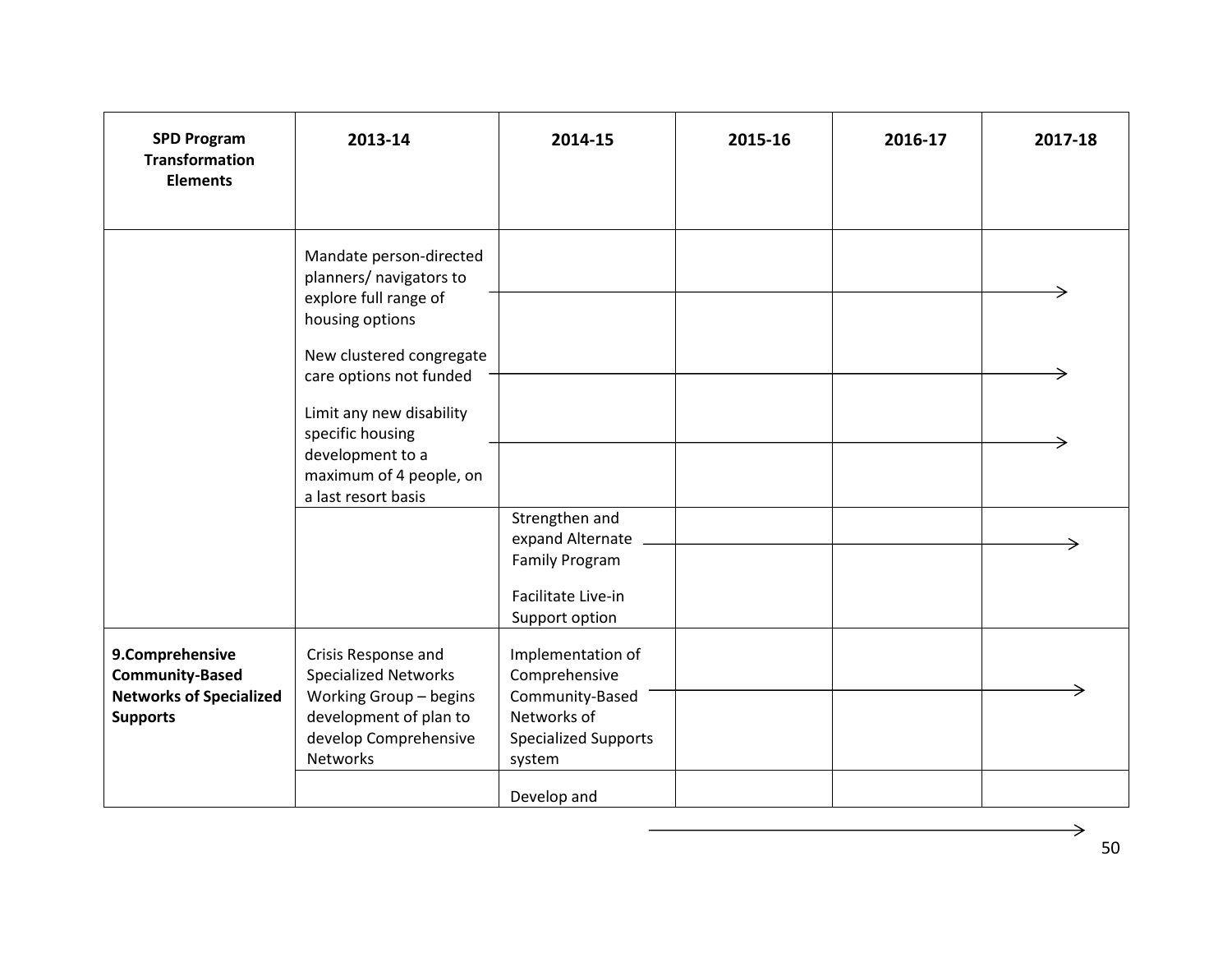| <b>SPD Program</b><br><b>Transformation</b><br><b>Elements</b>                                 | 2013-14                                                                                                                                                                                                                                                                     | 2014-15                                                                                                                      | 2015-16 | 2016-17 | 2017-18 |
|------------------------------------------------------------------------------------------------|-----------------------------------------------------------------------------------------------------------------------------------------------------------------------------------------------------------------------------------------------------------------------------|------------------------------------------------------------------------------------------------------------------------------|---------|---------|---------|
|                                                                                                | Mandate person-directed<br>planners/ navigators to<br>explore full range of<br>housing options<br>New clustered congregate<br>care options not funded<br>Limit any new disability<br>specific housing<br>development to a<br>maximum of 4 people, on<br>a last resort basis | Strengthen and                                                                                                               |         |         |         |
|                                                                                                |                                                                                                                                                                                                                                                                             | expand Alternate<br><b>Family Program</b><br>Facilitate Live-in<br>Support option                                            |         |         |         |
| 9.Comprehensive<br><b>Community-Based</b><br><b>Networks of Specialized</b><br><b>Supports</b> | Crisis Response and<br><b>Specialized Networks</b><br>Working Group - begins<br>development of plan to<br>develop Comprehensive<br>Networks                                                                                                                                 | Implementation of<br>Comprehensive<br>Community-Based<br>Networks of<br><b>Specialized Supports</b><br>system<br>Develop and |         |         |         |

 $\rightarrow$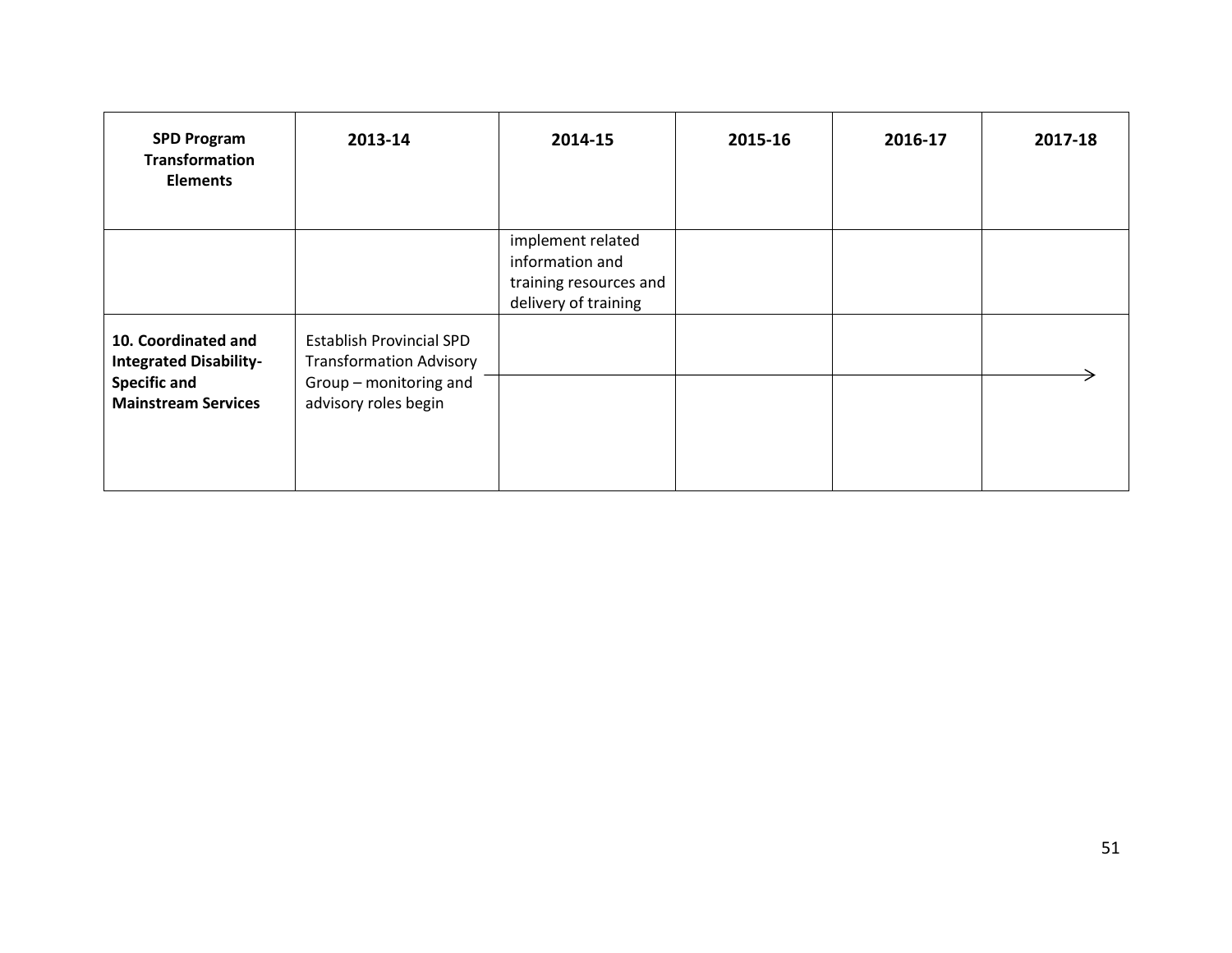| <b>SPD Program</b><br><b>Transformation</b><br><b>Elements</b>                                            | 2013-14                                                                                                             | 2014-15                                                                                | 2015-16 | 2016-17 | 2017-18 |
|-----------------------------------------------------------------------------------------------------------|---------------------------------------------------------------------------------------------------------------------|----------------------------------------------------------------------------------------|---------|---------|---------|
|                                                                                                           |                                                                                                                     | implement related<br>information and<br>training resources and<br>delivery of training |         |         |         |
| 10. Coordinated and<br><b>Integrated Disability-</b><br><b>Specific and</b><br><b>Mainstream Services</b> | <b>Establish Provincial SPD</b><br><b>Transformation Advisory</b><br>Group - monitoring and<br>advisory roles begin |                                                                                        |         |         |         |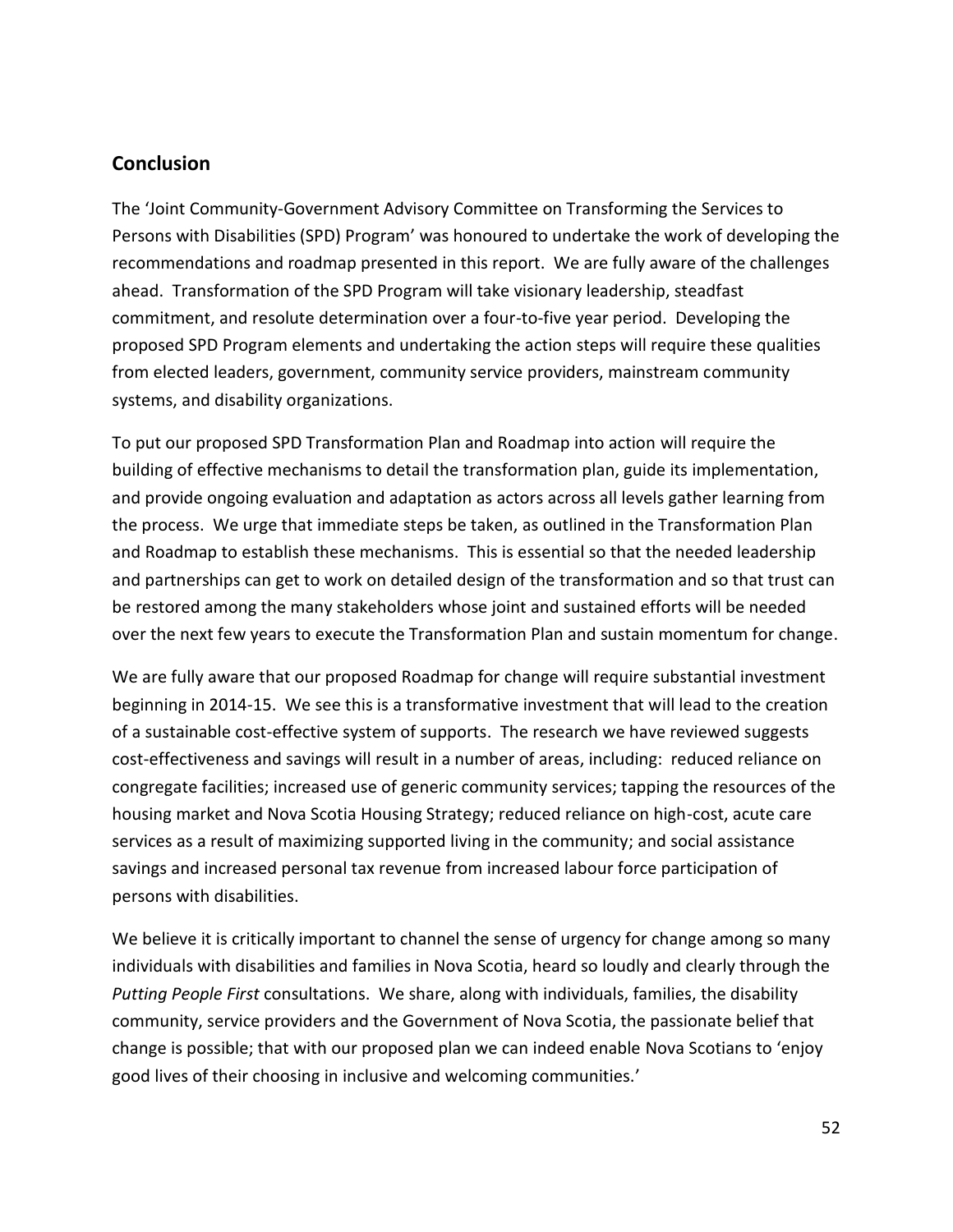#### <span id="page-61-0"></span>**Conclusion**

The 'Joint Community-Government Advisory Committee on Transforming the Services to Persons with Disabilities (SPD) Program' was honoured to undertake the work of developing the recommendations and roadmap presented in this report. We are fully aware of the challenges ahead. Transformation of the SPD Program will take visionary leadership, steadfast commitment, and resolute determination over a four-to-five year period. Developing the proposed SPD Program elements and undertaking the action steps will require these qualities from elected leaders, government, community service providers, mainstream community systems, and disability organizations.

To put our proposed SPD Transformation Plan and Roadmap into action will require the building of effective mechanisms to detail the transformation plan, guide its implementation, and provide ongoing evaluation and adaptation as actors across all levels gather learning from the process. We urge that immediate steps be taken, as outlined in the Transformation Plan and Roadmap to establish these mechanisms. This is essential so that the needed leadership and partnerships can get to work on detailed design of the transformation and so that trust can be restored among the many stakeholders whose joint and sustained efforts will be needed over the next few years to execute the Transformation Plan and sustain momentum for change.

We are fully aware that our proposed Roadmap for change will require substantial investment beginning in 2014-15. We see this is a transformative investment that will lead to the creation of a sustainable cost-effective system of supports. The research we have reviewed suggests cost-effectiveness and savings will result in a number of areas, including: reduced reliance on congregate facilities; increased use of generic community services; tapping the resources of the housing market and Nova Scotia Housing Strategy; reduced reliance on high-cost, acute care services as a result of maximizing supported living in the community; and social assistance savings and increased personal tax revenue from increased labour force participation of persons with disabilities.

We believe it is critically important to channel the sense of urgency for change among so many individuals with disabilities and families in Nova Scotia, heard so loudly and clearly through the *Putting People First* consultations. We share, along with individuals, families, the disability community, service providers and the Government of Nova Scotia, the passionate belief that change is possible; that with our proposed plan we can indeed enable Nova Scotians to 'enjoy good lives of their choosing in inclusive and welcoming communities.'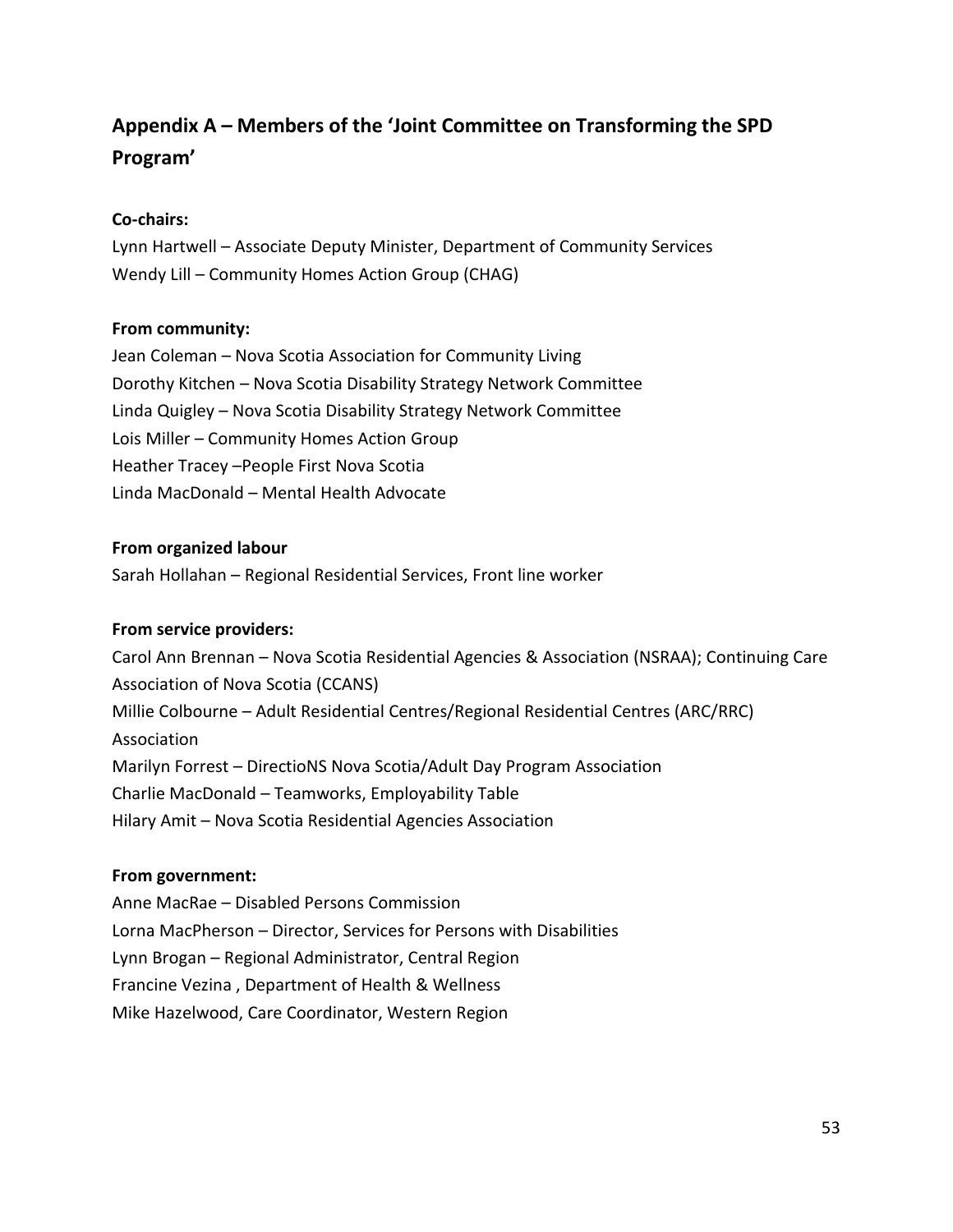## <span id="page-62-0"></span>**Appendix A – Members of the 'Joint Committee on Transforming the SPD Program'**

#### **Co-chairs:**

Lynn Hartwell – Associate Deputy Minister, Department of Community Services Wendy Lill – Community Homes Action Group (CHAG)

#### **From community:**

Jean Coleman – Nova Scotia Association for Community Living Dorothy Kitchen – Nova Scotia Disability Strategy Network Committee Linda Quigley – Nova Scotia Disability Strategy Network Committee Lois Miller – Community Homes Action Group Heather Tracey –People First Nova Scotia Linda MacDonald – Mental Health Advocate

#### **From organized labour**

Sarah Hollahan – Regional Residential Services, Front line worker

#### **From service providers:**

Carol Ann Brennan – Nova Scotia Residential Agencies & Association (NSRAA); Continuing Care Association of Nova Scotia (CCANS) Millie Colbourne – Adult Residential Centres/Regional Residential Centres (ARC/RRC) Association Marilyn Forrest – DirectioNS Nova Scotia/Adult Day Program Association Charlie MacDonald – Teamworks, Employability Table Hilary Amit – Nova Scotia Residential Agencies Association

#### **From government:**

Anne MacRae – Disabled Persons Commission Lorna MacPherson – Director, Services for Persons with Disabilities Lynn Brogan – Regional Administrator, Central Region Francine Vezina , Department of Health & Wellness Mike Hazelwood, Care Coordinator, Western Region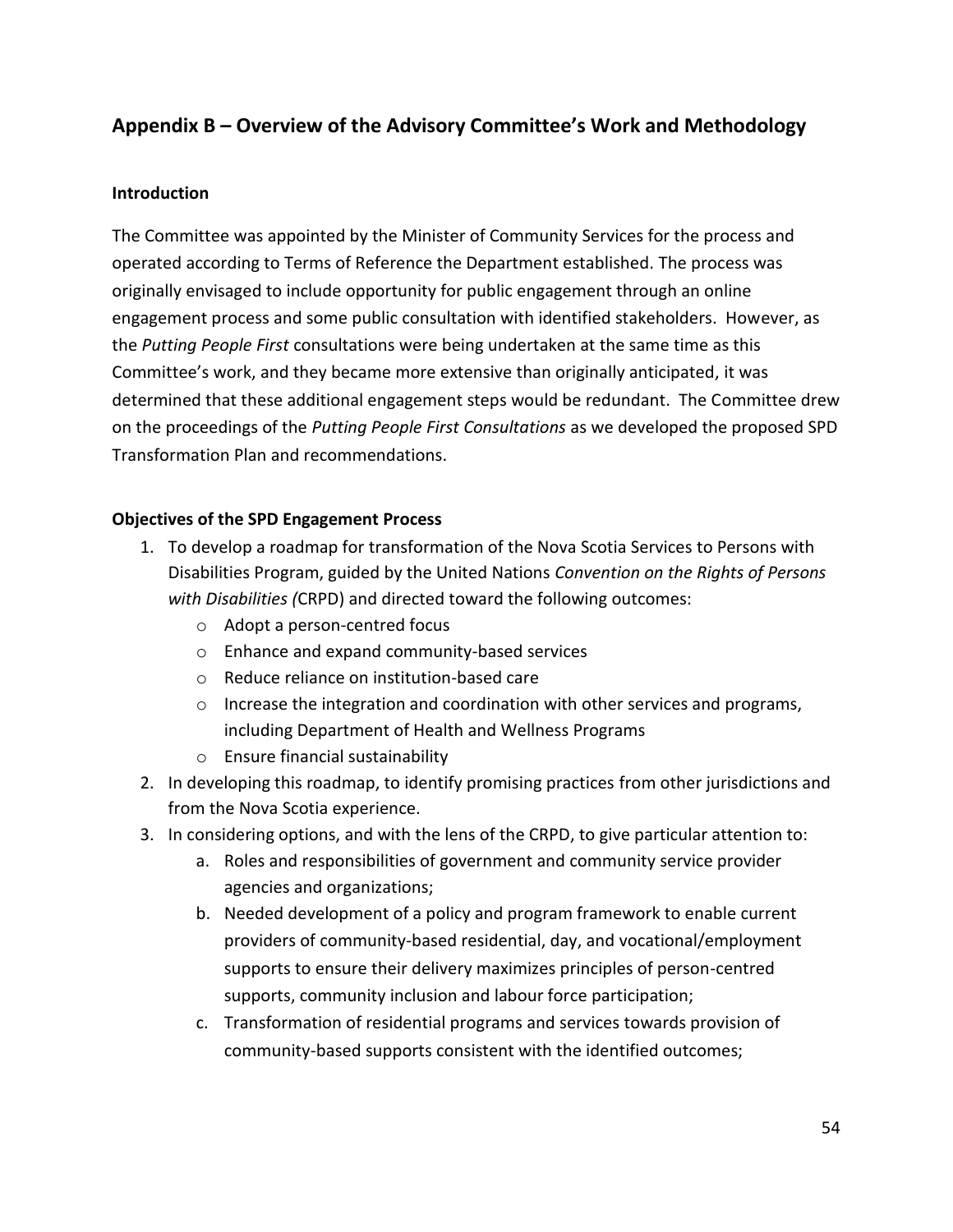## <span id="page-63-0"></span>**Appendix B – Overview of the Advisory Committee's Work and Methodology**

#### **Introduction**

The Committee was appointed by the Minister of Community Services for the process and operated according to Terms of Reference the Department established. The process was originally envisaged to include opportunity for public engagement through an online engagement process and some public consultation with identified stakeholders. However, as the *Putting People First* consultations were being undertaken at the same time as this Committee's work, and they became more extensive than originally anticipated, it was determined that these additional engagement steps would be redundant. The Committee drew on the proceedings of the *Putting People First Consultations* as we developed the proposed SPD Transformation Plan and recommendations.

#### **Objectives of the SPD Engagement Process**

- 1. To develop a roadmap for transformation of the Nova Scotia Services to Persons with Disabilities Program, guided by the United Nations *Convention on the Rights of Persons with Disabilities (*CRPD) and directed toward the following outcomes:
	- o Adopt a person-centred focus
	- o Enhance and expand community-based services
	- o Reduce reliance on institution-based care
	- $\circ$  Increase the integration and coordination with other services and programs, including Department of Health and Wellness Programs
	- o Ensure financial sustainability
- 2. In developing this roadmap, to identify promising practices from other jurisdictions and from the Nova Scotia experience.
- 3. In considering options, and with the lens of the CRPD, to give particular attention to:
	- a. Roles and responsibilities of government and community service provider agencies and organizations;
	- b. Needed development of a policy and program framework to enable current providers of community-based residential, day, and vocational/employment supports to ensure their delivery maximizes principles of person-centred supports, community inclusion and labour force participation;
	- c. Transformation of residential programs and services towards provision of community-based supports consistent with the identified outcomes;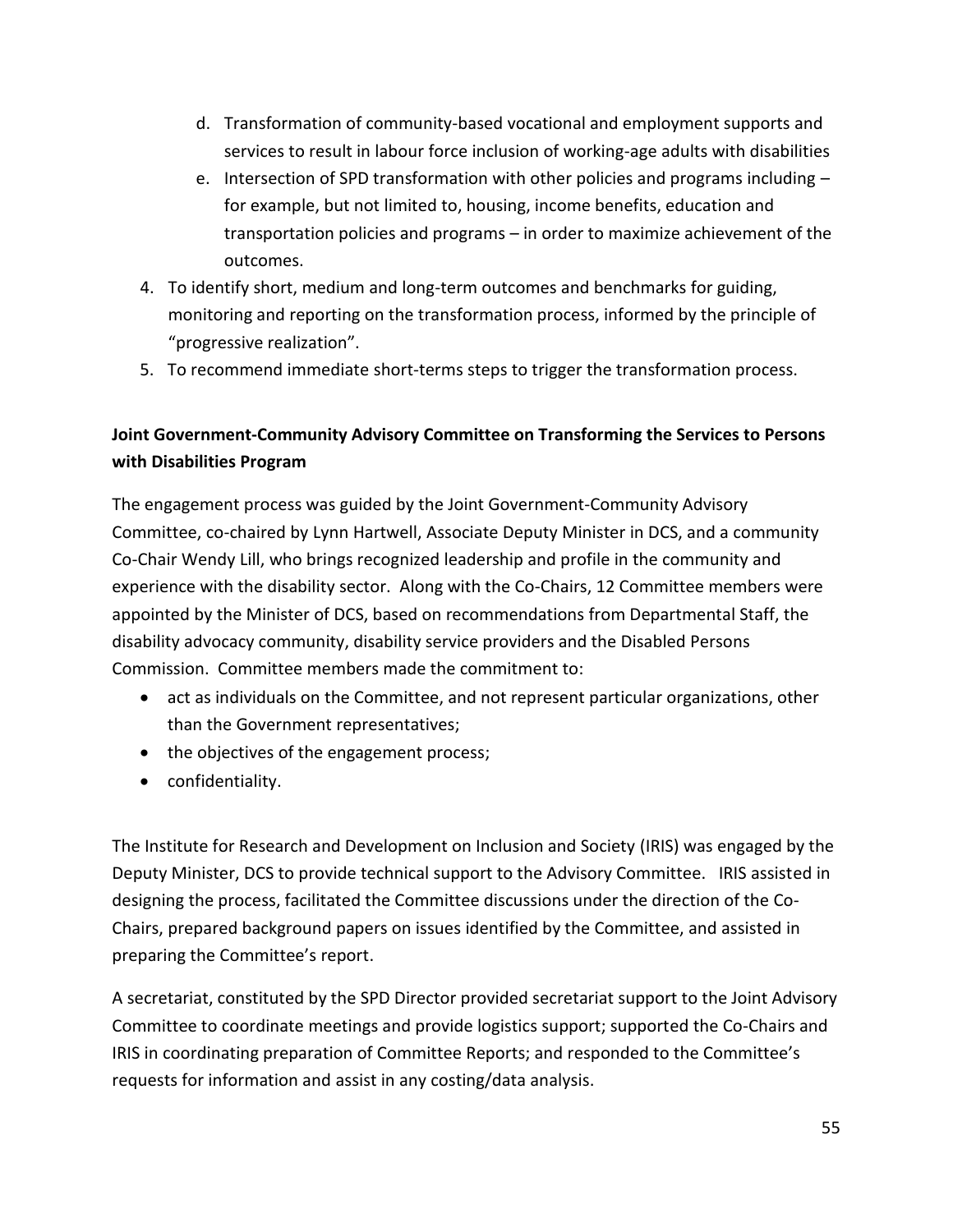- d. Transformation of community-based vocational and employment supports and services to result in labour force inclusion of working-age adults with disabilities
- e. Intersection of SPD transformation with other policies and programs including for example, but not limited to, housing, income benefits, education and transportation policies and programs – in order to maximize achievement of the outcomes.
- 4. To identify short, medium and long-term outcomes and benchmarks for guiding, monitoring and reporting on the transformation process, informed by the principle of "progressive realization".
- 5. To recommend immediate short-terms steps to trigger the transformation process.

## **Joint Government-Community Advisory Committee on Transforming the Services to Persons with Disabilities Program**

The engagement process was guided by the Joint Government-Community Advisory Committee, co-chaired by Lynn Hartwell, Associate Deputy Minister in DCS, and a community Co-Chair Wendy Lill, who brings recognized leadership and profile in the community and experience with the disability sector. Along with the Co-Chairs, 12 Committee members were appointed by the Minister of DCS, based on recommendations from Departmental Staff, the disability advocacy community, disability service providers and the Disabled Persons Commission. Committee members made the commitment to:

- act as individuals on the Committee, and not represent particular organizations, other than the Government representatives;
- the objectives of the engagement process;
- confidentiality.

The Institute for Research and Development on Inclusion and Society (IRIS) was engaged by the Deputy Minister, DCS to provide technical support to the Advisory Committee. IRIS assisted in designing the process, facilitated the Committee discussions under the direction of the Co-Chairs, prepared background papers on issues identified by the Committee, and assisted in preparing the Committee's report.

A secretariat, constituted by the SPD Director provided secretariat support to the Joint Advisory Committee to coordinate meetings and provide logistics support; supported the Co-Chairs and IRIS in coordinating preparation of Committee Reports; and responded to the Committee's requests for information and assist in any costing/data analysis.